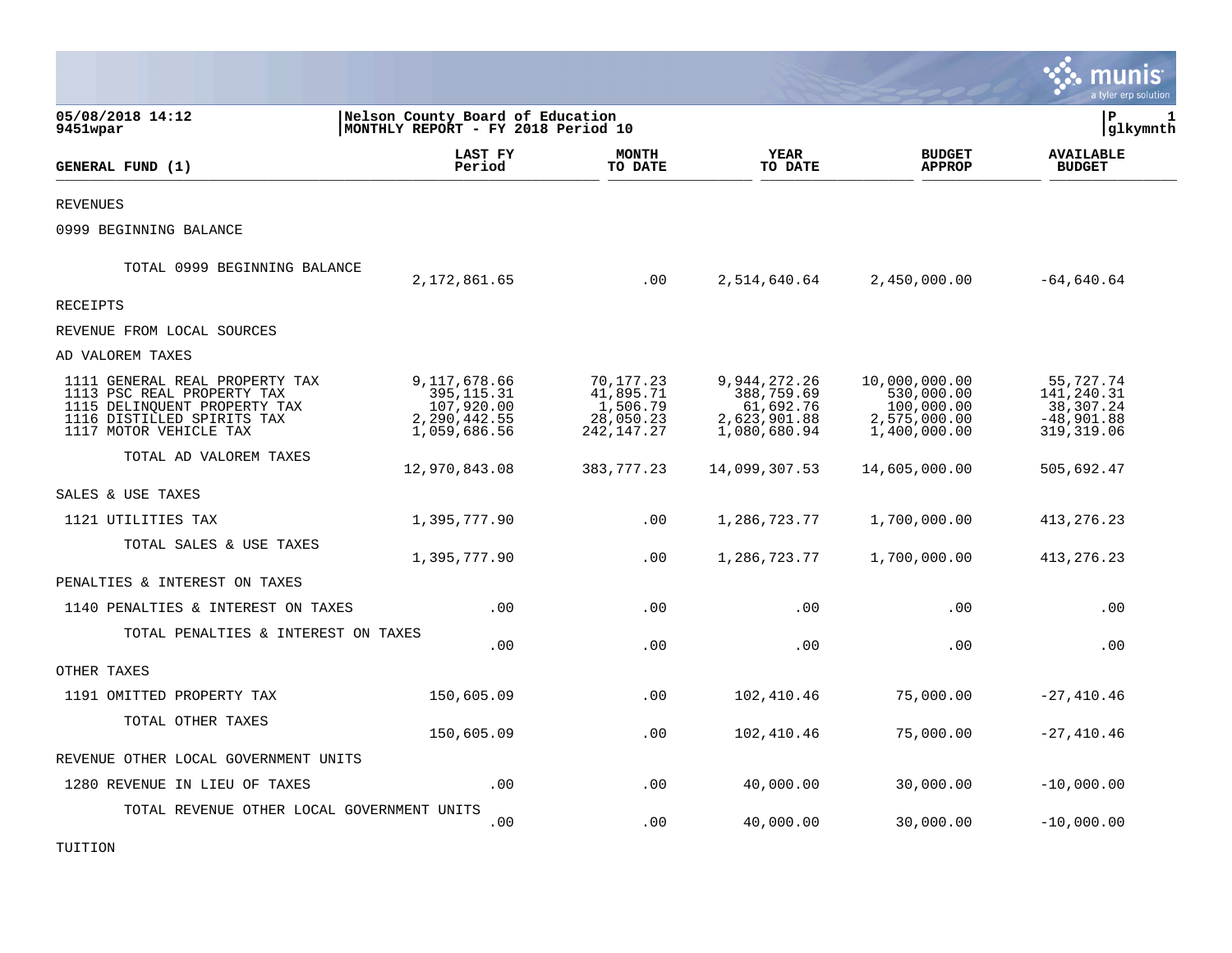|                                                                                                                                                      |                                                                           |                                                               |                                                                         |                                                                           | munis<br>a tyler erp solution                                       |
|------------------------------------------------------------------------------------------------------------------------------------------------------|---------------------------------------------------------------------------|---------------------------------------------------------------|-------------------------------------------------------------------------|---------------------------------------------------------------------------|---------------------------------------------------------------------|
| 05/08/2018 14:12<br>9451wpar                                                                                                                         | Nelson County Board of Education<br>MONTHLY REPORT - FY 2018 Period 10    | l P<br>1<br> glkymnth                                         |                                                                         |                                                                           |                                                                     |
| GENERAL FUND (1)                                                                                                                                     | LAST FY<br>Period                                                         | <b>MONTH</b><br>TO DATE                                       | <b>YEAR</b><br>TO DATE                                                  | <b>BUDGET</b><br><b>APPROP</b>                                            | <b>AVAILABLE</b><br><b>BUDGET</b>                                   |
| REVENUES                                                                                                                                             |                                                                           |                                                               |                                                                         |                                                                           |                                                                     |
| 0999 BEGINNING BALANCE                                                                                                                               |                                                                           |                                                               |                                                                         |                                                                           |                                                                     |
| TOTAL 0999 BEGINNING BALANCE                                                                                                                         | 2,172,861.65                                                              | .00                                                           | 2,514,640.64                                                            | 2,450,000.00                                                              | $-64,640.64$                                                        |
| <b>RECEIPTS</b>                                                                                                                                      |                                                                           |                                                               |                                                                         |                                                                           |                                                                     |
| REVENUE FROM LOCAL SOURCES                                                                                                                           |                                                                           |                                                               |                                                                         |                                                                           |                                                                     |
| AD VALOREM TAXES                                                                                                                                     |                                                                           |                                                               |                                                                         |                                                                           |                                                                     |
| 1111 GENERAL REAL PROPERTY TAX<br>1113 PSC REAL PROPERTY TAX<br>1115 DELINQUENT PROPERTY TAX<br>1116 DISTILLED SPIRITS TAX<br>1117 MOTOR VEHICLE TAX | 9,117,678.66<br>395, 115.31<br>107,920.00<br>2,290,442.55<br>1,059,686.56 | 70,177.23<br>41,895.71<br>1,506.79<br>28,050.23<br>242,147.27 | 9,944,272.26<br>388,759.69<br>61,692.76<br>2,623,901.88<br>1,080,680.94 | 10,000,000.00<br>530,000.00<br>100,000.00<br>2,575,000.00<br>1,400,000.00 | 55,727.74<br>141,240.31<br>38,307.24<br>$-48,901.88$<br>319, 319.06 |
| TOTAL AD VALOREM TAXES                                                                                                                               | 12,970,843.08                                                             | 383, 777. 23                                                  | 14,099,307.53                                                           | 14,605,000.00                                                             | 505,692.47                                                          |
| SALES & USE TAXES                                                                                                                                    |                                                                           |                                                               |                                                                         |                                                                           |                                                                     |
| 1121 UTILITIES TAX                                                                                                                                   | 1,395,777.90                                                              | .00                                                           | 1,286,723.77                                                            | 1,700,000.00                                                              | 413, 276. 23                                                        |
| TOTAL SALES & USE TAXES                                                                                                                              | 1,395,777.90                                                              | .00                                                           | 1,286,723.77                                                            | 1,700,000.00                                                              | 413, 276. 23                                                        |
| PENALTIES & INTEREST ON TAXES                                                                                                                        |                                                                           |                                                               |                                                                         |                                                                           |                                                                     |
| 1140 PENALTIES & INTEREST ON TAXES                                                                                                                   | .00                                                                       | .00                                                           | .00                                                                     | .00                                                                       | .00                                                                 |
| TOTAL PENALTIES & INTEREST ON TAXES                                                                                                                  | .00                                                                       | .00                                                           | .00                                                                     | .00                                                                       | .00                                                                 |
| OTHER TAXES                                                                                                                                          |                                                                           |                                                               |                                                                         |                                                                           |                                                                     |
| 1191 OMITTED PROPERTY TAX                                                                                                                            | 150,605.09                                                                | .00                                                           | 102,410.46                                                              | 75,000.00                                                                 | $-27,410.46$                                                        |
| TOTAL OTHER TAXES                                                                                                                                    | 150,605.09                                                                | .00                                                           | 102,410.46                                                              | 75,000.00                                                                 | $-27,410.46$                                                        |
| REVENUE OTHER LOCAL GOVERNMENT UNITS                                                                                                                 |                                                                           |                                                               |                                                                         |                                                                           |                                                                     |
| 1280 REVENUE IN LIEU OF TAXES                                                                                                                        | .00                                                                       | .00                                                           | 40,000.00                                                               | 30,000.00                                                                 | $-10,000.00$                                                        |
| TOTAL REVENUE OTHER LOCAL GOVERNMENT UNITS                                                                                                           | .00                                                                       | .00                                                           | 40,000.00                                                               | 30,000.00                                                                 | $-10,000.00$                                                        |

TUITION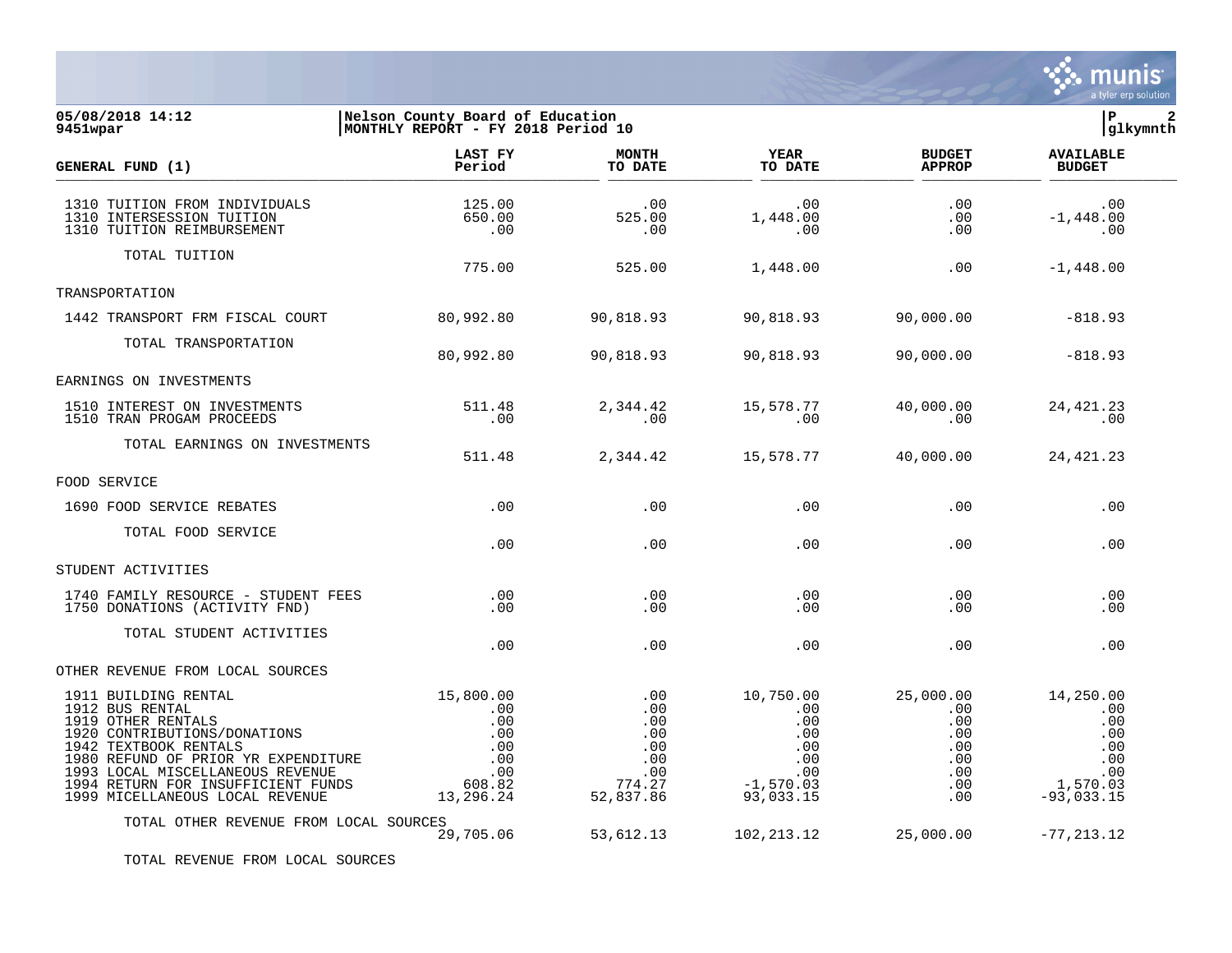

## **05/08/2018 14:12 |Nelson County Board of Education |P 2 9451wpar |MONTHLY REPORT - FY 2018 Period 10 |glkymnth**

| GENERAL FUND (1)                                                                                                                                                                                                                                                           | LAST FY<br>Period                                                          | <b>MONTH</b><br>TO DATE                                              | YEAR<br>TO DATE                                                                           | <b>BUDGET</b><br><b>APPROP</b>                                         | <b>AVAILABLE</b><br><b>BUDGET</b>                                               |
|----------------------------------------------------------------------------------------------------------------------------------------------------------------------------------------------------------------------------------------------------------------------------|----------------------------------------------------------------------------|----------------------------------------------------------------------|-------------------------------------------------------------------------------------------|------------------------------------------------------------------------|---------------------------------------------------------------------------------|
| 1310 TUITION FROM INDIVIDUALS<br>1310 INTERSESSION TUITION<br>1310 TUITION REIMBURSEMENT                                                                                                                                                                                   | 125.00<br>650.00<br>.00                                                    | .00<br>525.00<br>.00                                                 | .00<br>1,448.00<br>$\overline{00}$                                                        | .00<br>.00<br>.00                                                      | $\sim$ .00<br>$-1,448.00$<br>$\overline{\phantom{0}}$ .00                       |
| TOTAL TUITION                                                                                                                                                                                                                                                              | 775.00                                                                     | 525.00                                                               | 1,448.00                                                                                  | .00                                                                    | $-1,448.00$                                                                     |
| TRANSPORTATION                                                                                                                                                                                                                                                             |                                                                            |                                                                      |                                                                                           |                                                                        |                                                                                 |
| 1442 TRANSPORT FRM FISCAL COURT                                                                                                                                                                                                                                            | 80,992.80                                                                  | 90,818.93                                                            | 90,818.93                                                                                 | 90,000.00                                                              | $-818.93$                                                                       |
| TOTAL TRANSPORTATION                                                                                                                                                                                                                                                       | 80,992.80                                                                  | 90,818.93                                                            | 90,818.93                                                                                 | 90,000.00                                                              | $-818.93$                                                                       |
| EARNINGS ON INVESTMENTS                                                                                                                                                                                                                                                    |                                                                            |                                                                      |                                                                                           |                                                                        |                                                                                 |
| 1510 INTEREST ON INVESTMENTS<br>1510 TRAN PROGAM PROCEEDS                                                                                                                                                                                                                  | 511.48<br>.00                                                              | 2,344.42<br>.00                                                      | 15,578.77<br>$\sim 00$                                                                    | 40,000.00<br>$\sim 00$                                                 | 24, 421.23<br>$\sim$ 00                                                         |
| TOTAL EARNINGS ON INVESTMENTS                                                                                                                                                                                                                                              | 511.48                                                                     | 2, 344.42 15, 578.77                                                 |                                                                                           | 40,000.00                                                              | 24,421.23                                                                       |
| FOOD SERVICE                                                                                                                                                                                                                                                               |                                                                            |                                                                      |                                                                                           |                                                                        |                                                                                 |
| 1690 FOOD SERVICE REBATES                                                                                                                                                                                                                                                  | $\overline{00}$                                                            | .00                                                                  | .00                                                                                       | .00                                                                    | .00                                                                             |
| TOTAL FOOD SERVICE                                                                                                                                                                                                                                                         | .00                                                                        | .00                                                                  | .00                                                                                       | .00                                                                    | .00                                                                             |
| STUDENT ACTIVITIES                                                                                                                                                                                                                                                         |                                                                            |                                                                      |                                                                                           |                                                                        |                                                                                 |
| 1740 FAMILY RESOURCE - STUDENT FEES<br>1750 DONATIONS (ACTIVITY FND)                                                                                                                                                                                                       | .00<br>.00                                                                 | .00<br>.00                                                           | .00<br>$.00 \,$                                                                           | .00<br>$.00 \,$                                                        | .00<br>.00                                                                      |
| TOTAL STUDENT ACTIVITIES                                                                                                                                                                                                                                                   | .00                                                                        | .00                                                                  | .00                                                                                       | .00                                                                    | .00                                                                             |
| OTHER REVENUE FROM LOCAL SOURCES                                                                                                                                                                                                                                           |                                                                            |                                                                      |                                                                                           |                                                                        |                                                                                 |
| 1911 BUILDING RENTAL<br>1912 BUS RENTAL<br>1919 OTHER RENTALS<br>1920 CONTRIBUTIONS/DONATIONS<br>1942 TEXTBOOK RENTALS<br>1980 REFUND OF PRIOR YR EXPENDITURE<br>1993 LOCAL MISCELLANEOUS REVENUE<br>1994 RETURN FOR INSUFFICIENT FUNDS<br>1999 MICELLANEOUS LOCAL REVENUE | 15,800.00<br>.00<br>.00<br>.00<br>.00<br>.00<br>.00<br>608.82<br>13,296.24 | .00<br>.00<br>.00<br>.00<br>.00<br>.00<br>.00<br>774.27<br>52,837.86 | 10,750.00<br>.00<br>$.00 \,$<br>.00<br>.00<br>$.00 \,$<br>.00<br>$-1,570.03$<br>93,033.15 | 25,000.00<br>.00<br>.00<br>.00<br>.00<br>.00<br>$.00 \,$<br>.00<br>.00 | 14,250.00<br>.00<br>.00<br>.00<br>.00<br>.00<br>.00<br>1,570.03<br>$-93,033.15$ |
| TOTAL OTHER REVENUE FROM LOCAL SOURCES                                                                                                                                                                                                                                     | 29,705.06                                                                  | 53,612.13                                                            | 102, 213.12                                                                               | 25,000.00                                                              | $-77, 213.12$                                                                   |

TOTAL REVENUE FROM LOCAL SOURCES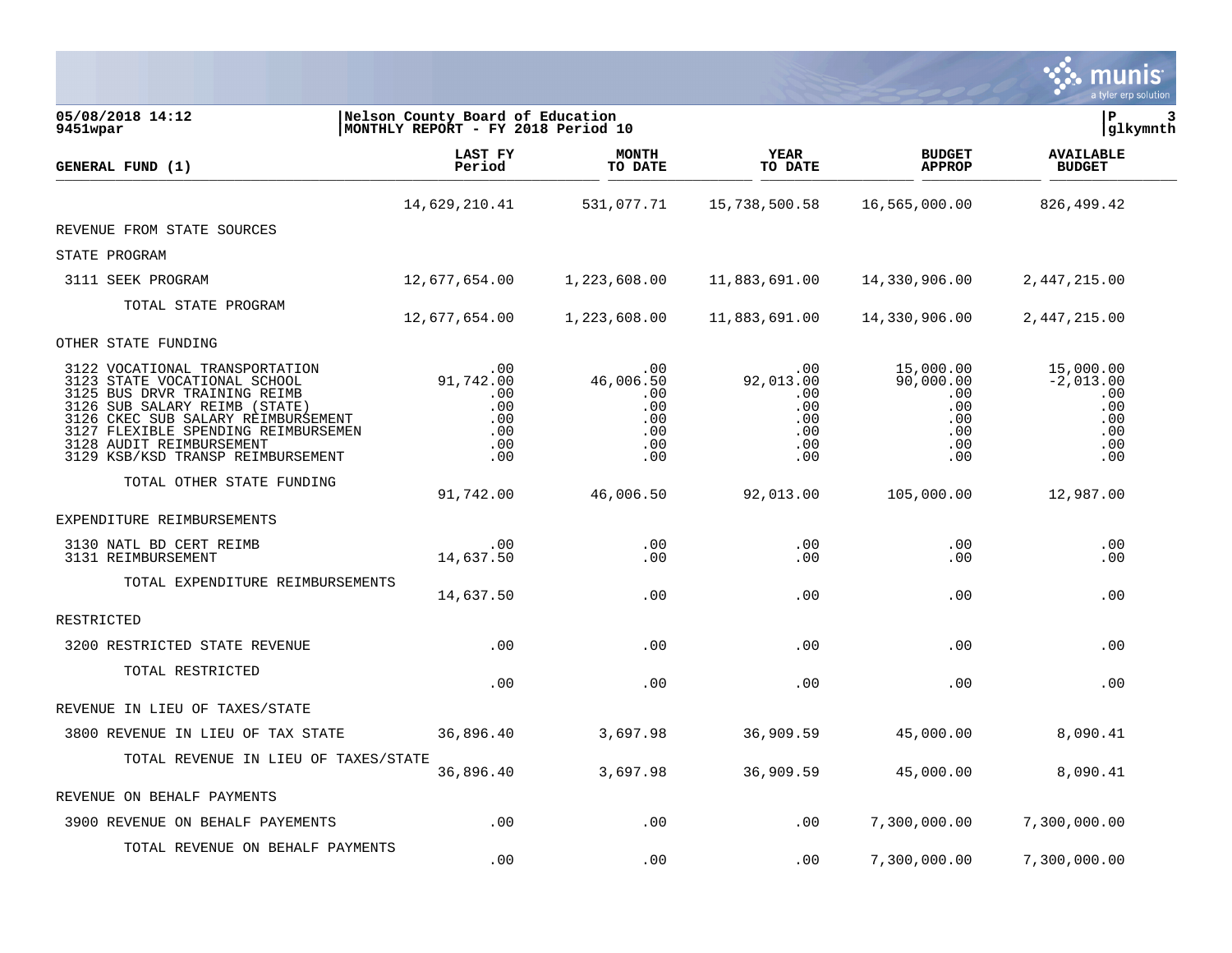|                                                                                                                                                                                                                                                                                     |                                                                        |                                                            |                                                            |                                                                       | a tyler erp solution                                               |
|-------------------------------------------------------------------------------------------------------------------------------------------------------------------------------------------------------------------------------------------------------------------------------------|------------------------------------------------------------------------|------------------------------------------------------------|------------------------------------------------------------|-----------------------------------------------------------------------|--------------------------------------------------------------------|
| 05/08/2018 14:12<br>9451wpar                                                                                                                                                                                                                                                        | Nelson County Board of Education<br>MONTHLY REPORT - FY 2018 Period 10 |                                                            |                                                            |                                                                       | ΙP<br> glkymnth                                                    |
| GENERAL FUND (1)                                                                                                                                                                                                                                                                    | LAST FY<br>Period                                                      | <b>MONTH</b><br>TO DATE                                    | <b>YEAR</b><br>TO DATE                                     | <b>BUDGET</b><br><b>APPROP</b>                                        | <b>AVAILABLE</b><br><b>BUDGET</b>                                  |
|                                                                                                                                                                                                                                                                                     | 14,629,210.41                                                          | 531,077.71                                                 | 15,738,500.58                                              | 16,565,000.00                                                         | 826,499.42                                                         |
| REVENUE FROM STATE SOURCES                                                                                                                                                                                                                                                          |                                                                        |                                                            |                                                            |                                                                       |                                                                    |
| STATE PROGRAM                                                                                                                                                                                                                                                                       |                                                                        |                                                            |                                                            |                                                                       |                                                                    |
| 3111 SEEK PROGRAM                                                                                                                                                                                                                                                                   | 12,677,654.00                                                          | 1,223,608.00                                               | 11,883,691.00                                              | 14,330,906.00                                                         | 2,447,215.00                                                       |
| TOTAL STATE PROGRAM                                                                                                                                                                                                                                                                 | 12,677,654.00                                                          | 1,223,608.00                                               | 11,883,691.00                                              | 14,330,906.00                                                         | 2,447,215.00                                                       |
| OTHER STATE FUNDING                                                                                                                                                                                                                                                                 |                                                                        |                                                            |                                                            |                                                                       |                                                                    |
| 3122 VOCATIONAL TRANSPORTATION<br>3123 STATE VOCATIONAL SCHOOL<br>3125 BUS DRVR TRAINING REIMB<br>SUB SALARY REIMB (STATE)<br>3126<br>CKEC SUB SALARY REIMBURSEMENT<br>3126<br>3127 FLEXIBLE SPENDING REIMBURSEMEN<br>3128 AUDIT REIMBURSEMENT<br>3129 KSB/KSD TRANSP REIMBURSEMENT | .00<br>91,742.00<br>.00<br>.00<br>.00<br>.00<br>.00<br>.00             | .00<br>46,006.50<br>.00<br>.00<br>.00<br>.00<br>.00<br>.00 | .00<br>92,013.00<br>.00<br>.00<br>.00<br>.00<br>.00<br>.00 | 15,000.00<br>90,000.00<br>.00<br>$.00 \,$<br>.00<br>.00<br>.00<br>.00 | 15,000.00<br>$-2,013.00$<br>.00<br>.00<br>.00<br>.00<br>.00<br>.00 |
| TOTAL OTHER STATE FUNDING                                                                                                                                                                                                                                                           | 91,742.00                                                              | 46,006.50                                                  | 92,013.00                                                  | 105,000.00                                                            | 12,987.00                                                          |
| EXPENDITURE REIMBURSEMENTS                                                                                                                                                                                                                                                          |                                                                        |                                                            |                                                            |                                                                       |                                                                    |
| 3130 NATL BD CERT REIMB<br>3131 REIMBURSEMENT                                                                                                                                                                                                                                       | .00<br>14,637.50                                                       | .00<br>.00                                                 | .00<br>.00                                                 | .00<br>.00                                                            | .00<br>.00                                                         |
| TOTAL EXPENDITURE REIMBURSEMENTS                                                                                                                                                                                                                                                    | 14,637.50                                                              | .00                                                        | .00.                                                       | .00                                                                   | .00                                                                |
| RESTRICTED                                                                                                                                                                                                                                                                          |                                                                        |                                                            |                                                            |                                                                       |                                                                    |
| 3200 RESTRICTED STATE REVENUE                                                                                                                                                                                                                                                       | .00                                                                    | .00                                                        | .00                                                        | .00                                                                   | .00                                                                |
| TOTAL RESTRICTED                                                                                                                                                                                                                                                                    | .00                                                                    | .00                                                        | .00                                                        | .00                                                                   | .00                                                                |
| REVENUE IN LIEU OF TAXES/STATE                                                                                                                                                                                                                                                      |                                                                        |                                                            |                                                            |                                                                       |                                                                    |
| 3800 REVENUE IN LIEU OF TAX STATE                                                                                                                                                                                                                                                   | 36,896.40                                                              | 3,697.98                                                   | 36,909.59                                                  | 45,000.00                                                             | 8,090.41                                                           |
| TOTAL REVENUE IN LIEU OF TAXES/STATE                                                                                                                                                                                                                                                | 36,896.40                                                              | 3,697.98                                                   | 36,909.59                                                  | 45,000.00                                                             | 8,090.41                                                           |
| REVENUE ON BEHALF PAYMENTS                                                                                                                                                                                                                                                          |                                                                        |                                                            |                                                            |                                                                       |                                                                    |
| 3900 REVENUE ON BEHALF PAYEMENTS                                                                                                                                                                                                                                                    | .00                                                                    | .00                                                        | .00                                                        | 7,300,000.00                                                          | 7,300,000.00                                                       |
| TOTAL REVENUE ON BEHALF PAYMENTS                                                                                                                                                                                                                                                    | .00                                                                    | .00                                                        | .00                                                        | 7,300,000.00                                                          | 7,300,000.00                                                       |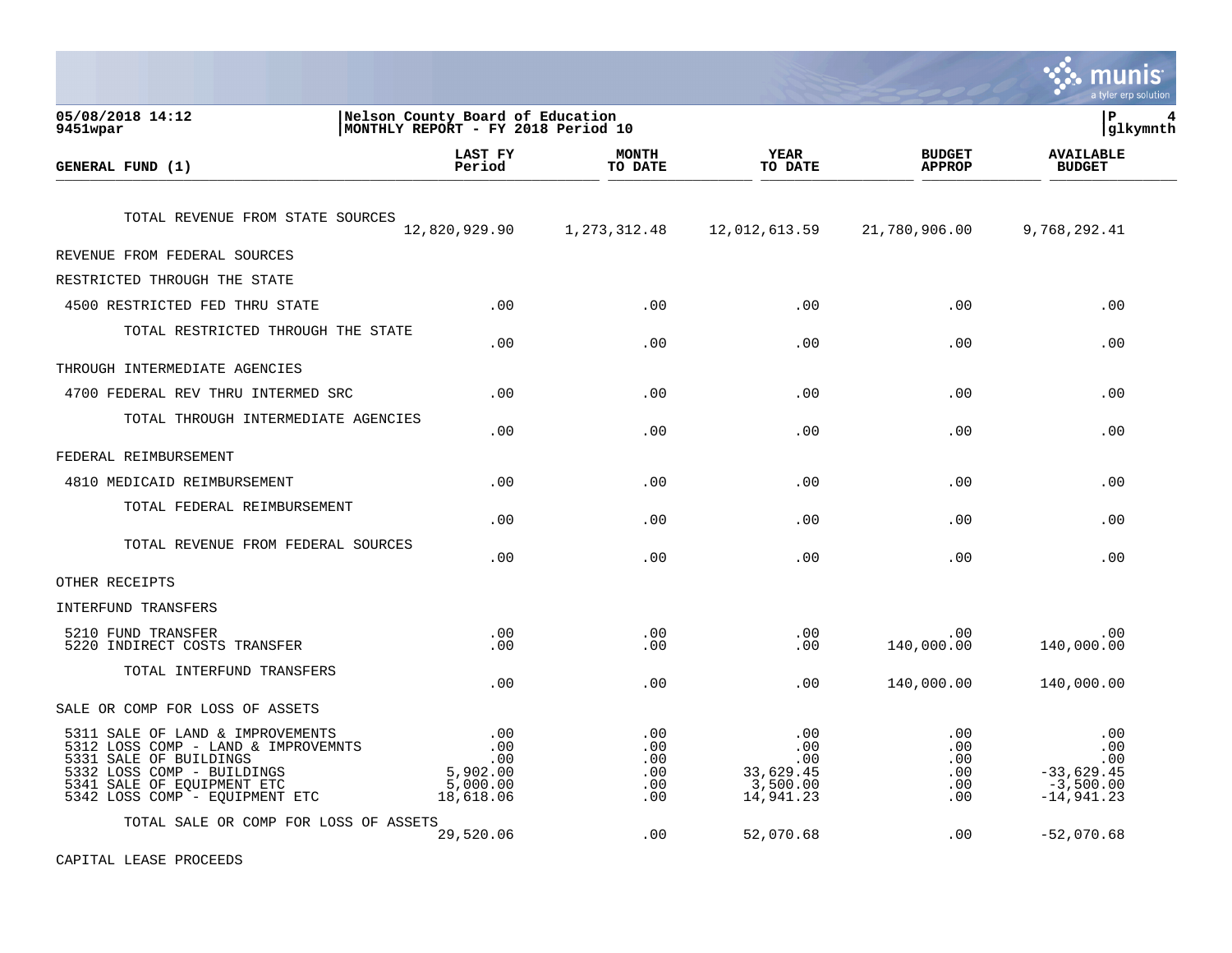|                                                                                                                                                                                                 |                                                                        |                                        |                                                         |                                        | nıs<br>a tyler erp solution                                      |
|-------------------------------------------------------------------------------------------------------------------------------------------------------------------------------------------------|------------------------------------------------------------------------|----------------------------------------|---------------------------------------------------------|----------------------------------------|------------------------------------------------------------------|
| 05/08/2018 14:12<br>9451wpar                                                                                                                                                                    | Nelson County Board of Education<br>MONTHLY REPORT - FY 2018 Period 10 |                                        |                                                         |                                        | P<br>4<br> glkymnth                                              |
| <b>GENERAL FUND (1)</b>                                                                                                                                                                         | <b>LAST FY</b><br>Period                                               | <b>MONTH</b><br>TO DATE                | <b>YEAR</b><br>TO DATE                                  | <b>BUDGET</b><br><b>APPROP</b>         | <b>AVAILABLE</b><br><b>BUDGET</b>                                |
| TOTAL REVENUE FROM STATE SOURCES                                                                                                                                                                | 12,820,929.90                                                          | 1, 273, 312.48                         | 12,012,613.59                                           | 21,780,906.00                          | 9,768,292.41                                                     |
| REVENUE FROM FEDERAL SOURCES                                                                                                                                                                    |                                                                        |                                        |                                                         |                                        |                                                                  |
| RESTRICTED THROUGH THE STATE                                                                                                                                                                    |                                                                        |                                        |                                                         |                                        |                                                                  |
| 4500 RESTRICTED FED THRU STATE                                                                                                                                                                  | .00                                                                    | .00                                    | .00                                                     | .00                                    | .00                                                              |
| TOTAL RESTRICTED THROUGH THE STATE                                                                                                                                                              | .00                                                                    | .00                                    | .00                                                     | .00                                    | .00                                                              |
| THROUGH INTERMEDIATE AGENCIES                                                                                                                                                                   |                                                                        |                                        |                                                         |                                        |                                                                  |
| 4700 FEDERAL REV THRU INTERMED SRC                                                                                                                                                              | .00                                                                    | .00                                    | .00                                                     | .00                                    | .00                                                              |
| TOTAL THROUGH INTERMEDIATE AGENCIES                                                                                                                                                             | .00                                                                    | .00                                    | .00                                                     | .00                                    | .00                                                              |
| FEDERAL REIMBURSEMENT                                                                                                                                                                           |                                                                        |                                        |                                                         |                                        |                                                                  |
| 4810 MEDICAID REIMBURSEMENT                                                                                                                                                                     | .00                                                                    | .00                                    | .00                                                     | .00                                    | .00                                                              |
| TOTAL FEDERAL REIMBURSEMENT                                                                                                                                                                     | .00                                                                    | .00                                    | .00                                                     | .00                                    | .00                                                              |
| TOTAL REVENUE FROM FEDERAL SOURCES                                                                                                                                                              | .00                                                                    | .00                                    | .00                                                     | .00                                    | .00                                                              |
| OTHER RECEIPTS                                                                                                                                                                                  |                                                                        |                                        |                                                         |                                        |                                                                  |
| INTERFUND TRANSFERS                                                                                                                                                                             |                                                                        |                                        |                                                         |                                        |                                                                  |
| 5210 FUND TRANSFER<br>5220 INDIRECT COSTS TRANSFER                                                                                                                                              | .00<br>.00                                                             | .00<br>.00                             | .00<br>.00                                              | .00<br>140,000.00                      | .00<br>140,000.00                                                |
| TOTAL INTERFUND TRANSFERS                                                                                                                                                                       | .00                                                                    | .00                                    | .00                                                     | 140,000.00                             | 140,000.00                                                       |
| SALE OR COMP FOR LOSS OF ASSETS                                                                                                                                                                 |                                                                        |                                        |                                                         |                                        |                                                                  |
| 5311 SALE OF LAND & IMPROVEMENTS<br>5312 LOSS COMP - LAND & IMPROVEMNTS<br>5331 SALE OF BUILDINGS<br>5332 LOSS COMP - BUILDINGS<br>5341 SALE OF EQUIPMENT ETC<br>5342 LOSS COMP - EQUIPMENT ETC | .00<br>.00<br>.00<br>5,902.00<br>5,000.00<br>18,618.06                 | .00<br>.00<br>.00<br>.00<br>.00<br>.00 | .00<br>.00<br>.00<br>33,629.45<br>3,500.00<br>14,941.23 | .00<br>.00<br>.00<br>.00<br>.00<br>.00 | .00<br>.00<br>.00<br>$-33,629.45$<br>$-3,500.00$<br>$-14,941.23$ |
| TOTAL SALE OR COMP FOR LOSS OF ASSETS                                                                                                                                                           | 29,520.06                                                              | .00                                    | 52,070.68                                               | .00                                    | $-52,070.68$                                                     |

 $\mathcal{L}$ 

CAPITAL LEASE PROCEEDS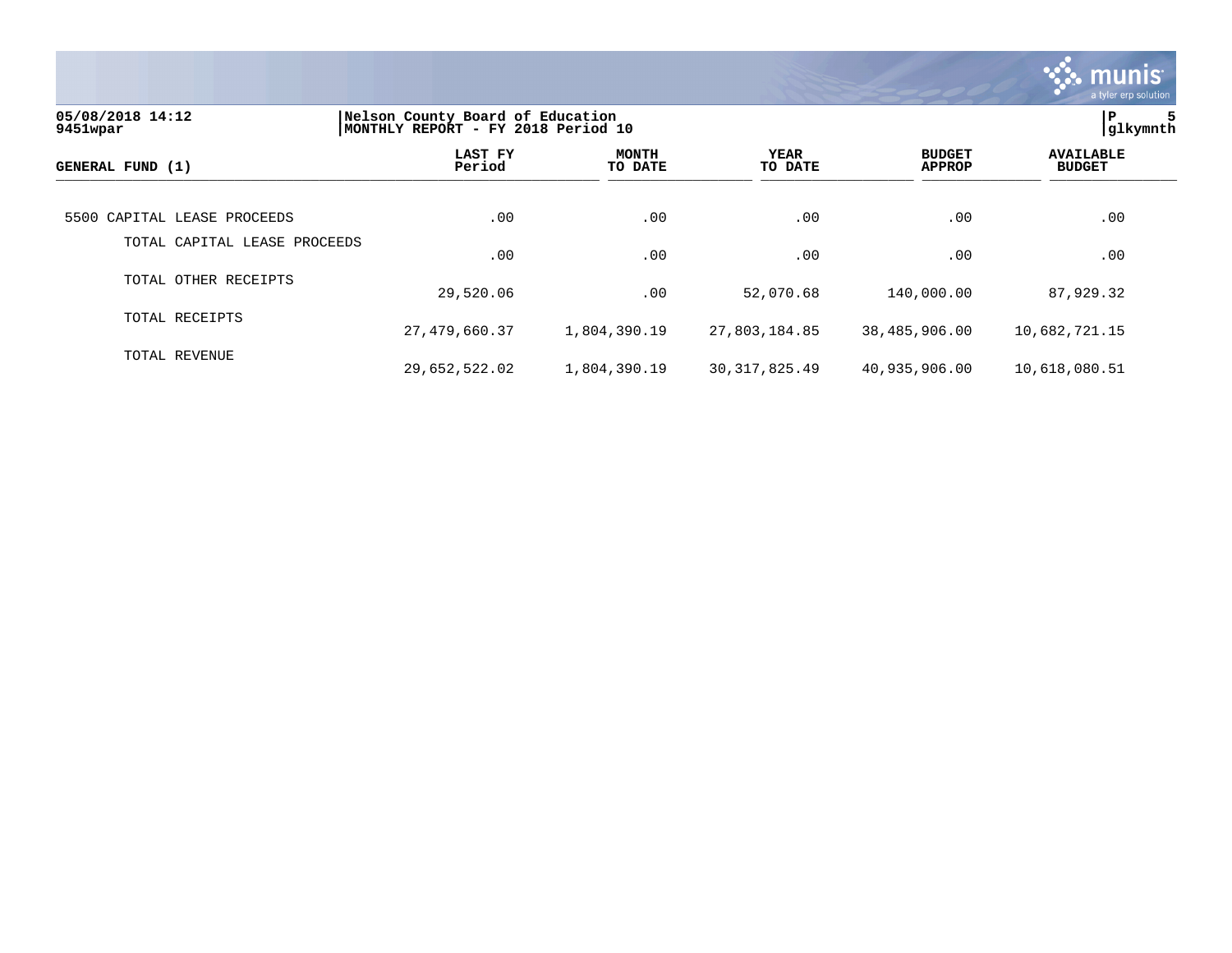

| 05/08/2018 14:12<br>9451wpar | Nelson County Board of Education<br>MONTHLY REPORT - FY 2018 Period 10 | ∣P<br>5<br> qlkymnth    |                 |                                |                                   |
|------------------------------|------------------------------------------------------------------------|-------------------------|-----------------|--------------------------------|-----------------------------------|
| GENERAL FUND (1)             | LAST FY<br>Period                                                      | <b>MONTH</b><br>TO DATE | YEAR<br>TO DATE | <b>BUDGET</b><br><b>APPROP</b> | <b>AVAILABLE</b><br><b>BUDGET</b> |
| 5500 CAPITAL LEASE PROCEEDS  | .00                                                                    | .00                     | .00             | .00                            | .00                               |
| TOTAL CAPITAL LEASE PROCEEDS | .00                                                                    | .00                     | .00             | .00                            | .00                               |
| TOTAL OTHER RECEIPTS         | 29,520.06                                                              | .00                     | 52,070.68       | 140,000.00                     | 87,929.32                         |
| TOTAL RECEIPTS               | 27,479,660.37                                                          | 1,804,390.19            | 27,803,184.85   | 38,485,906.00                  | 10,682,721.15                     |
| TOTAL REVENUE                | 29,652,522.02                                                          | 1,804,390.19            | 30, 317, 825.49 | 40,935,906.00                  | 10,618,080.51                     |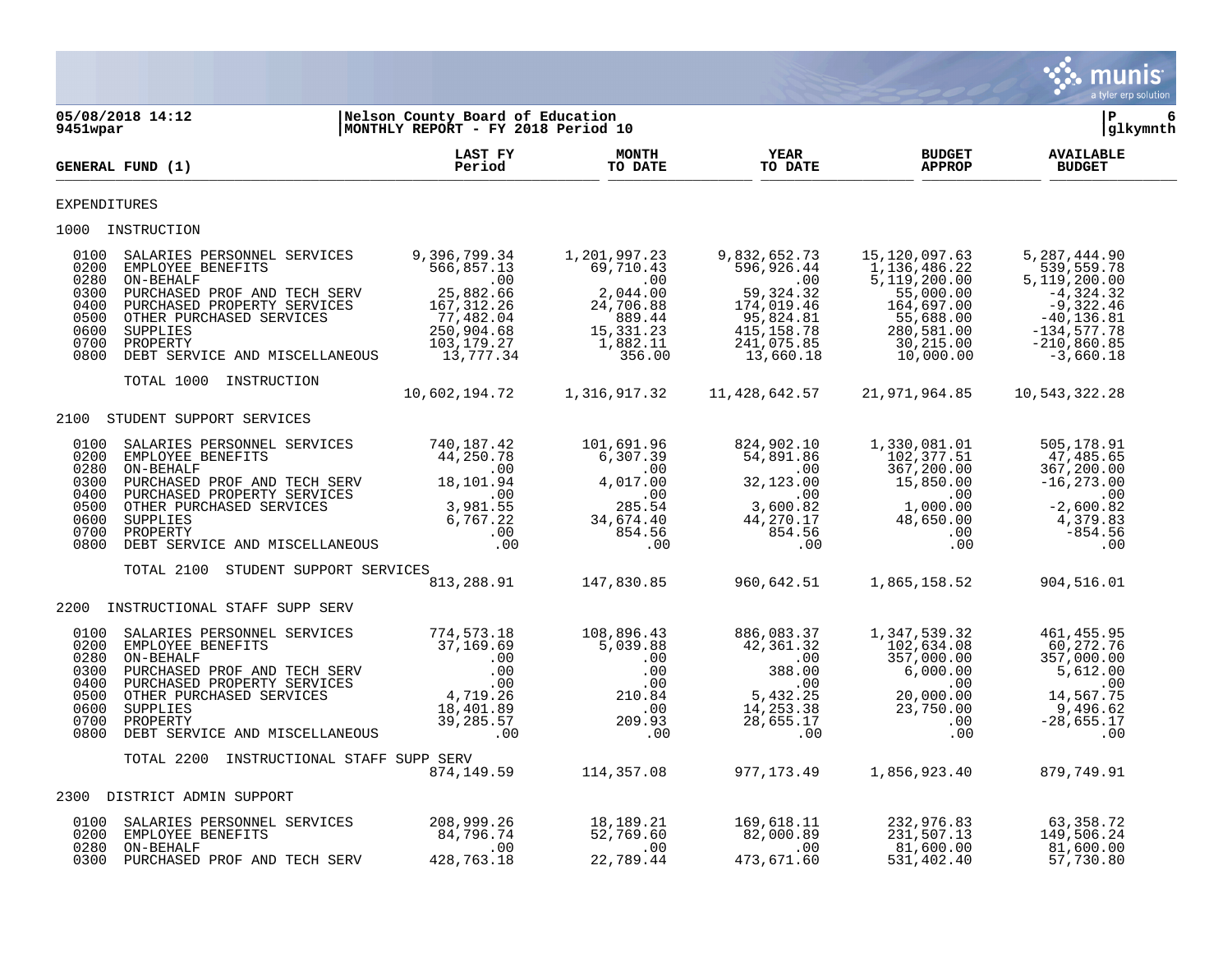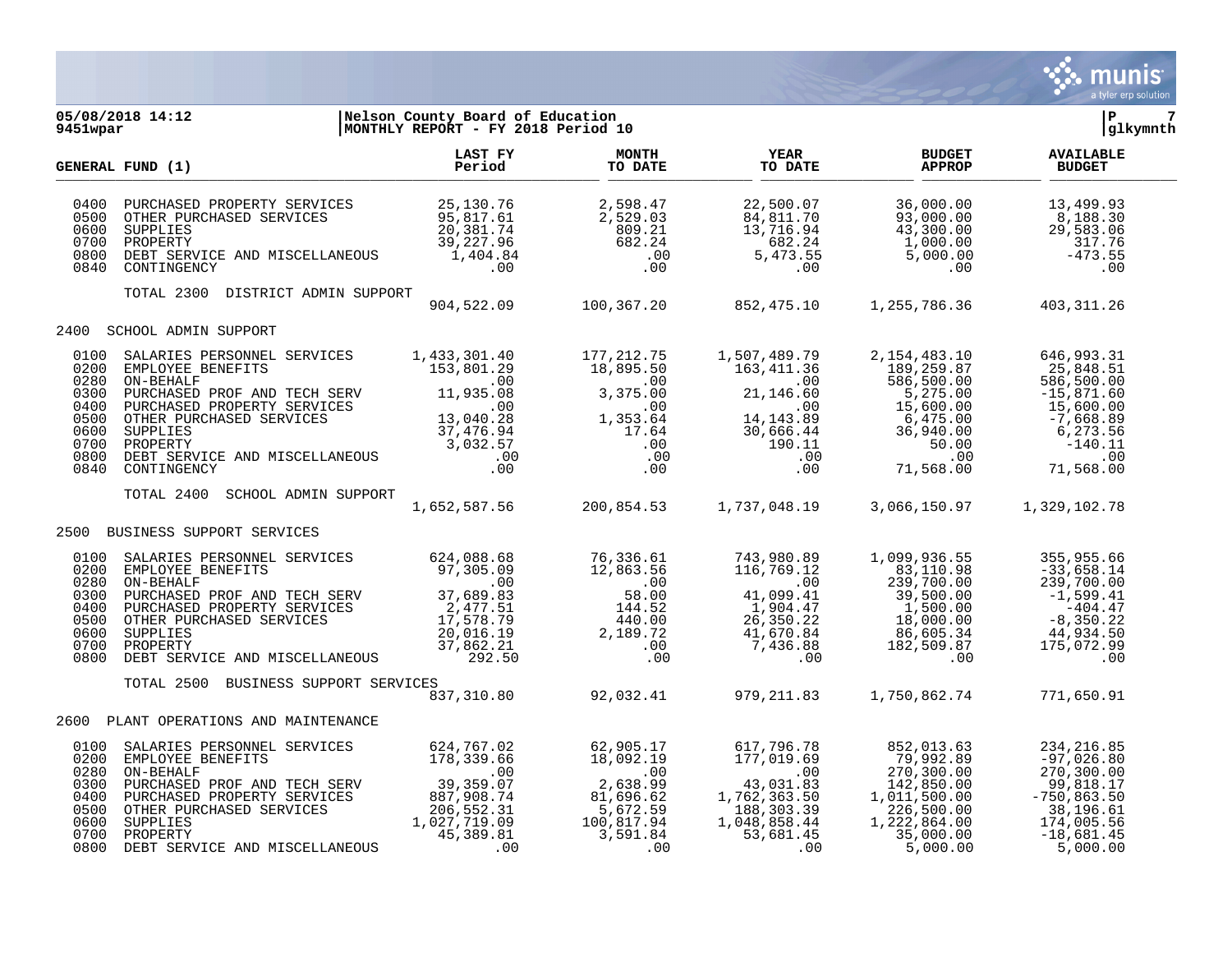

**05/08/2018 14:12 |Nelson County Board of Education |P 7 MONTHLY REPORT - FY 2018 Period 10 LAST FY MONTH YEAR BUDGET AVAILABLE GENERAL FUND (1) Period TO DATE TO DATE APPROP BUDGET**  TO DATE THE RESERVED FOUR (1) DODGET 0400 PURCHASED PROPERTY SERVICES  $\begin{array}{cccccccc} 25,130.76 & 2,598.47 & 22,500.07 & 36,000.00 & 13,499.93 \\ 0500 & \text{OTHER PURCHASED SERVICES} & 95,817.61 & 2,529.03 & 84,811.70 & 93,000.00 & 8,188.30 \end{array}$  0500 OTHER PURCHASED SERVICES 95,817.61 2,529.03 84,811.70 93,000.00 8,188.30 0600 SUPPLIES 20,381.74 809.21 13,716.94 43,300.00 29,583.06 0700 PROPERTY 39,227.96 682.24 682.24 1,000.00 317.76 0800 DEBT SERVICE AND MISCELLANEOUS 1,404.84 .00 5,473.55 5,000.00 -473.55 0840 CONTINGENCY .00 .00 .00 .00 .00 TOTAL 2300 DISTRICT ADMIN SUPPORT 904,522.09 100,367.20 852,475.10 1,255,786.36 403,311.26 2400 SCHOOL ADMIN SUPPORT 0100 SALARIES PERSONNEL SERVICES 1,433,301.40 177,212.75 1,507,489.79 2,154,483.10 646,993.31<br>0200 EMPLOYEE BENEFITS 153,801.29 18,895.50 163,411.36 189,259.87 25,848.51<br>00 .00 586,500.00 586,500.00 586,500.00 0200 EMPLOYEE BENEFITS 153,801.29 18,895.50 163,411.36 153,801.29 18,895.50 163,411.36<br>00.00 10. 0280 ON-BEHALF .00 .00 .00 586,500.00 586,500.00  $\begin{array}{cccccccc} 0300 & \text{FURCHASED} & \text{PROF} & \text{AND} & \text{TECH} & \text{SERV} & & & & 11,935.08 & & & & 3,375.00 & & & & 21,146.60 & & & & & 5,275.00 & & & -15,871.60 \ 0400 & \text{PURCHASED} & \text{PROPERTY} & \text{SENUCES} & & & & & & 00 & & & & 00 \end{array}$  0400 PURCHASED PROPERTY SERVICES .00 .00 .00 15,600.00 15,600.00 0500 OTHER PURCHASED SERVICES 13,040.28 1,353.64 14,143.89 6,475.00 -7,668.89<br>0600 OTHER DUPLIES 37,476.94 17.64 30,666.44 36,940.00 6,273.56 0600 SUPPLIES 37,476.94 17.64 30,666.44 36,940.00 6,273.56 0700 PROPERTY 3,032.57 .00 190.11 50.00 -140.11 0800 DEBT SERVICE AND MISCELLANEOUS .00 .00 .00 .00 .00 0840 CONTINGENCY .00 .00 .00 71,568.00 71,568.00 TOTAL 2400 SCHOOL ADMIN SUPPORT 1,652,587.56 200,854.53 1,737,048.19 3,066,150.97 1,329,102.78 2500 BUSINESS SUPPORT SERVICES 0100 SALARIES PERSONNEL SERVICES 624,088.68 76,336.61 743,980.89 1,099,936.55 355,955.66<br>116,769.12 83,110.98 -33,658.14 97,305.09 12,863.56 116,769.12 83,110.98 -33,658.14 0200 EMPLOYEE BENEFITS 97,305.09 12,863.56 116,769.12 83,110.98 -33,658.14 0280 ON-BEHALF .00 .00 .00 239,700.00 239,700.00 0300 PURCHASED PROF AND TECH SERV 37,689.83 58.00 41,099.41 39,500.00 -1,599.41<br>0400 PURCHASED PROPERTY SERVICES 2,477.51 144.52 1,904.47 1,500.00 -404.47 0400 PURCHASED PROPERTY SERVICES 2,477.51 144.52 1,904.47 1,500.00 -404.47 0500 OTHER PURCHASED SERVICES 17,578.79 440.00 26,350.22 18,000.00 -8,350.22 0600 SUPPLIES 20,016.19 2,189.72 41,670.84 86,605.34 44,934.50 0700 PROPERTY 37,862.21 .00 7,436.88 182,509.87 175,072.99 0800 DEBT SERVICE AND MISCELLANEOUS 292.50 .00 .00 .00 .00 TOTAL 2500 BUSINESS SUPPORT SERVICES 837,310.80 92,032.41 979,211.83 1,750,862.74 771,650.91 2600 PLANT OPERATIONS AND MAINTENANCE 0100 SALARIES PERSONNEL SERVICES 624,767.02 62,905.17 617,796.78 852,013.63 234,216.85<br>0200 EMPLOYEE BENEFITS 178,339.66 18,092.19 177,019.69 79,992.89 -97,026.80 0200 EMPLOYEE BENEFITS 178,339.66 18,092.19 177,019.69 79,992.89 -97,026.80 0280 ON-BEHALF .00 .00 .00 270,300.00 270,300.00 0300 PURCHASED PROF AND TECH SERV 39,359.07 2,638.99 43,031.83 142,850.00 99,818.17<br>0400 PURCHASED PROPERTY SERVICES 887,908.74 81,696.62 1,762,363.50 1,011,500.00 -750,863.50 0400 PURCHASED PROPERTY SERVICES 887,908.74 81,696.62 1,762,363.50 1,011,500.00 -750,863.50<br>0500 OTHER PURCHASED SERVICES 206,552.31 5,672.59 188,303.39 226,500.00 38,196.61 0500 OTHER PURCHASED SERVICES 206,552.31 5,672.59 188,303.39 226,500.00 38,196.61<br>1.027.719.09 100,817.94 1,048,858.44 1,222,864.00 174,005.56 0600 SUPPLIES 1,027,719.09 100,817.94 1,048,858.44 1,222,864.00 174,005.56

 0700 PROPERTY 45,389.81 3,591.84 53,681.45 35,000.00 -18,681.45 0800 DEBT SERVICE AND MISCELLANEOUS .00 .00 .00 5,000.00 5,000.00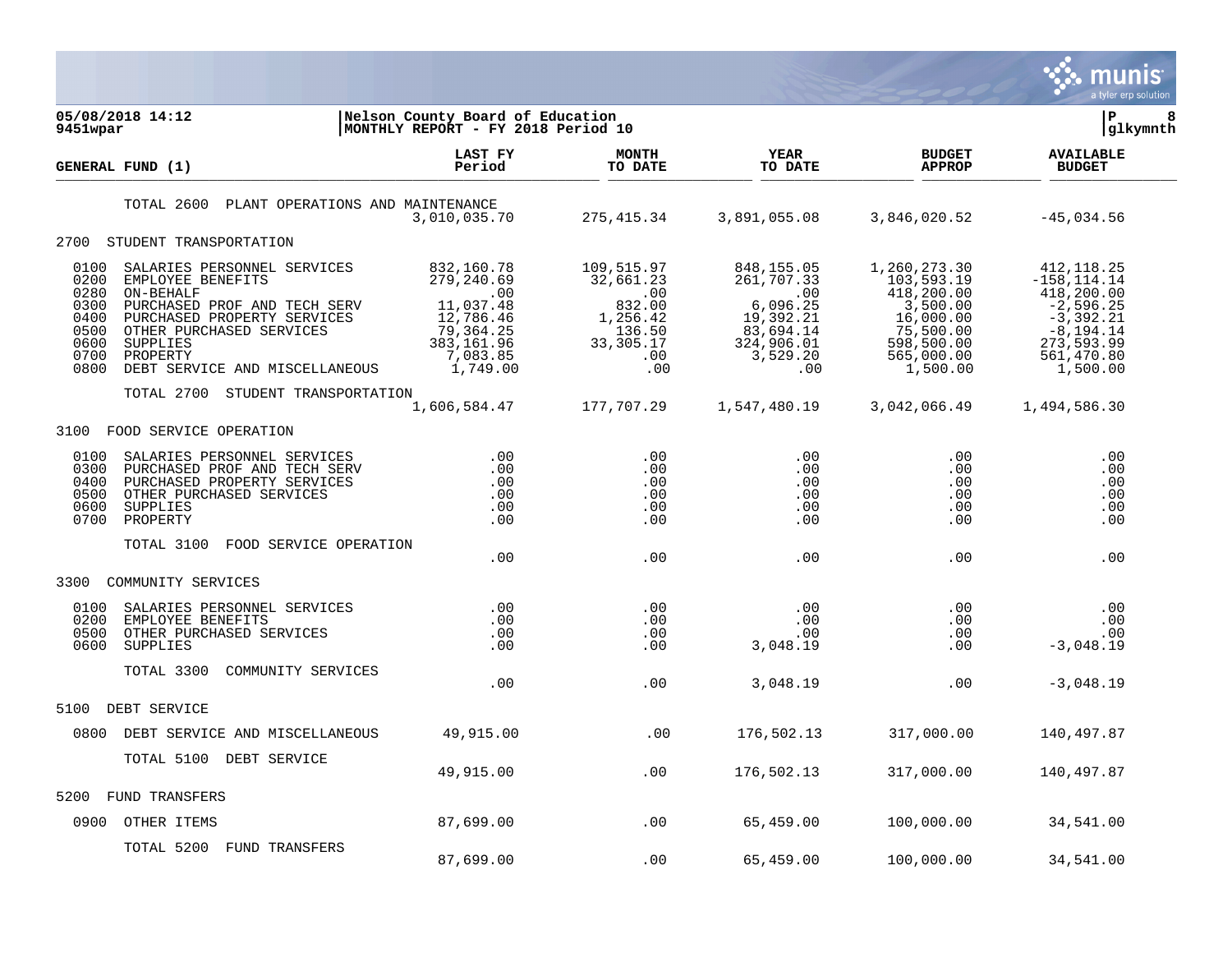

| 9451wpar                                                             | 05/08/2018 14:12                                                                                                                                                                                                   | Nelson County Board of Education<br>MONTHLY REPORT - FY 2018 Period 10                                              |                                                                                             |                                                                                                         |                                                                                                                        | lР<br>8<br> glkymnth                                                                                                              |
|----------------------------------------------------------------------|--------------------------------------------------------------------------------------------------------------------------------------------------------------------------------------------------------------------|---------------------------------------------------------------------------------------------------------------------|---------------------------------------------------------------------------------------------|---------------------------------------------------------------------------------------------------------|------------------------------------------------------------------------------------------------------------------------|-----------------------------------------------------------------------------------------------------------------------------------|
|                                                                      | GENERAL FUND (1)                                                                                                                                                                                                   | LAST FY<br>Period                                                                                                   | <b>MONTH</b><br>TO DATE                                                                     | YEAR<br>TO DATE                                                                                         | <b>BUDGET</b><br><b>APPROP</b>                                                                                         | <b>AVAILABLE</b><br><b>BUDGET</b>                                                                                                 |
|                                                                      | TOTAL 2600<br>PLANT OPERATIONS AND MAINTENANCE                                                                                                                                                                     | 3,010,035.70                                                                                                        | 275, 415.34                                                                                 | 3,891,055.08                                                                                            | 3,846,020.52                                                                                                           | $-45,034.56$                                                                                                                      |
| 2700                                                                 | STUDENT TRANSPORTATION                                                                                                                                                                                             |                                                                                                                     |                                                                                             |                                                                                                         |                                                                                                                        |                                                                                                                                   |
| 0100<br>0200<br>0280<br>0300<br>0400<br>0500<br>0600<br>0700<br>0800 | SALARIES PERSONNEL SERVICES<br>EMPLOYEE BENEFITS<br>ON-BEHALF<br>PURCHASED PROF AND TECH SERV<br>PURCHASED PROPERTY SERVICES<br>OTHER PURCHASED SERVICES<br>SUPPLIES<br>PROPERTY<br>DEBT SERVICE AND MISCELLANEOUS | 832,160.78<br>279,240.69<br>$\sim 00$<br>11,037.48<br>12,786.46<br>79,364.25<br>383, 161.96<br>7,083.85<br>1,749.00 | 109,515.97<br>32,661.23<br>.00<br>832.00<br>1,256.42<br>136.50<br>33, 305. 17<br>.00<br>.00 | 848, 155.05<br>261,707.33<br>.00<br>6,096.25<br>19,392.21<br>83,694.14<br>324,906.01<br>3,529.20<br>.00 | 1,260,273.30<br>103,593.19<br>418,200.00<br>3,500.00<br>16,000.00<br>75,500.00<br>598,500.00<br>565,000.00<br>1,500.00 | 412,118.25<br>$-158, 114.14$<br>418,200.00<br>$-2,596.25$<br>$-3,392.21$<br>$-8, 194.14$<br>273, 593.99<br>561,470.80<br>1,500.00 |
|                                                                      | STUDENT TRANSPORTATION<br>TOTAL 2700                                                                                                                                                                               | 1,606,584.47                                                                                                        | 177,707.29                                                                                  | 1,547,480.19                                                                                            | 3,042,066.49                                                                                                           | 1,494,586.30                                                                                                                      |
| 3100                                                                 | FOOD SERVICE OPERATION                                                                                                                                                                                             |                                                                                                                     |                                                                                             |                                                                                                         |                                                                                                                        |                                                                                                                                   |
| 0100<br>0300<br>0400<br>0500<br>0600<br>0700                         | SALARIES PERSONNEL SERVICES<br>PURCHASED PROF AND TECH SERV<br>PURCHASED PROPERTY SERVICES<br>OTHER PURCHASED SERVICES<br><b>SUPPLIES</b><br>PROPERTY                                                              | .00<br>.00<br>.00<br>.00<br>.00<br>.00                                                                              | $.00 \,$<br>.00<br>.00<br>.00<br>.00<br>.00                                                 | $.00 \,$<br>.00<br>$.00 \,$<br>.00<br>.00<br>.00                                                        | .00<br>.00<br>.00<br>.00<br>.00<br>.00                                                                                 | .00<br>.00<br>.00<br>.00<br>.00<br>.00                                                                                            |
|                                                                      | TOTAL 3100<br>FOOD SERVICE OPERATION                                                                                                                                                                               | .00                                                                                                                 | .00                                                                                         | .00                                                                                                     | .00                                                                                                                    | .00                                                                                                                               |
| 3300                                                                 | COMMUNITY SERVICES                                                                                                                                                                                                 |                                                                                                                     |                                                                                             |                                                                                                         |                                                                                                                        |                                                                                                                                   |
| 0100<br>0200<br>0500<br>0600                                         | SALARIES PERSONNEL SERVICES<br>EMPLOYEE BENEFITS<br>OTHER PURCHASED SERVICES<br><b>SUPPLIES</b>                                                                                                                    | .00<br>.00<br>.00<br>.00                                                                                            | .00<br>.00<br>.00<br>.00                                                                    | .00<br>.00<br>.00<br>3,048.19                                                                           | .00<br>.00<br>.00<br>.00                                                                                               | .00<br>.00<br>.00<br>$-3,048.19$                                                                                                  |
|                                                                      | TOTAL 3300<br>COMMUNITY SERVICES                                                                                                                                                                                   | .00                                                                                                                 | .00                                                                                         | 3,048.19                                                                                                | .00                                                                                                                    | $-3,048.19$                                                                                                                       |
| 5100                                                                 | DEBT SERVICE                                                                                                                                                                                                       |                                                                                                                     |                                                                                             |                                                                                                         |                                                                                                                        |                                                                                                                                   |
| 0800                                                                 | DEBT SERVICE AND MISCELLANEOUS                                                                                                                                                                                     | 49,915.00                                                                                                           | .00                                                                                         | 176,502.13                                                                                              | 317,000.00                                                                                                             | 140,497.87                                                                                                                        |
|                                                                      | TOTAL 5100<br>DEBT SERVICE                                                                                                                                                                                         | 49,915.00                                                                                                           | .00                                                                                         | 176,502.13                                                                                              | 317,000.00                                                                                                             | 140,497.87                                                                                                                        |
| 5200                                                                 | FUND TRANSFERS                                                                                                                                                                                                     |                                                                                                                     |                                                                                             |                                                                                                         |                                                                                                                        |                                                                                                                                   |
| 0900                                                                 | OTHER ITEMS                                                                                                                                                                                                        | 87,699.00                                                                                                           | .00                                                                                         | 65,459.00                                                                                               | 100,000.00                                                                                                             | 34,541.00                                                                                                                         |
|                                                                      | TOTAL 5200<br>FUND TRANSFERS                                                                                                                                                                                       | 87,699.00                                                                                                           | .00                                                                                         | 65,459.00                                                                                               | 100,000.00                                                                                                             | 34,541.00                                                                                                                         |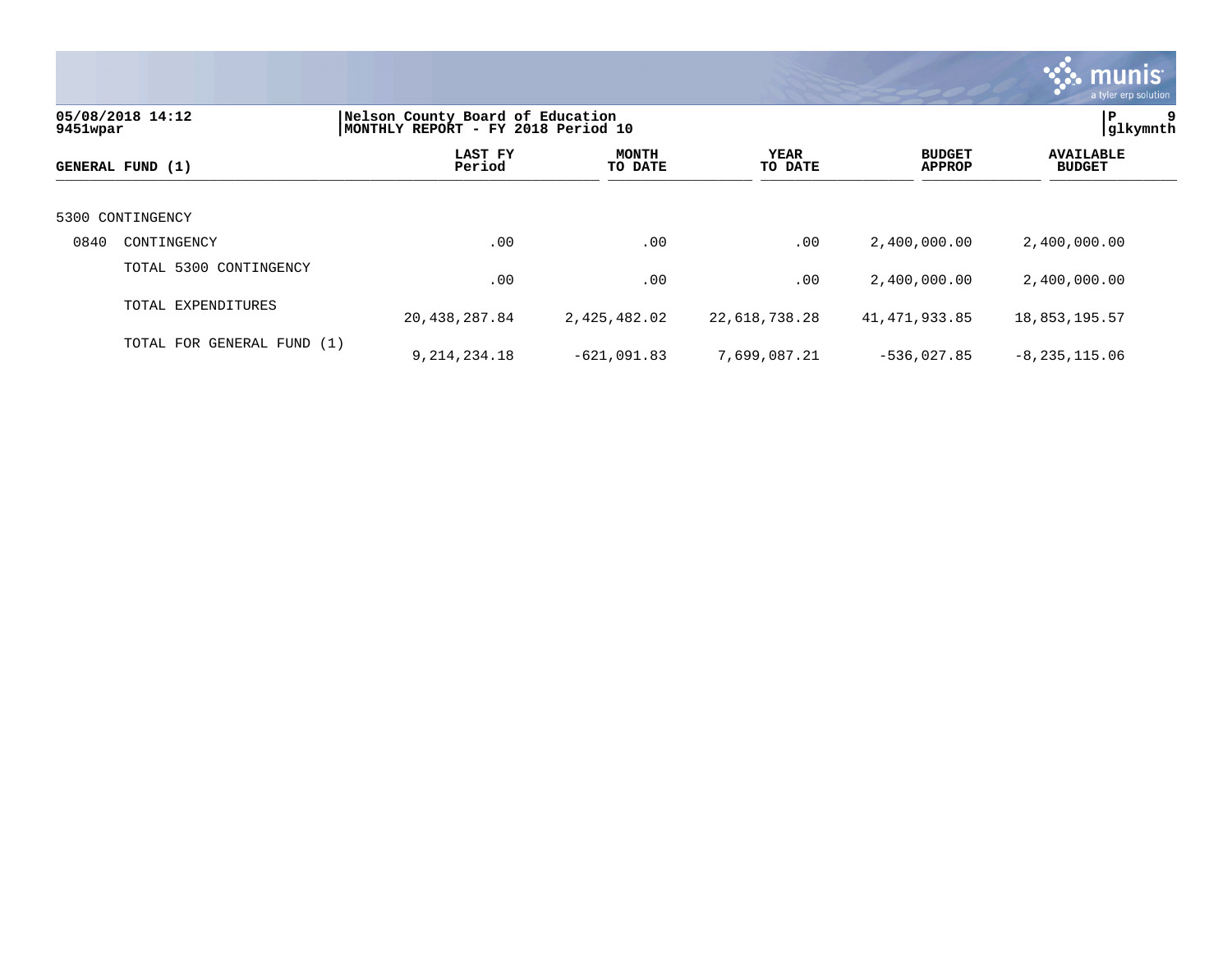|                                                                                                        |                            |                   |                         |                        |                                | <b>W. munis</b><br>a tyler erp solution |  |
|--------------------------------------------------------------------------------------------------------|----------------------------|-------------------|-------------------------|------------------------|--------------------------------|-----------------------------------------|--|
| 05/08/2018 14:12<br>Nelson County Board of Education<br>MONTHLY REPORT - FY 2018 Period 10<br>9451wpar |                            |                   |                         |                        |                                |                                         |  |
|                                                                                                        | GENERAL FUND (1)           | LAST FY<br>Period | <b>MONTH</b><br>TO DATE | <b>YEAR</b><br>TO DATE | <b>BUDGET</b><br><b>APPROP</b> | <b>AVAILABLE</b><br><b>BUDGET</b>       |  |
| 5300                                                                                                   | CONTINGENCY                |                   |                         |                        |                                |                                         |  |
| 0840                                                                                                   | CONTINGENCY                | .00               | .00                     | .00                    | 2,400,000.00                   | 2,400,000.00                            |  |
|                                                                                                        | TOTAL 5300 CONTINGENCY     | .00               | .00                     | .00                    | 2,400,000.00                   | 2,400,000.00                            |  |
|                                                                                                        | TOTAL EXPENDITURES         | 20, 438, 287.84   | 2,425,482.02            | 22,618,738.28          | 41, 471, 933.85                | 18,853,195.57                           |  |
|                                                                                                        | TOTAL FOR GENERAL FUND (1) | 9,214,234.18      | $-621,091.83$           | 7,699,087.21           | $-536,027.85$                  | $-8, 235, 115.06$                       |  |

 $\mathcal{L}$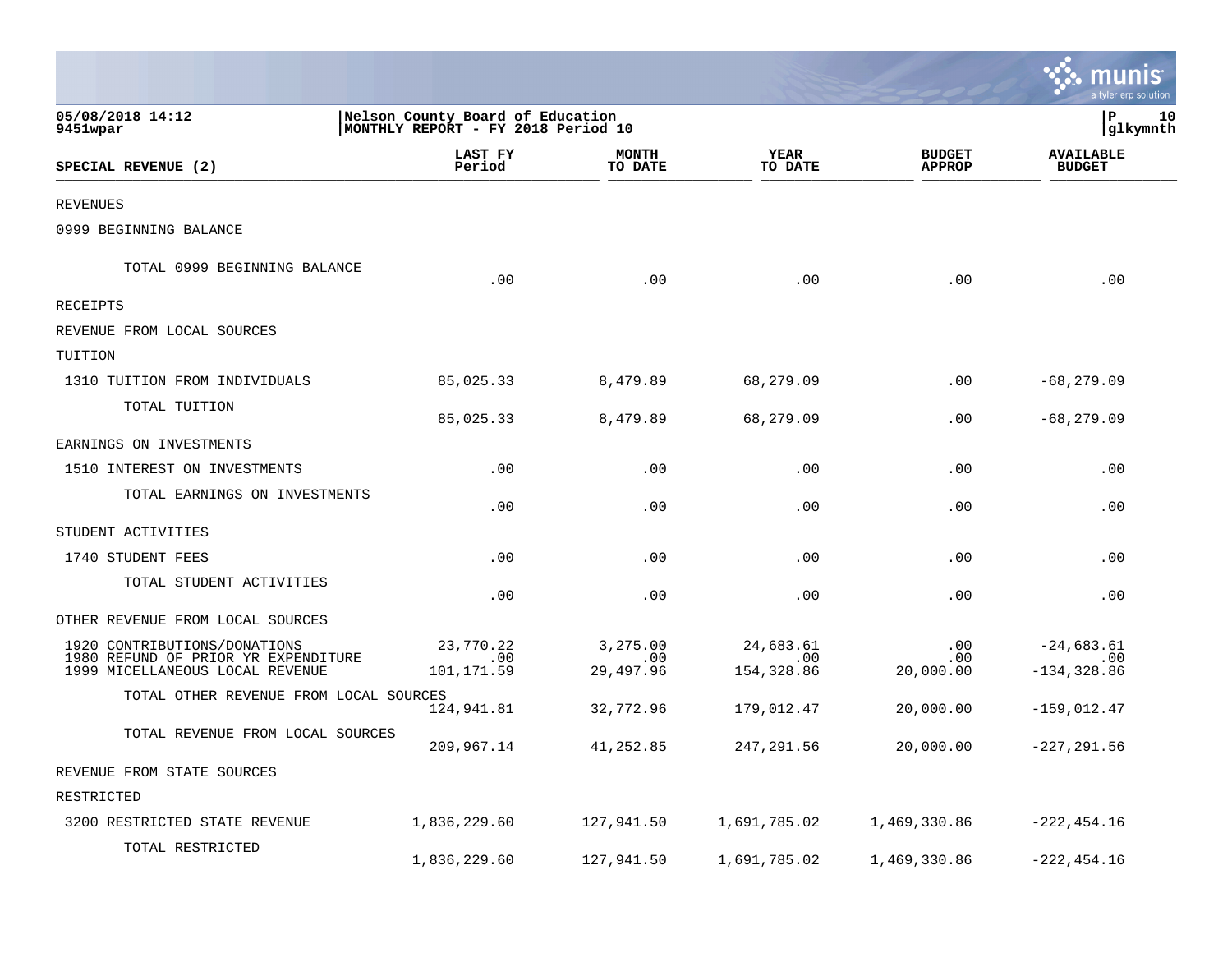|                                                                                                        |                                                                        |                                   |                                     |                                | a tyler erp solution                  |
|--------------------------------------------------------------------------------------------------------|------------------------------------------------------------------------|-----------------------------------|-------------------------------------|--------------------------------|---------------------------------------|
| 05/08/2018 14:12<br>9451wpar                                                                           | Nelson County Board of Education<br>MONTHLY REPORT - FY 2018 Period 10 |                                   |                                     |                                | P<br>10<br>glkymnth                   |
| SPECIAL REVENUE (2)                                                                                    | <b>LAST FY</b><br>Period                                               | <b>MONTH</b><br>TO DATE           | YEAR<br>TO DATE                     | <b>BUDGET</b><br><b>APPROP</b> | <b>AVAILABLE</b><br><b>BUDGET</b>     |
| <b>REVENUES</b>                                                                                        |                                                                        |                                   |                                     |                                |                                       |
| 0999 BEGINNING BALANCE                                                                                 |                                                                        |                                   |                                     |                                |                                       |
| TOTAL 0999 BEGINNING BALANCE                                                                           | .00                                                                    | .00                               | .00                                 | .00                            | .00                                   |
| RECEIPTS                                                                                               |                                                                        |                                   |                                     |                                |                                       |
| REVENUE FROM LOCAL SOURCES                                                                             |                                                                        |                                   |                                     |                                |                                       |
| TUITION                                                                                                |                                                                        |                                   |                                     |                                |                                       |
| 1310 TUITION FROM INDIVIDUALS                                                                          | 85,025.33                                                              | 8,479.89                          | 68,279.09                           | .00                            | $-68, 279.09$                         |
| TOTAL TUITION                                                                                          | 85,025.33                                                              | 8,479.89                          | 68,279.09                           | .00                            | $-68, 279.09$                         |
| EARNINGS ON INVESTMENTS                                                                                |                                                                        |                                   |                                     |                                |                                       |
| 1510 INTEREST ON INVESTMENTS                                                                           | .00                                                                    | .00                               | .00                                 | .00                            | .00                                   |
| TOTAL EARNINGS ON INVESTMENTS                                                                          | .00                                                                    | .00                               | .00                                 | .00                            | .00                                   |
| STUDENT ACTIVITIES                                                                                     |                                                                        |                                   |                                     |                                |                                       |
| 1740 STUDENT FEES                                                                                      | .00                                                                    | .00                               | .00                                 | .00                            | .00                                   |
| TOTAL STUDENT ACTIVITIES                                                                               | .00                                                                    | .00                               | .00                                 | .00                            | .00                                   |
| OTHER REVENUE FROM LOCAL SOURCES                                                                       |                                                                        |                                   |                                     |                                |                                       |
| 1920 CONTRIBUTIONS/DONATIONS<br>1980 REFUND OF PRIOR YR EXPENDITURE<br>1999 MICELLANEOUS LOCAL REVENUE | 23,770.22<br>$.00 \,$<br>101,171.59                                    | 3,275.00<br>$.00 \,$<br>29,497.96 | 24,683.61<br>$.00 \,$<br>154,328.86 | .00<br>.00<br>20,000.00        | $-24,683.61$<br>.00<br>$-134, 328.86$ |
| TOTAL OTHER REVENUE FROM LOCAL SOURCES                                                                 | 124,941.81                                                             | 32,772.96                         | 179,012.47                          | 20,000.00                      | $-159,012.47$                         |
| TOTAL REVENUE FROM LOCAL SOURCES                                                                       | 209,967.14                                                             | 41,252.85                         | 247,291.56                          | 20,000.00                      | $-227, 291.56$                        |
| REVENUE FROM STATE SOURCES                                                                             |                                                                        |                                   |                                     |                                |                                       |
| RESTRICTED                                                                                             |                                                                        |                                   |                                     |                                |                                       |
| 3200 RESTRICTED STATE REVENUE                                                                          | 1,836,229.60                                                           | 127,941.50                        | 1,691,785.02                        | 1,469,330.86                   | $-222, 454.16$                        |
| TOTAL RESTRICTED                                                                                       | 1,836,229.60                                                           | 127,941.50                        | 1,691,785.02                        | 1,469,330.86                   | $-222, 454.16$                        |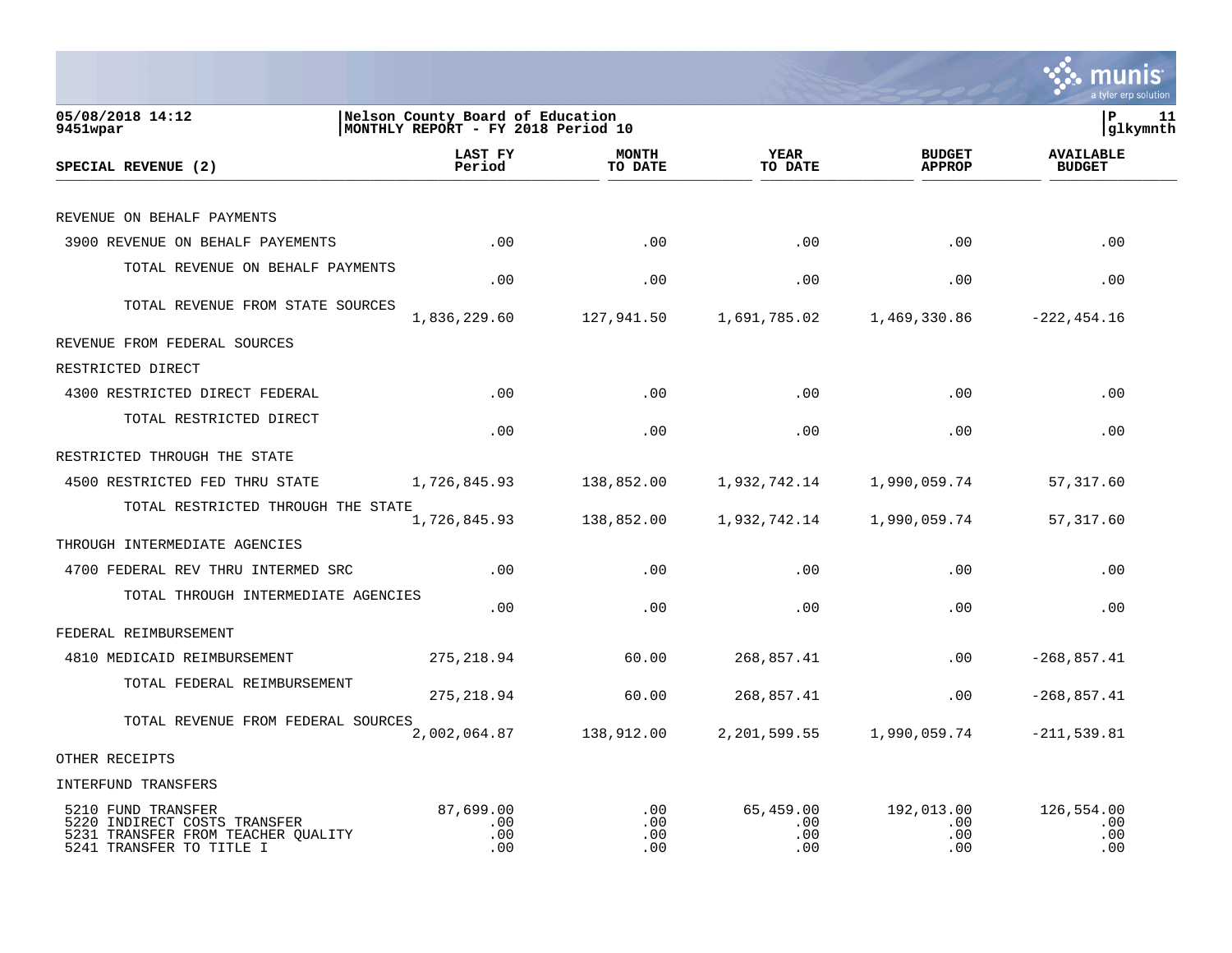

| 05/08/2018 14:12<br>9451wpar                                                                                         | Nelson County Board of Education<br>MONTHLY REPORT - FY 2018 Period 10 |                          |                                |                                 | lР<br>11<br> glkymnth             |  |
|----------------------------------------------------------------------------------------------------------------------|------------------------------------------------------------------------|--------------------------|--------------------------------|---------------------------------|-----------------------------------|--|
| SPECIAL REVENUE (2)                                                                                                  | LAST FY<br>Period                                                      | <b>MONTH</b><br>TO DATE  | <b>YEAR</b><br>TO DATE         | <b>BUDGET</b><br><b>APPROP</b>  | <b>AVAILABLE</b><br><b>BUDGET</b> |  |
|                                                                                                                      |                                                                        |                          |                                |                                 |                                   |  |
| REVENUE ON BEHALF PAYMENTS                                                                                           |                                                                        |                          |                                |                                 |                                   |  |
| 3900 REVENUE ON BEHALF PAYEMENTS                                                                                     | .00                                                                    | .00                      | .00                            | .00                             | .00                               |  |
| TOTAL REVENUE ON BEHALF PAYMENTS                                                                                     | .00                                                                    | .00                      | .00                            | .00                             | .00                               |  |
| TOTAL REVENUE FROM STATE SOURCES                                                                                     | 1,836,229.60                                                           | 127,941.50               | 1,691,785.02                   | 1,469,330.86                    | $-222, 454.16$                    |  |
| REVENUE FROM FEDERAL SOURCES                                                                                         |                                                                        |                          |                                |                                 |                                   |  |
| RESTRICTED DIRECT                                                                                                    |                                                                        |                          |                                |                                 |                                   |  |
| 4300 RESTRICTED DIRECT FEDERAL                                                                                       | .00                                                                    | .00                      | .00                            | .00                             | .00                               |  |
| TOTAL RESTRICTED DIRECT                                                                                              | .00                                                                    | .00                      | .00                            | .00                             | .00                               |  |
| RESTRICTED THROUGH THE STATE                                                                                         |                                                                        |                          |                                |                                 |                                   |  |
| 4500 RESTRICTED FED THRU STATE                                                                                       | 1,726,845.93                                                           | 138,852.00               | 1,932,742.14                   | 1,990,059.74                    | 57,317.60                         |  |
| TOTAL RESTRICTED THROUGH THE STATE                                                                                   | 1,726,845.93                                                           | 138,852.00               | 1,932,742.14                   | 1,990,059.74                    | 57,317.60                         |  |
| THROUGH INTERMEDIATE AGENCIES                                                                                        |                                                                        |                          |                                |                                 |                                   |  |
| 4700 FEDERAL REV THRU INTERMED SRC                                                                                   | .00                                                                    | .00                      | .00                            | .00                             | .00                               |  |
| TOTAL THROUGH INTERMEDIATE AGENCIES                                                                                  | .00                                                                    | .00                      | .00                            | .00                             | .00                               |  |
| FEDERAL REIMBURSEMENT                                                                                                |                                                                        |                          |                                |                                 |                                   |  |
| 4810 MEDICAID REIMBURSEMENT                                                                                          | 275, 218.94                                                            | 60.00                    | 268,857.41                     | .00                             | $-268, 857.41$                    |  |
| TOTAL FEDERAL REIMBURSEMENT                                                                                          | 275, 218.94                                                            | 60.00                    | 268,857.41                     | .00                             | $-268,857.41$                     |  |
| TOTAL REVENUE FROM FEDERAL SOURCES                                                                                   | 2,002,064.87                                                           | 138,912.00               | 2, 201, 599.55                 | 1,990,059.74                    | $-211,539.81$                     |  |
| OTHER RECEIPTS                                                                                                       |                                                                        |                          |                                |                                 |                                   |  |
| INTERFUND TRANSFERS                                                                                                  |                                                                        |                          |                                |                                 |                                   |  |
| 5210 FUND TRANSFER<br>5220 INDIRECT COSTS TRANSFER<br>5231 TRANSFER FROM TEACHER QUALITY<br>5241 TRANSFER TO TITLE I | 87,699.00<br>.00<br>.00<br>.00                                         | .00<br>.00<br>.00<br>.00 | 65,459.00<br>.00<br>.00<br>.00 | 192,013.00<br>.00<br>.00<br>.00 | 126,554.00<br>.00<br>.00<br>.00   |  |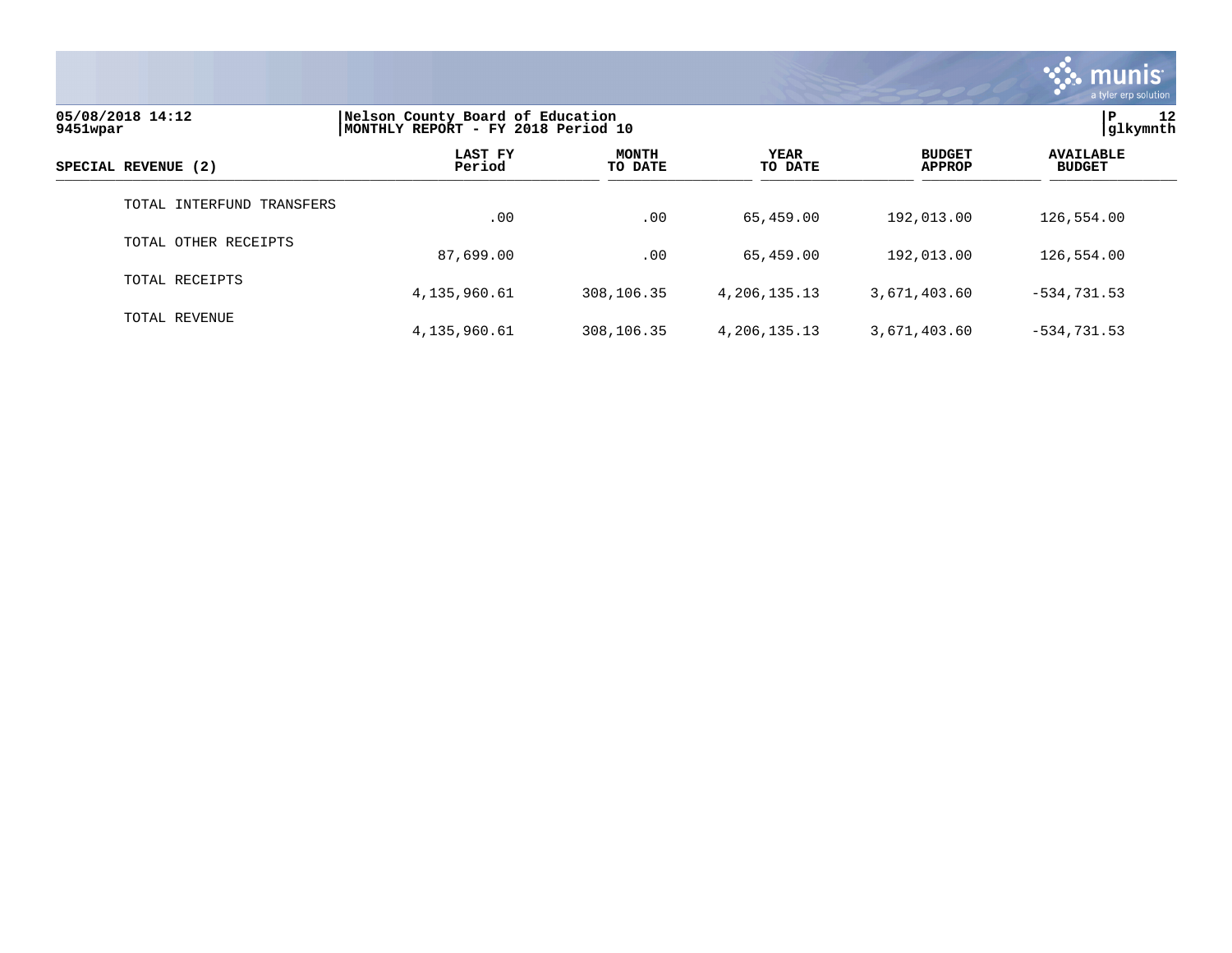

| 05/08/2018 14:12<br>9451wpar | Nelson County Board of Education<br>MONTHLY REPORT - FY 2018 Period 10 | 12<br>í P<br> glkymnth  |                        |                                |                                   |
|------------------------------|------------------------------------------------------------------------|-------------------------|------------------------|--------------------------------|-----------------------------------|
| SPECIAL REVENUE (2)          | LAST FY<br>Period                                                      | <b>MONTH</b><br>TO DATE | <b>YEAR</b><br>TO DATE | <b>BUDGET</b><br><b>APPROP</b> | <b>AVAILABLE</b><br><b>BUDGET</b> |
| TOTAL INTERFUND TRANSFERS    | .00                                                                    | .00                     | 65,459.00              | 192,013.00                     | 126,554.00                        |
| TOTAL OTHER RECEIPTS         | 87,699.00                                                              | .00                     | 65,459.00              | 192,013.00                     | 126,554.00                        |
| TOTAL RECEIPTS               | 4,135,960.61                                                           | 308,106.35              | 4,206,135.13           | 3,671,403.60                   | $-534, 731.53$                    |
| TOTAL REVENUE                | 4,135,960.61                                                           | 308,106.35              | 4,206,135.13           | 3,671,403.60                   | $-534, 731.53$                    |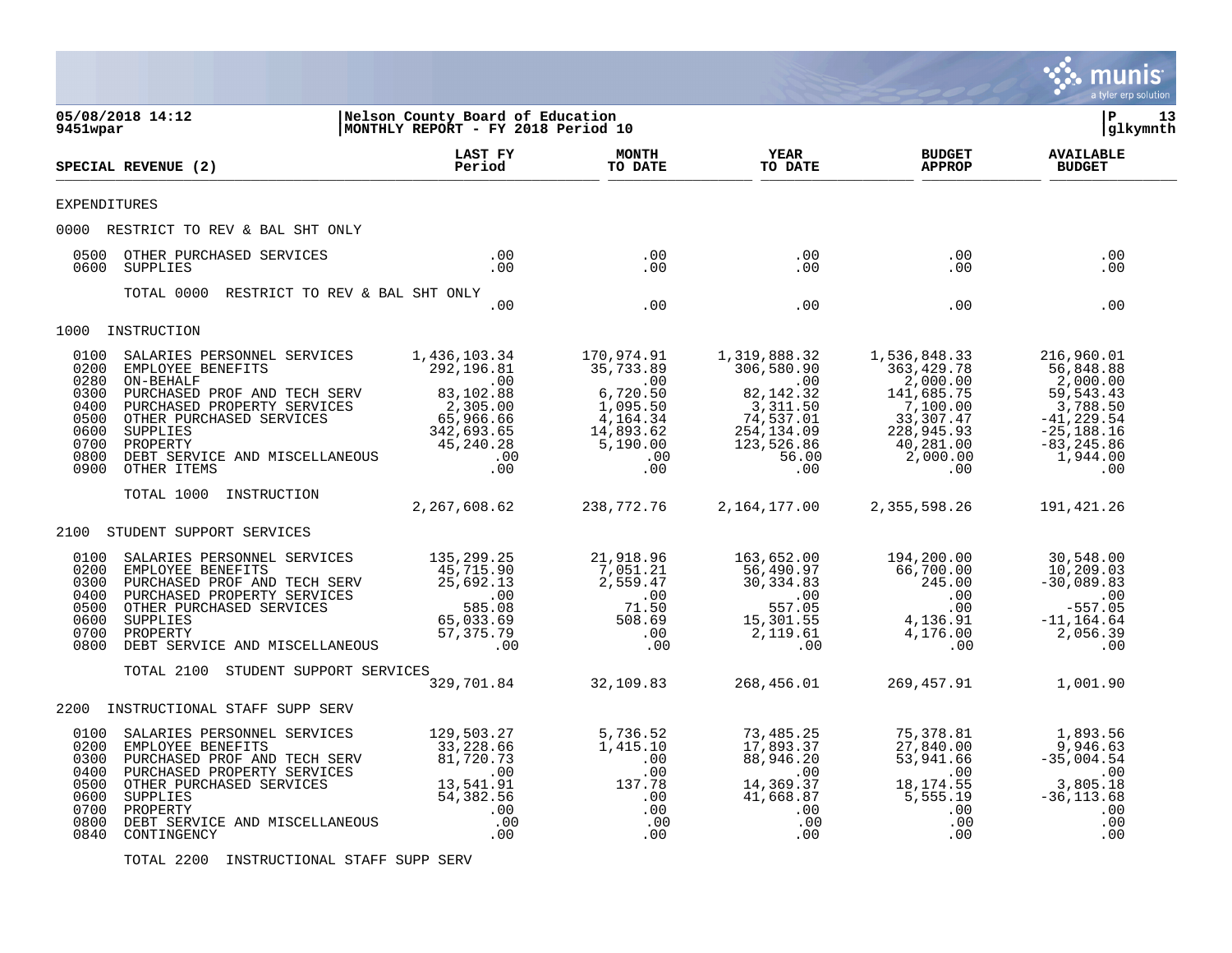

TOTAL 2200 INSTRUCTIONAL STAFF SUPP SERV

munis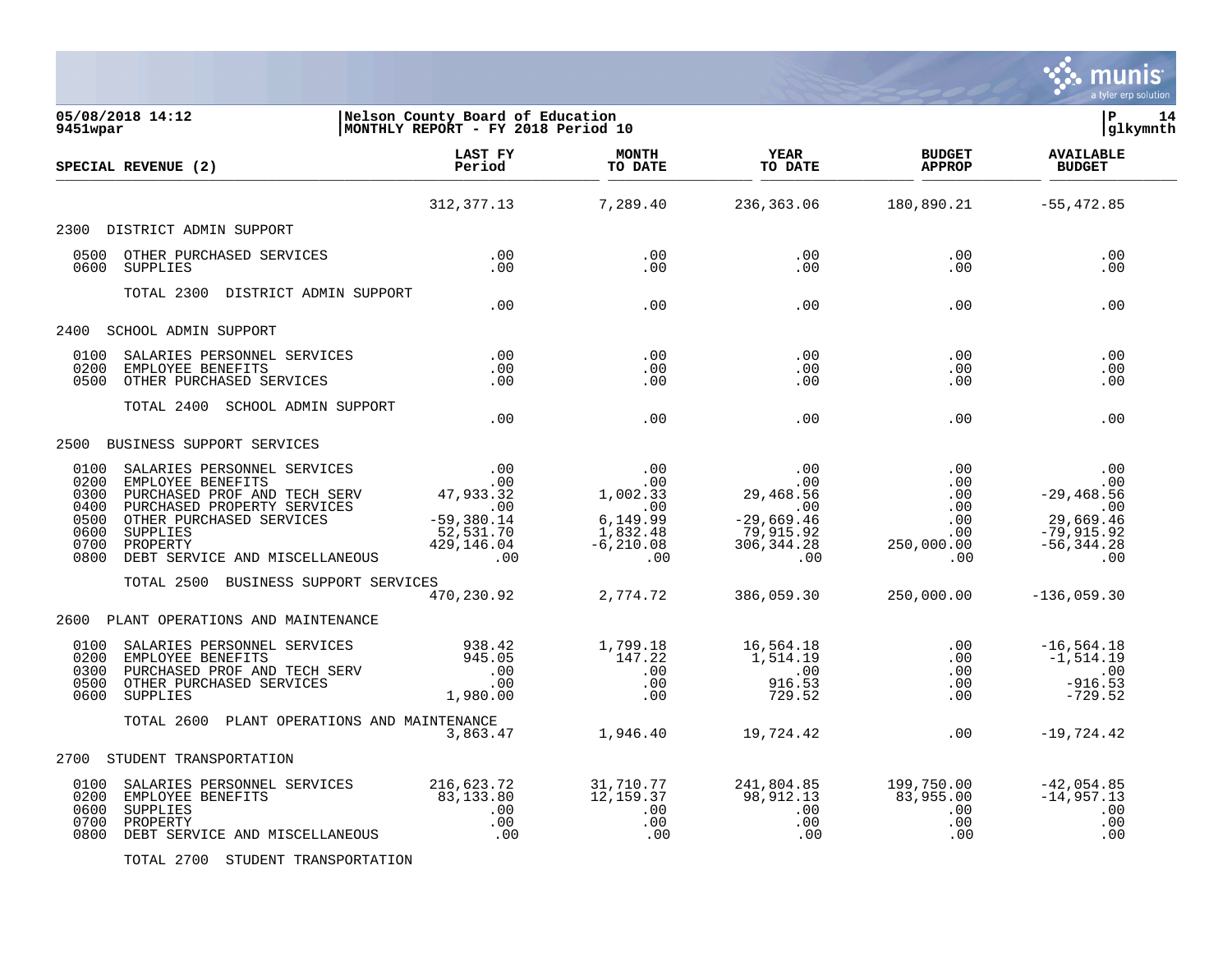

| 05/08/2018 14:12<br>9451wpar                                                                                                                                                                                                               | Nelson County Board of Bundarion.<br>MONTHLY REPORT - FY 2018 Period 10 |                                     |                                                                |                                | l P<br>14<br>glkymnth                                                        |
|--------------------------------------------------------------------------------------------------------------------------------------------------------------------------------------------------------------------------------------------|-------------------------------------------------------------------------|-------------------------------------|----------------------------------------------------------------|--------------------------------|------------------------------------------------------------------------------|
| SPECIAL REVENUE (2)                                                                                                                                                                                                                        |                                                                         |                                     | <b>Example 18 YEAR</b><br>TO DATE                              | <b>BUDGET</b><br><b>APPROP</b> | <b>AVAILABLE</b><br><b>BUDGET</b>                                            |
|                                                                                                                                                                                                                                            |                                                                         |                                     | $312,377.13$ $7,289.40$ $236,363.06$ $180,890.21$ $-55,472.85$ |                                |                                                                              |
| DISTRICT ADMIN SUPPORT<br>2300                                                                                                                                                                                                             |                                                                         |                                     |                                                                |                                |                                                                              |
| 0500 OTHER PURCHASED SERVICES<br>0600 SUPPLIES                                                                                                                                                                                             |                                                                         |                                     | $\begin{array}{c} 0.00 \\ 0.00 \end{array}$<br>.00<br>.00      | .00<br>.00                     | .00<br>.00                                                                   |
| TOTAL 2300 DISTRICT ADMIN SUPPORT                                                                                                                                                                                                          | .00                                                                     | .00                                 |                                                                | .00                            | .00<br>.00                                                                   |
| 2400 SCHOOL ADMIN SUPPORT                                                                                                                                                                                                                  |                                                                         |                                     |                                                                |                                |                                                                              |
| SALARIES PERSONNEL SERVICES (00)<br>EMPLOYEE BENEFITS (00)<br>OTHER PURCHASED SERVICES (00)<br>0100<br>0200<br>EMPLOYEE BENEFITS<br>0500 OTHER PURCHASED SERVICES                                                                          |                                                                         | .00<br>.00<br>.00                   | .00<br>.00<br>.00                                              | .00<br>.00<br>.00              | .00<br>.00<br>.00                                                            |
| TOTAL 2400 SCHOOL ADMIN SUPPORT                                                                                                                                                                                                            | .00                                                                     | .00                                 | .00                                                            | .00                            | .00                                                                          |
| 2500 BUSINESS SUPPORT SERVICES                                                                                                                                                                                                             |                                                                         |                                     |                                                                |                                |                                                                              |
|                                                                                                                                                                                                                                            |                                                                         |                                     |                                                                |                                |                                                                              |
| TOTAL 2500 BUSINESS SUPPORT SERVICES                                                                                                                                                                                                       |                                                                         | $\frac{15}{470}$ , 230.92 2, 774.72 | 386,059.30                                                     | 250,000.00                     | $-136,059.30$                                                                |
| PLANT OPERATIONS AND MAINTENANCE<br>2600                                                                                                                                                                                                   |                                                                         |                                     |                                                                |                                |                                                                              |
| 0100<br>0200<br>0300<br>0500 OTHER PURCHASED SERVICES<br>0600 SUPPLIES                                                                                                                                                                     |                                                                         |                                     |                                                                |                                |                                                                              |
| TOTAL 2600 PLANT OPERATIONS AND MAINTENANCE                                                                                                                                                                                                |                                                                         |                                     |                                                                | .00                            | $-19,724.42$                                                                 |
| 2700 STUDENT TRANSPORTATION                                                                                                                                                                                                                |                                                                         |                                     |                                                                |                                |                                                                              |
| 0100 SALARIES PERSONNEL SERVICES 216,623.72 31,710.77 241,804.85 199,750.00<br>0200 EMPLOYEE BENEFITS 83,133.80 83,133.80 12,159.37 98,912.13 83,955.00<br>00 .00 .00 .00 .00 .00<br>0700 PROPERTY .00 .00 .00 .00 .00 .00<br>0800 DEBT SE |                                                                         |                                     |                                                                |                                | -42,054.85<br>-14,957.13<br>$\begin{array}{c} .00 \\ .00 \end{array}$<br>.00 |

TOTAL 2700 STUDENT TRANSPORTATION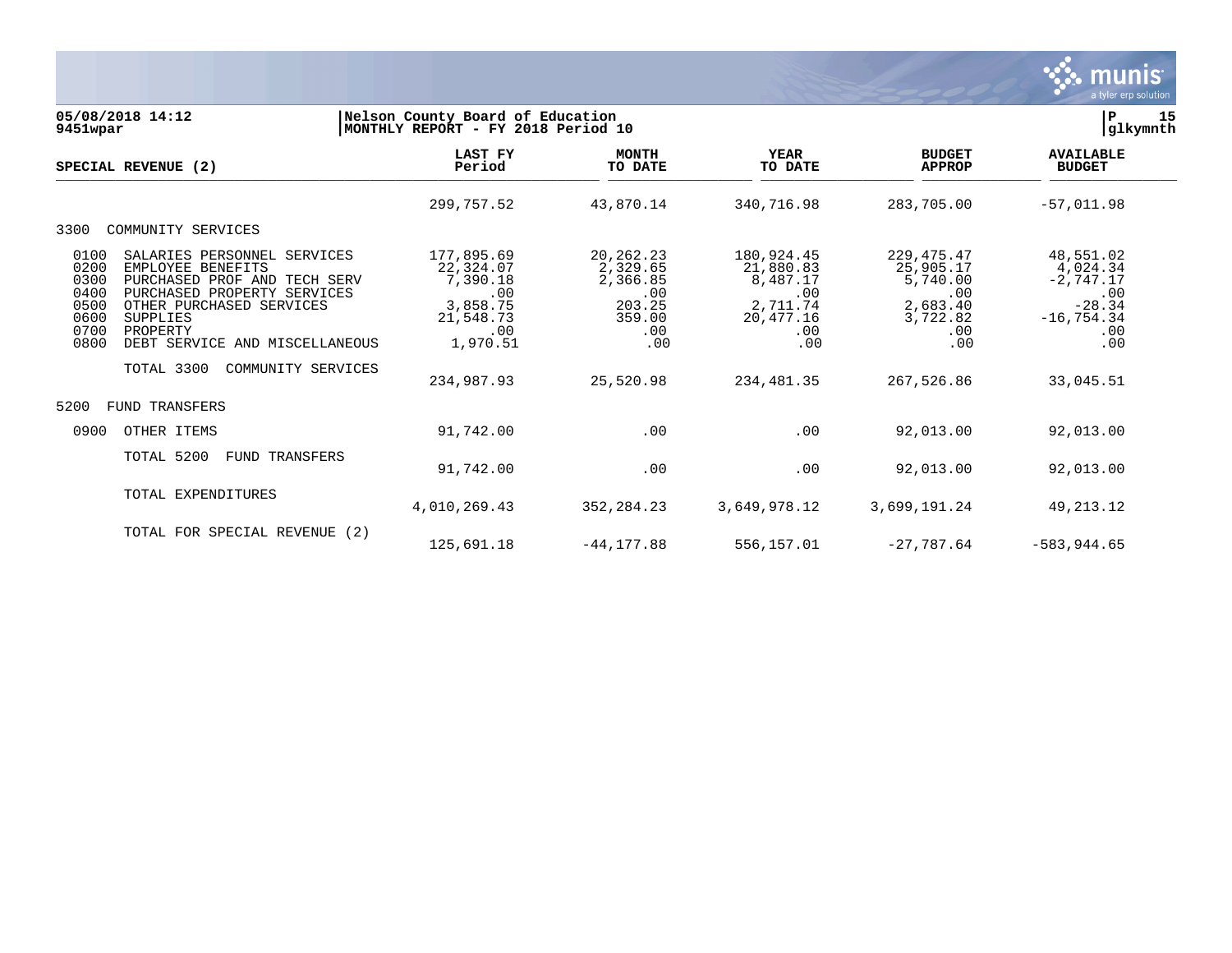

| 05/08/2018 14:12<br>9451wpar                                                                                            |                                                                                                                                                                                | Nelson County Board of Education<br>MONTHLY REPORT - FY 2018 Period 10                               |                                                                                           |                                                                                                 |                                                                                                  | 15<br>Р<br>glkymnth                                                                                 |
|-------------------------------------------------------------------------------------------------------------------------|--------------------------------------------------------------------------------------------------------------------------------------------------------------------------------|------------------------------------------------------------------------------------------------------|-------------------------------------------------------------------------------------------|-------------------------------------------------------------------------------------------------|--------------------------------------------------------------------------------------------------|-----------------------------------------------------------------------------------------------------|
| SPECIAL REVENUE (2)                                                                                                     |                                                                                                                                                                                | LAST FY<br>Period                                                                                    | <b>MONTH</b><br>TO DATE                                                                   | <b>YEAR</b><br>TO DATE                                                                          | <b>BUDGET</b><br><b>APPROP</b>                                                                   | <b>AVAILABLE</b><br><b>BUDGET</b>                                                                   |
|                                                                                                                         |                                                                                                                                                                                | 299,757.52                                                                                           | 43,870.14                                                                                 | 340,716.98                                                                                      | 283,705.00                                                                                       | $-57,011.98$                                                                                        |
| COMMUNITY SERVICES<br>3300                                                                                              |                                                                                                                                                                                |                                                                                                      |                                                                                           |                                                                                                 |                                                                                                  |                                                                                                     |
| 0100<br>0200<br>EMPLOYEE BENEFITS<br>0300<br>0400<br>0500<br>0600<br>SUPPLIES<br>0700<br>PROPERTY<br>0800<br>TOTAL 3300 | SALARIES PERSONNEL SERVICES<br>PURCHASED PROF AND TECH SERV<br>PURCHASED PROPERTY SERVICES<br>OTHER PURCHASED SERVICES<br>DEBT SERVICE AND MISCELLANEOUS<br>COMMUNITY SERVICES | 177,895.69<br>22,324.07<br>7,390.18<br>.00<br>3,858.75<br>21,548.73<br>.00<br>1,970.51<br>234,987.93 | 20, 262. 23<br>2,329.65<br>2,366.85<br>.00<br>203.25<br>359.00<br>.00<br>.00<br>25,520.98 | 180,924.45<br>21,880.83<br>8,487.17<br>.00<br>2,711.74<br>20,477.16<br>.00<br>.00<br>234,481.35 | 229, 475. 47<br>25,905.17<br>5,740.00<br>.00<br>2,683.40<br>3,722.82<br>.00<br>.00<br>267,526.86 | 48,551.02<br>4,024.34<br>$-2,747.17$<br>.00<br>$-28.34$<br>$-16, 754.34$<br>.00<br>.00<br>33,045.51 |
| 5200<br><b>FUND TRANSFERS</b>                                                                                           |                                                                                                                                                                                |                                                                                                      |                                                                                           |                                                                                                 |                                                                                                  |                                                                                                     |
| 0900<br>OTHER ITEMS                                                                                                     |                                                                                                                                                                                | 91,742.00                                                                                            | .00                                                                                       | .00                                                                                             | 92,013.00                                                                                        | 92,013.00                                                                                           |
| TOTAL 5200                                                                                                              | TRANSFERS<br>FUND                                                                                                                                                              | 91,742.00                                                                                            | .00                                                                                       | .00                                                                                             | 92,013.00                                                                                        | 92,013.00                                                                                           |
| TOTAL EXPENDITURES                                                                                                      |                                                                                                                                                                                | 4,010,269.43                                                                                         | 352, 284. 23                                                                              | 3,649,978.12                                                                                    | 3,699,191.24                                                                                     | 49, 213. 12                                                                                         |
|                                                                                                                         | TOTAL FOR SPECIAL REVENUE (2)                                                                                                                                                  | 125,691.18                                                                                           | $-44, 177.88$                                                                             | 556,157.01                                                                                      | $-27,787.64$                                                                                     | $-583,944.65$                                                                                       |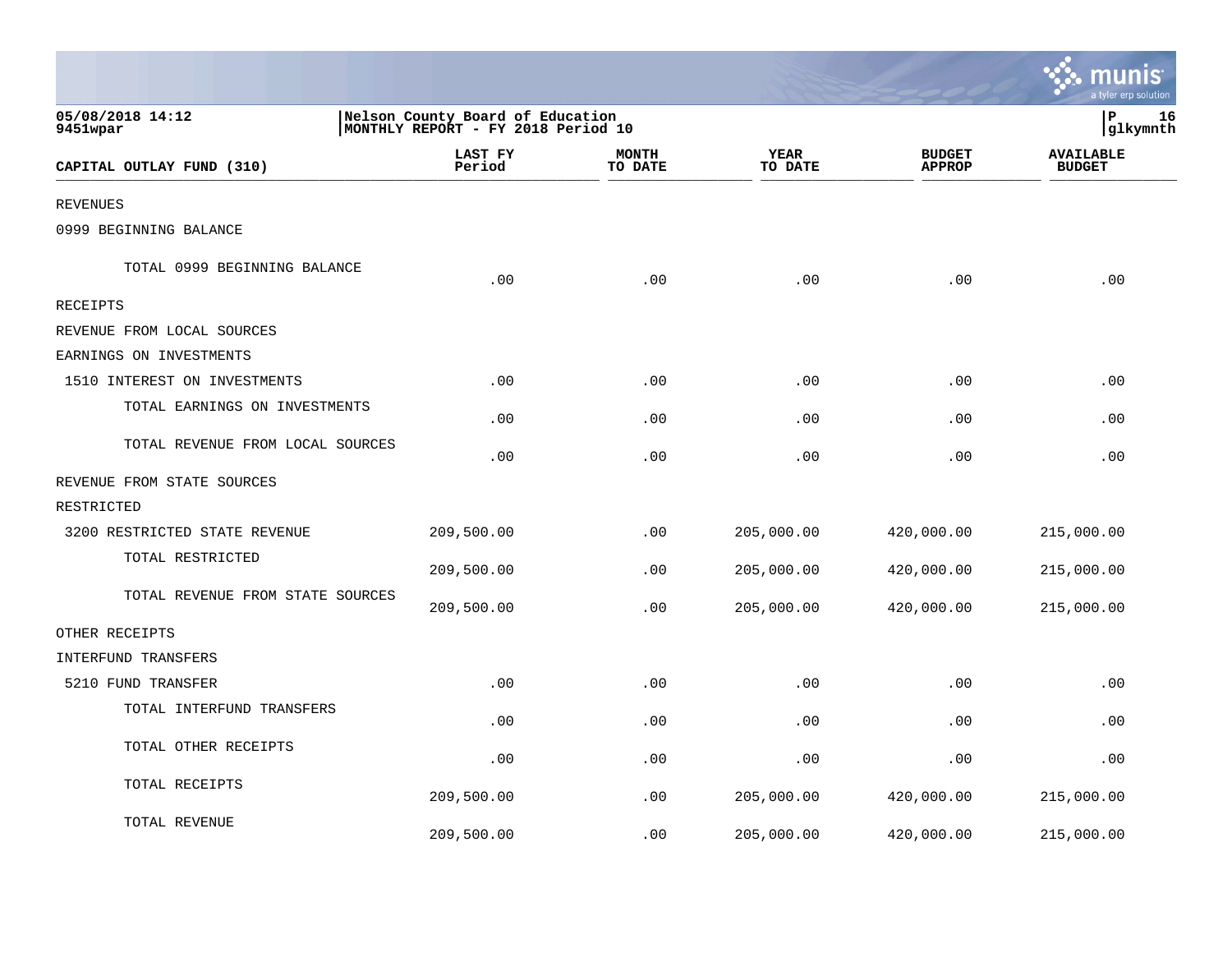|                                  |                                                                        |                         |                 |                                | a tyler erp solutior              |
|----------------------------------|------------------------------------------------------------------------|-------------------------|-----------------|--------------------------------|-----------------------------------|
| 05/08/2018 14:12<br>9451wpar     | Nelson County Board of Education<br>MONTHLY REPORT - FY 2018 Period 10 |                         |                 |                                | P<br>16<br> glkymnth              |
| CAPITAL OUTLAY FUND (310)        | <b>LAST FY</b><br>Period                                               | <b>MONTH</b><br>TO DATE | YEAR<br>TO DATE | <b>BUDGET</b><br><b>APPROP</b> | <b>AVAILABLE</b><br><b>BUDGET</b> |
| <b>REVENUES</b>                  |                                                                        |                         |                 |                                |                                   |
| 0999 BEGINNING BALANCE           |                                                                        |                         |                 |                                |                                   |
| TOTAL 0999 BEGINNING BALANCE     | .00                                                                    | .00                     | .00             | .00                            | .00                               |
| RECEIPTS                         |                                                                        |                         |                 |                                |                                   |
| REVENUE FROM LOCAL SOURCES       |                                                                        |                         |                 |                                |                                   |
| EARNINGS ON INVESTMENTS          |                                                                        |                         |                 |                                |                                   |
| 1510 INTEREST ON INVESTMENTS     | .00                                                                    | .00                     | .00             | .00                            | .00                               |
| TOTAL EARNINGS ON INVESTMENTS    | .00                                                                    | .00                     | .00             | .00                            | .00                               |
| TOTAL REVENUE FROM LOCAL SOURCES | .00                                                                    | .00                     | .00             | .00                            | .00                               |
| REVENUE FROM STATE SOURCES       |                                                                        |                         |                 |                                |                                   |
| RESTRICTED                       |                                                                        |                         |                 |                                |                                   |
| 3200 RESTRICTED STATE REVENUE    | 209,500.00                                                             | .00                     | 205,000.00      | 420,000.00                     | 215,000.00                        |
| TOTAL RESTRICTED                 | 209,500.00                                                             | .00                     | 205,000.00      | 420,000.00                     | 215,000.00                        |
| TOTAL REVENUE FROM STATE SOURCES | 209,500.00                                                             | .00                     | 205,000.00      | 420,000.00                     | 215,000.00                        |
| OTHER RECEIPTS                   |                                                                        |                         |                 |                                |                                   |
| INTERFUND TRANSFERS              |                                                                        |                         |                 |                                |                                   |
| 5210 FUND TRANSFER               | .00                                                                    | .00                     | .00             | .00                            | .00                               |
| TOTAL INTERFUND TRANSFERS        | .00                                                                    | .00                     | .00             | .00                            | .00                               |
| TOTAL OTHER RECEIPTS             | .00                                                                    | .00                     | .00             | .00                            | .00                               |
| TOTAL RECEIPTS                   | 209,500.00                                                             | .00                     | 205,000.00      | 420,000.00                     | 215,000.00                        |
| TOTAL REVENUE                    | 209,500.00                                                             | .00                     | 205,000.00      | 420,000.00                     | 215,000.00                        |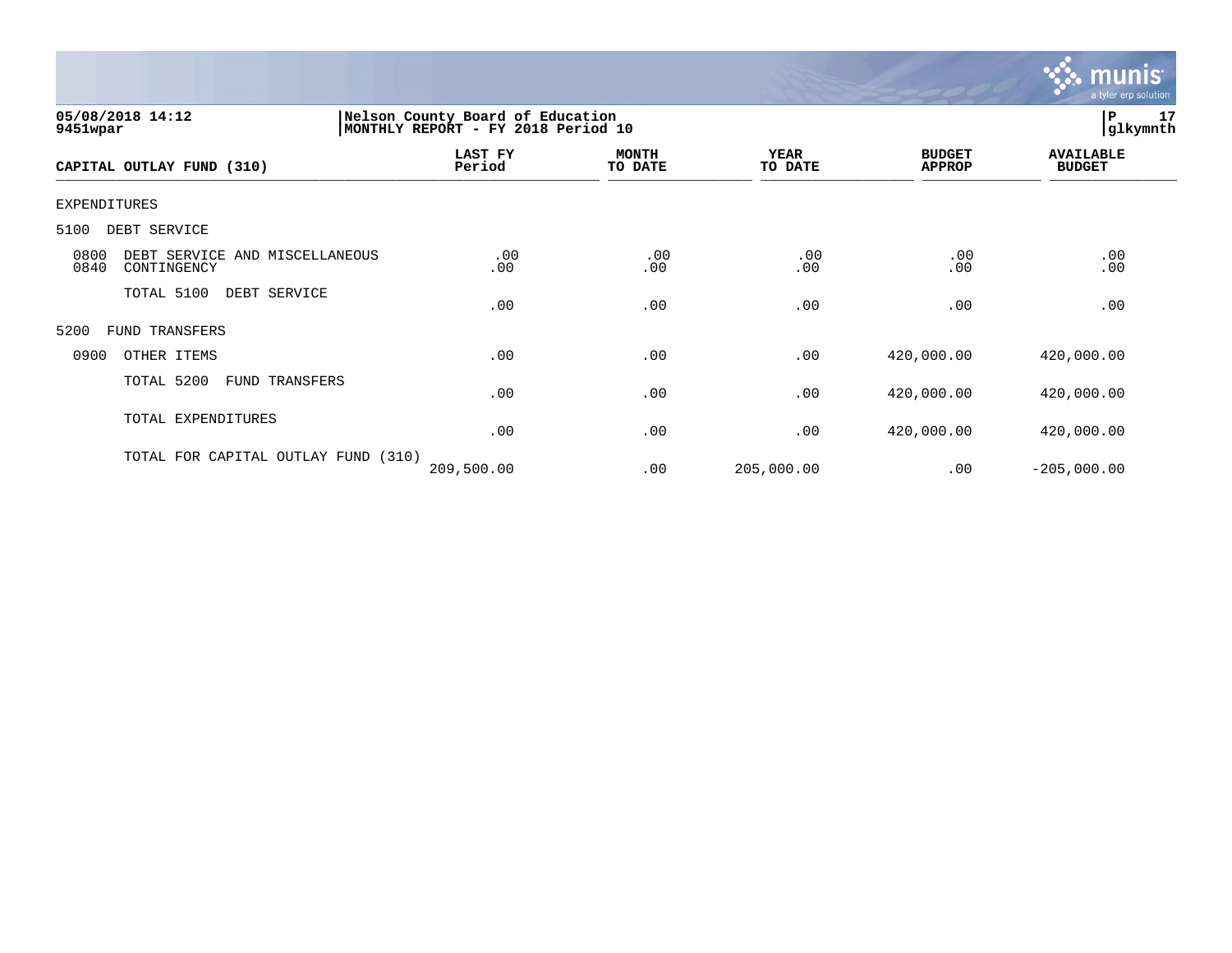

| 05/08/2018 14:12<br>9451wpar                                  | Nelson County Board of Education<br>MONTHLY REPORT - FY 2018 Period 10 |                         |                        |                                | P<br> glkymnth                    | 17 |
|---------------------------------------------------------------|------------------------------------------------------------------------|-------------------------|------------------------|--------------------------------|-----------------------------------|----|
| CAPITAL OUTLAY FUND (310)                                     | LAST FY<br>Period                                                      | <b>MONTH</b><br>TO DATE | <b>YEAR</b><br>TO DATE | <b>BUDGET</b><br><b>APPROP</b> | <b>AVAILABLE</b><br><b>BUDGET</b> |    |
| EXPENDITURES                                                  |                                                                        |                         |                        |                                |                                   |    |
| 5100<br>DEBT SERVICE                                          |                                                                        |                         |                        |                                |                                   |    |
| 0800<br>DEBT SERVICE AND MISCELLANEOUS<br>0840<br>CONTINGENCY | .00<br>.00                                                             | .00<br>.00              | .00<br>.00             | .00<br>.00                     | .00<br>.00                        |    |
| TOTAL 5100<br>DEBT SERVICE                                    | .00                                                                    | .00                     | .00                    | .00                            | .00                               |    |
| FUND TRANSFERS<br>5200                                        |                                                                        |                         |                        |                                |                                   |    |
| 0900<br>OTHER ITEMS                                           | .00                                                                    | .00                     | .00                    | 420,000.00                     | 420,000.00                        |    |
| TOTAL 5200<br>FUND TRANSFERS                                  | .00                                                                    | .00                     | .00                    | 420,000.00                     | 420,000.00                        |    |
| TOTAL EXPENDITURES                                            | .00                                                                    | .00                     | .00                    | 420,000.00                     | 420,000.00                        |    |
| TOTAL FOR CAPITAL OUTLAY FUND (310)                           | 209,500.00                                                             | .00                     | 205,000.00             | .00                            | $-205,000.00$                     |    |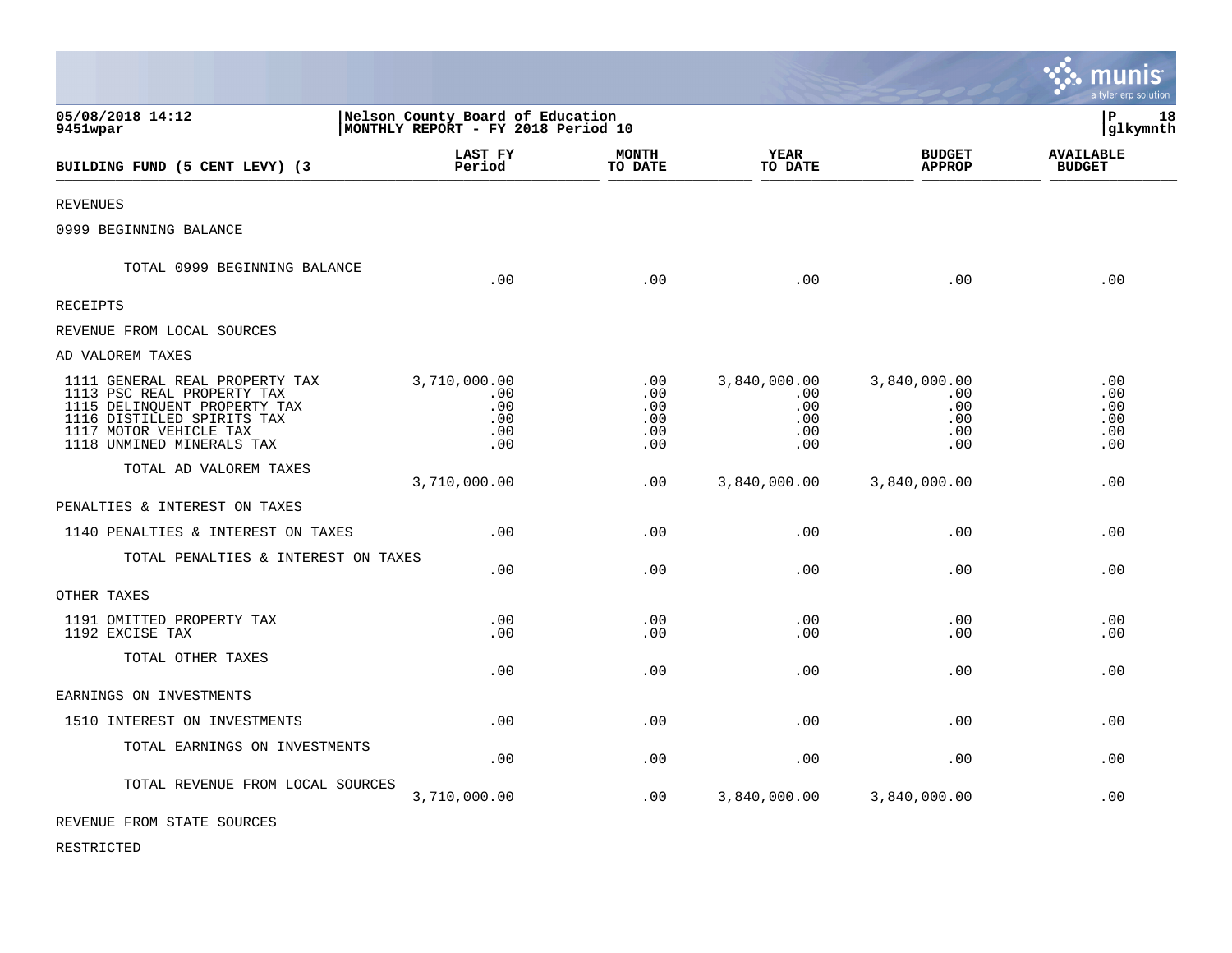|                                                                                                                                                                                   |                                                                        |                                             |                                                  |                                                      | ः munis<br>a tyler erp solution        |
|-----------------------------------------------------------------------------------------------------------------------------------------------------------------------------------|------------------------------------------------------------------------|---------------------------------------------|--------------------------------------------------|------------------------------------------------------|----------------------------------------|
| 05/08/2018 14:12<br>9451wpar                                                                                                                                                      | Nelson County Board of Education<br>MONTHLY REPORT - FY 2018 Period 10 |                                             |                                                  |                                                      | l P<br>18<br> glkymnth                 |
| BUILDING FUND (5 CENT LEVY) (3                                                                                                                                                    | <b>LAST FY</b><br>Period                                               | <b>MONTH</b><br>TO DATE                     | <b>YEAR</b><br>TO DATE                           | <b>BUDGET</b><br><b>APPROP</b>                       | <b>AVAILABLE</b><br><b>BUDGET</b>      |
| <b>REVENUES</b>                                                                                                                                                                   |                                                                        |                                             |                                                  |                                                      |                                        |
| 0999 BEGINNING BALANCE                                                                                                                                                            |                                                                        |                                             |                                                  |                                                      |                                        |
| TOTAL 0999 BEGINNING BALANCE                                                                                                                                                      | .00                                                                    | .00                                         | .00                                              | .00                                                  | .00                                    |
| <b>RECEIPTS</b>                                                                                                                                                                   |                                                                        |                                             |                                                  |                                                      |                                        |
| REVENUE FROM LOCAL SOURCES                                                                                                                                                        |                                                                        |                                             |                                                  |                                                      |                                        |
| AD VALOREM TAXES                                                                                                                                                                  |                                                                        |                                             |                                                  |                                                      |                                        |
| 1111 GENERAL REAL PROPERTY TAX<br>1113 PSC REAL PROPERTY TAX<br>1115 DELINQUENT PROPERTY TAX<br>1116 DISTILLED SPIRITS TAX<br>1117 MOTOR VEHICLE TAX<br>1118 UNMINED MINERALS TAX | 3,710,000.00<br>.00<br>.00<br>.00<br>.00<br>.00                        | $.00 \,$<br>.00<br>.00<br>.00<br>.00<br>.00 | 3,840,000.00<br>.00.<br>.00<br>.00<br>.00<br>.00 | 3,840,000.00<br>$.00 \,$<br>.00<br>.00<br>.00<br>.00 | .00<br>.00<br>.00<br>.00<br>.00<br>.00 |
| TOTAL AD VALOREM TAXES                                                                                                                                                            | 3,710,000.00                                                           | .00                                         | 3,840,000.00                                     | 3,840,000.00                                         | .00                                    |
| PENALTIES & INTEREST ON TAXES                                                                                                                                                     |                                                                        |                                             |                                                  |                                                      |                                        |
| 1140 PENALTIES & INTEREST ON TAXES                                                                                                                                                | .00                                                                    | .00                                         | .00                                              | .00                                                  | .00                                    |
| TOTAL PENALTIES & INTEREST ON TAXES                                                                                                                                               | .00                                                                    | .00                                         | .00                                              | .00                                                  | .00                                    |
| OTHER TAXES                                                                                                                                                                       |                                                                        |                                             |                                                  |                                                      |                                        |
| 1191 OMITTED PROPERTY TAX<br>1192 EXCISE TAX                                                                                                                                      | .00<br>.00                                                             | .00<br>.00                                  | .00<br>.00                                       | .00<br>.00                                           | .00<br>.00                             |
| TOTAL OTHER TAXES                                                                                                                                                                 | .00                                                                    | .00                                         | .00                                              | .00                                                  | .00                                    |
| EARNINGS ON INVESTMENTS                                                                                                                                                           |                                                                        |                                             |                                                  |                                                      |                                        |
| 1510 INTEREST ON INVESTMENTS                                                                                                                                                      | .00                                                                    | .00                                         | .00                                              | .00                                                  | .00                                    |
| TOTAL EARNINGS ON INVESTMENTS                                                                                                                                                     | .00                                                                    | .00                                         | .00                                              | .00                                                  | .00                                    |
| TOTAL REVENUE FROM LOCAL SOURCES                                                                                                                                                  | 3,710,000.00                                                           | .00                                         | 3,840,000.00                                     | 3,840,000.00                                         | .00                                    |
| --------- ----- ----- --- ----                                                                                                                                                    |                                                                        |                                             |                                                  |                                                      |                                        |

 $\mathcal{L}$ 

REVENUE FROM STATE SOURCES

RESTRICTED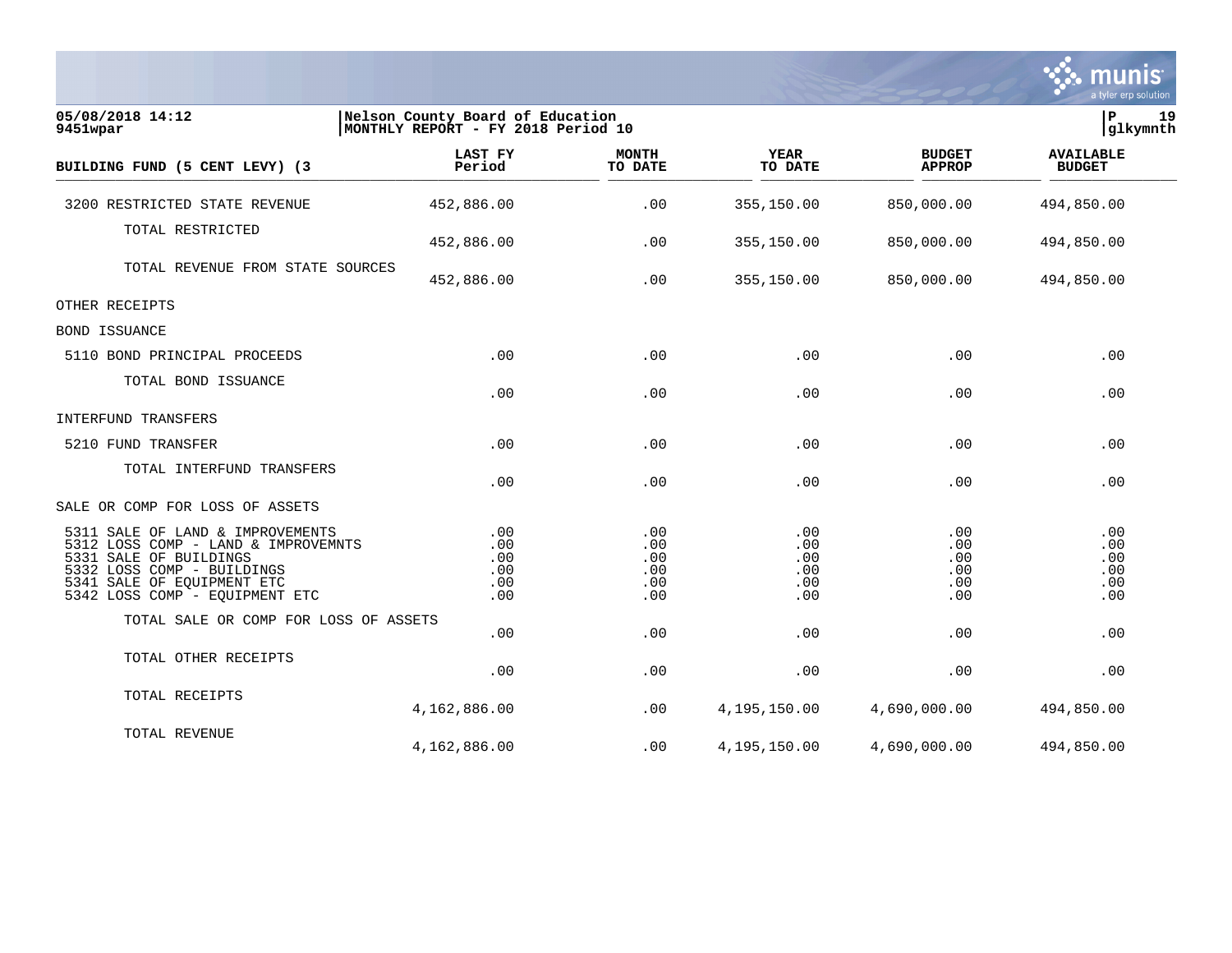|                                                                                                                                                                                                 |                                                                        |                                        |                                        |                                        | munis<br>a tyler erp solution          |
|-------------------------------------------------------------------------------------------------------------------------------------------------------------------------------------------------|------------------------------------------------------------------------|----------------------------------------|----------------------------------------|----------------------------------------|----------------------------------------|
| 05/08/2018 14:12<br>9451wpar                                                                                                                                                                    | Nelson County Board of Education<br>MONTHLY REPORT - FY 2018 Period 10 |                                        |                                        |                                        | lР<br>19<br>glkymnth                   |
| BUILDING FUND (5 CENT LEVY) (3                                                                                                                                                                  | LAST FY<br>Period                                                      | <b>MONTH</b><br>TO DATE                | <b>YEAR</b><br>TO DATE                 | <b>BUDGET</b><br><b>APPROP</b>         | <b>AVAILABLE</b><br><b>BUDGET</b>      |
| 3200 RESTRICTED STATE REVENUE                                                                                                                                                                   | 452,886.00                                                             | .00                                    | 355,150.00                             | 850,000.00                             | 494,850.00                             |
| TOTAL RESTRICTED                                                                                                                                                                                | 452,886.00                                                             | .00                                    | 355,150.00                             | 850,000.00                             | 494,850.00                             |
| TOTAL REVENUE FROM STATE SOURCES                                                                                                                                                                | 452,886.00                                                             | .00                                    | 355,150.00                             | 850,000.00                             | 494,850.00                             |
| OTHER RECEIPTS                                                                                                                                                                                  |                                                                        |                                        |                                        |                                        |                                        |
| BOND ISSUANCE                                                                                                                                                                                   |                                                                        |                                        |                                        |                                        |                                        |
| 5110 BOND PRINCIPAL PROCEEDS                                                                                                                                                                    | .00                                                                    | .00                                    | .00                                    | .00                                    | .00                                    |
| TOTAL BOND ISSUANCE                                                                                                                                                                             | .00                                                                    | .00                                    | .00                                    | .00                                    | .00                                    |
| INTERFUND TRANSFERS                                                                                                                                                                             |                                                                        |                                        |                                        |                                        |                                        |
| 5210 FUND TRANSFER                                                                                                                                                                              | .00                                                                    | .00                                    | .00                                    | .00                                    | .00                                    |
| TOTAL INTERFUND TRANSFERS                                                                                                                                                                       | .00                                                                    | .00                                    | .00                                    | .00                                    | .00                                    |
| SALE OR COMP FOR LOSS OF ASSETS                                                                                                                                                                 |                                                                        |                                        |                                        |                                        |                                        |
| 5311 SALE OF LAND & IMPROVEMENTS<br>5312 LOSS COMP - LAND & IMPROVEMNTS<br>5331 SALE OF BUILDINGS<br>5332 LOSS COMP - BUILDINGS<br>5341 SALE OF EQUIPMENT ETC<br>5342 LOSS COMP - EQUIPMENT ETC | .00<br>$.00 \,$<br>.00<br>.00<br>.00<br>.00                            | .00<br>.00<br>.00<br>.00<br>.00<br>.00 | .00<br>.00<br>.00<br>.00<br>.00<br>.00 | .00<br>.00<br>.00<br>.00<br>.00<br>.00 | .00<br>.00<br>.00<br>.00<br>.00<br>.00 |
| TOTAL SALE OR COMP FOR LOSS OF ASSETS                                                                                                                                                           |                                                                        |                                        |                                        |                                        |                                        |
| TOTAL OTHER RECEIPTS                                                                                                                                                                            | .00<br>.00                                                             | .00<br>.00                             | .00<br>.00                             | .00<br>.00                             | .00<br>.00                             |
| TOTAL RECEIPTS                                                                                                                                                                                  | 4,162,886.00                                                           | .00                                    | 4,195,150.00                           | 4,690,000.00                           | 494,850.00                             |
| TOTAL REVENUE                                                                                                                                                                                   | 4,162,886.00                                                           | .00                                    | 4,195,150.00                           | 4,690,000.00                           | 494,850.00                             |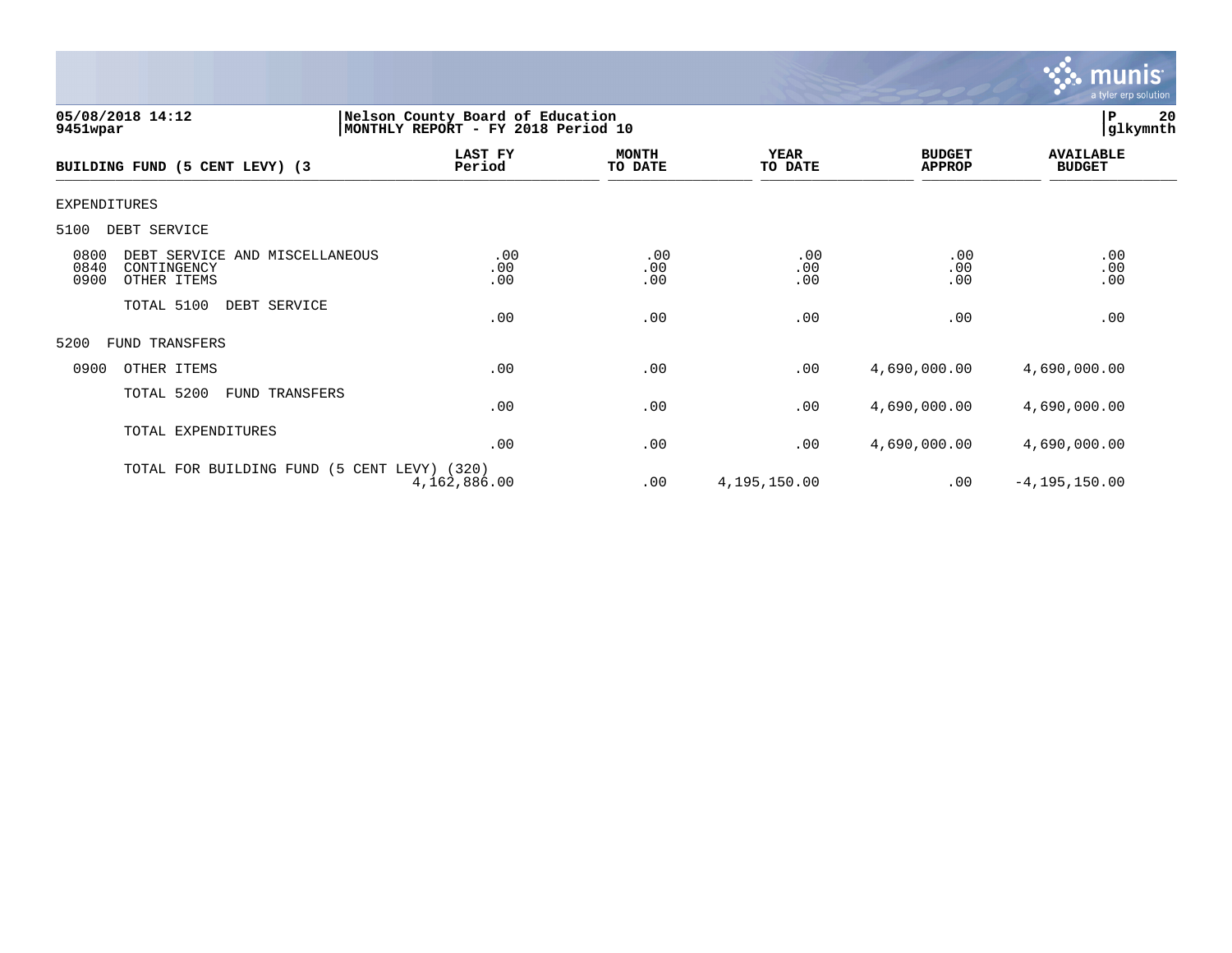

| 05/08/2018 14:12<br>9451wpar                                                         | Nelson County Board of Education<br>MONTHLY REPORT - FY 2018 Period 10 |                         |                        |                                | P<br> glkymnth                    | 20 |
|--------------------------------------------------------------------------------------|------------------------------------------------------------------------|-------------------------|------------------------|--------------------------------|-----------------------------------|----|
| BUILDING FUND (5 CENT LEVY) (3                                                       | LAST FY<br>Period                                                      | <b>MONTH</b><br>TO DATE | <b>YEAR</b><br>TO DATE | <b>BUDGET</b><br><b>APPROP</b> | <b>AVAILABLE</b><br><b>BUDGET</b> |    |
| EXPENDITURES                                                                         |                                                                        |                         |                        |                                |                                   |    |
| DEBT SERVICE<br>5100                                                                 |                                                                        |                         |                        |                                |                                   |    |
| 0800<br>DEBT SERVICE AND MISCELLANEOUS<br>0840<br>CONTINGENCY<br>0900<br>OTHER ITEMS | .00<br>.00<br>.00                                                      | .00<br>.00<br>.00       | .00<br>.00<br>.00      | .00<br>.00<br>.00              | .00<br>.00<br>.00                 |    |
| TOTAL 5100<br>DEBT SERVICE                                                           | .00                                                                    | .00                     | .00                    | .00                            | .00                               |    |
| 5200<br><b>FUND TRANSFERS</b>                                                        |                                                                        |                         |                        |                                |                                   |    |
| 0900<br>OTHER ITEMS                                                                  | .00                                                                    | .00                     | .00                    | 4,690,000.00                   | 4,690,000.00                      |    |
| TOTAL 5200<br>FUND TRANSFERS                                                         | .00                                                                    | .00                     | .00                    | 4,690,000.00                   | 4,690,000.00                      |    |
| TOTAL EXPENDITURES                                                                   | .00                                                                    | .00                     | .00                    | 4,690,000.00                   | 4,690,000.00                      |    |
| TOTAL FOR BUILDING FUND                                                              | (5 CENT LEVY) (320)<br>4,162,886.00                                    | .00                     | 4,195,150.00           | .00                            | $-4, 195, 150.00$                 |    |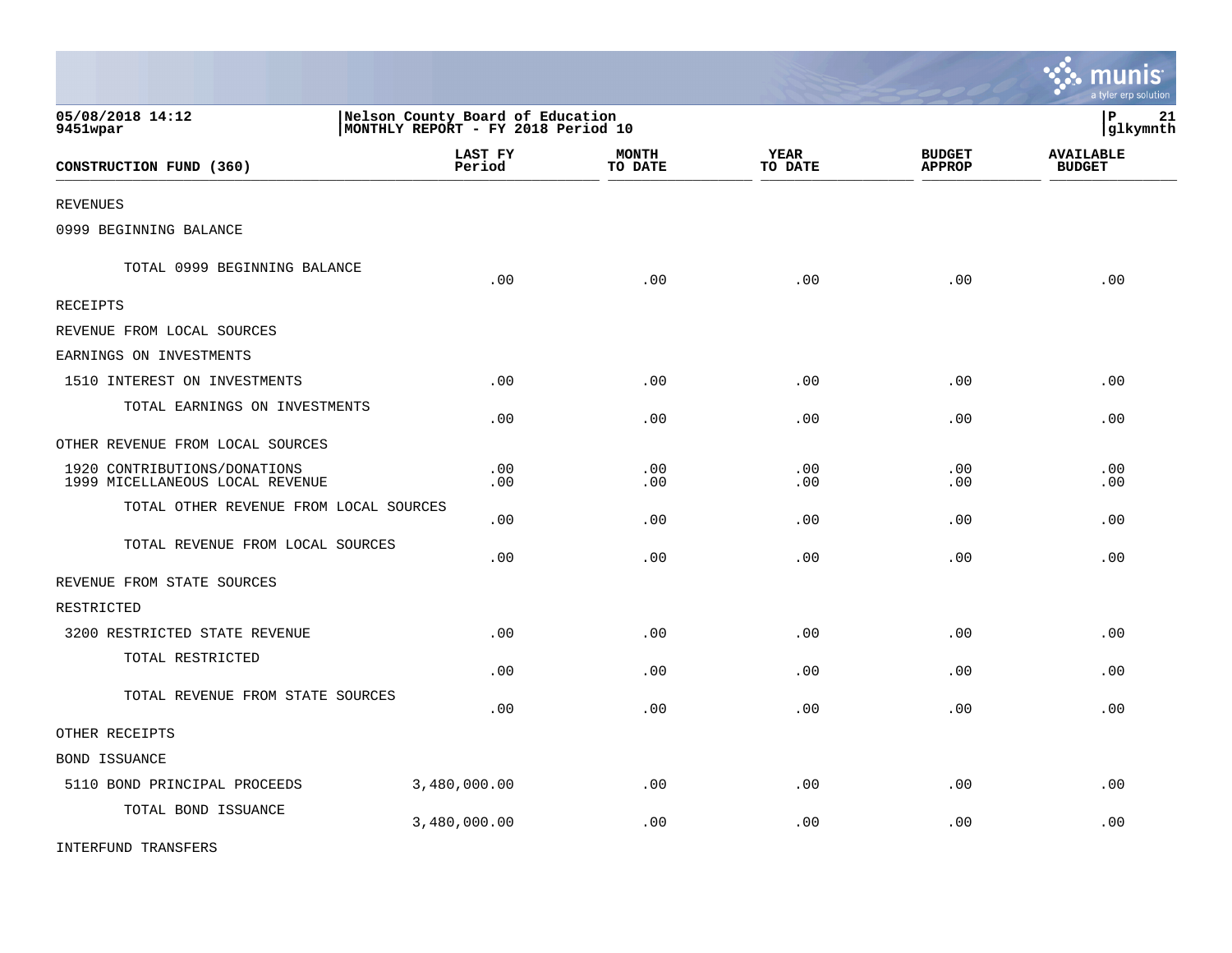|                                                                 |                                                                        |                         |                        |                                | a tyler erp solution              |
|-----------------------------------------------------------------|------------------------------------------------------------------------|-------------------------|------------------------|--------------------------------|-----------------------------------|
| 05/08/2018 14:12<br>9451wpar                                    | Nelson County Board of Education<br>MONTHLY REPORT - FY 2018 Period 10 |                         |                        |                                | lР<br>21<br>glkymnth              |
| CONSTRUCTION FUND (360)                                         | LAST FY<br>Period                                                      | <b>MONTH</b><br>TO DATE | <b>YEAR</b><br>TO DATE | <b>BUDGET</b><br><b>APPROP</b> | <b>AVAILABLE</b><br><b>BUDGET</b> |
| <b>REVENUES</b>                                                 |                                                                        |                         |                        |                                |                                   |
| 0999 BEGINNING BALANCE                                          |                                                                        |                         |                        |                                |                                   |
| TOTAL 0999 BEGINNING BALANCE                                    | .00                                                                    | .00                     | .00                    | .00                            | .00                               |
| <b>RECEIPTS</b>                                                 |                                                                        |                         |                        |                                |                                   |
| REVENUE FROM LOCAL SOURCES                                      |                                                                        |                         |                        |                                |                                   |
| EARNINGS ON INVESTMENTS                                         |                                                                        |                         |                        |                                |                                   |
| 1510 INTEREST ON INVESTMENTS                                    | .00                                                                    | .00                     | .00                    | .00                            | .00                               |
| TOTAL EARNINGS ON INVESTMENTS                                   | .00                                                                    | .00                     | .00                    | .00                            | .00                               |
| OTHER REVENUE FROM LOCAL SOURCES                                |                                                                        |                         |                        |                                |                                   |
| 1920 CONTRIBUTIONS/DONATIONS<br>1999 MICELLANEOUS LOCAL REVENUE | .00<br>.00                                                             | .00<br>.00              | .00<br>.00             | .00<br>.00                     | .00<br>.00                        |
| TOTAL OTHER REVENUE FROM LOCAL SOURCES                          | .00                                                                    | .00                     | .00                    | .00                            | .00                               |
| TOTAL REVENUE FROM LOCAL SOURCES                                | .00                                                                    | .00                     | .00                    | .00                            | .00                               |
| REVENUE FROM STATE SOURCES                                      |                                                                        |                         |                        |                                |                                   |
| RESTRICTED                                                      |                                                                        |                         |                        |                                |                                   |
| 3200 RESTRICTED STATE REVENUE                                   | .00                                                                    | .00                     | .00                    | .00                            | .00                               |
| TOTAL RESTRICTED                                                | .00                                                                    | .00                     | .00                    | .00                            | .00                               |
| TOTAL REVENUE FROM STATE SOURCES                                | .00                                                                    | .00                     | .00                    | .00                            | .00                               |
| OTHER RECEIPTS                                                  |                                                                        |                         |                        |                                |                                   |
| BOND ISSUANCE                                                   |                                                                        |                         |                        |                                |                                   |
| 5110 BOND PRINCIPAL PROCEEDS                                    | 3,480,000.00                                                           | .00                     | .00                    | .00                            | .00                               |
| TOTAL BOND ISSUANCE                                             | 3,480,000.00                                                           | .00                     | .00                    | .00                            | .00                               |
| <b>INTERFUND TRANSFERS</b>                                      |                                                                        |                         |                        |                                |                                   |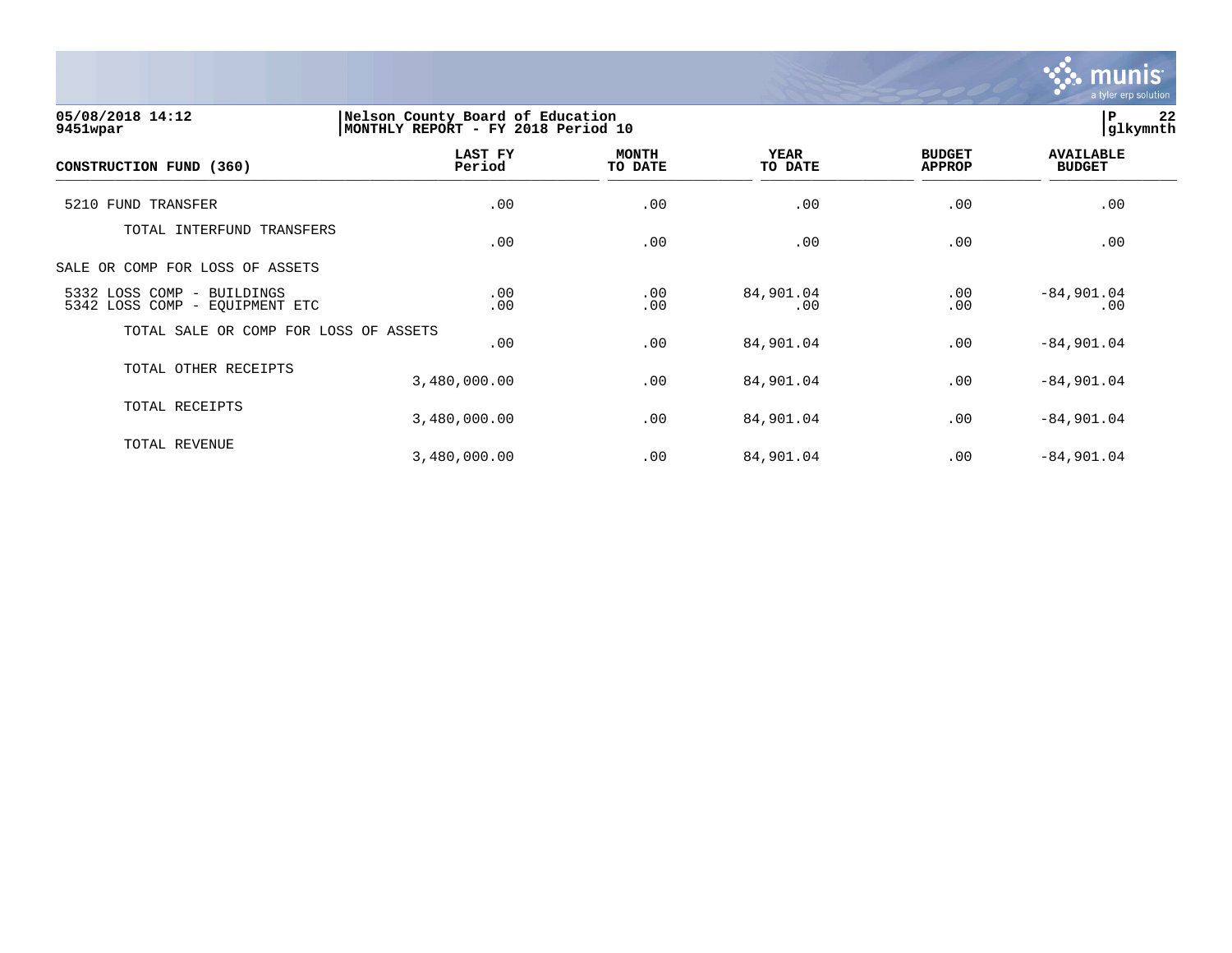

**05/08/2018 14:12 |Nelson County Board of Education |P 22 9451wpar |MONTHLY REPORT - FY 2018 Period 10 |glkymnth LAST FY MONTH YEAR BUDGET AVAILABLE CONSTRUCTION FUND (360) Period TO DATE TO DATE APPROP BUDGET**   $\frac{10 \text{ Bhe}}{10 \text{ Bhe}}$   $\frac{10 \text{ Bhe}}{10 \text{ Bhe}}$   $\frac{10 \text{ Bhe}}{10 \text{ Bhe}}$   $\frac{10 \text{ Bhe}}{10 \text{ Bhe}}$   $\frac{10 \text{ Bhe}}{10 \text{ Bhe}}$   $\frac{10 \text{ Bhe}}{10 \text{ Bhe}}$   $\frac{10 \text{ Bhe}}{10 \text{ Bhe}}$ 5210 FUND TRANSFER .00 .00 .00 .00 .00 TOTAL INTERFUND TRANSFERS .00 .00 .00 .00 .00 SALE OR COMP FOR LOSS OF ASSETS 5332 LOSS COMP - BUILDINGS .00 .00 84,901.04 .00 -84,901.04 5342 LOSS COMP - EQUIPMENT ETC TOTAL SALE OR COMP FOR LOSS OF ASSETS  $.00$   $.00$   $.00$   $.04$   $.00$   $.04$   $.00$   $.04$ TOTAL OTHER RECEIPTS 3,480,000.00 .00 84,901.04 .00 -84,901.04 TOTAL RECEIPTS 3,480,000.00 .00 84,901.04 .00 -84,901.04 TOTAL REVENUE 3,480,000.00 .00 84,901.04 .00 -84,901.04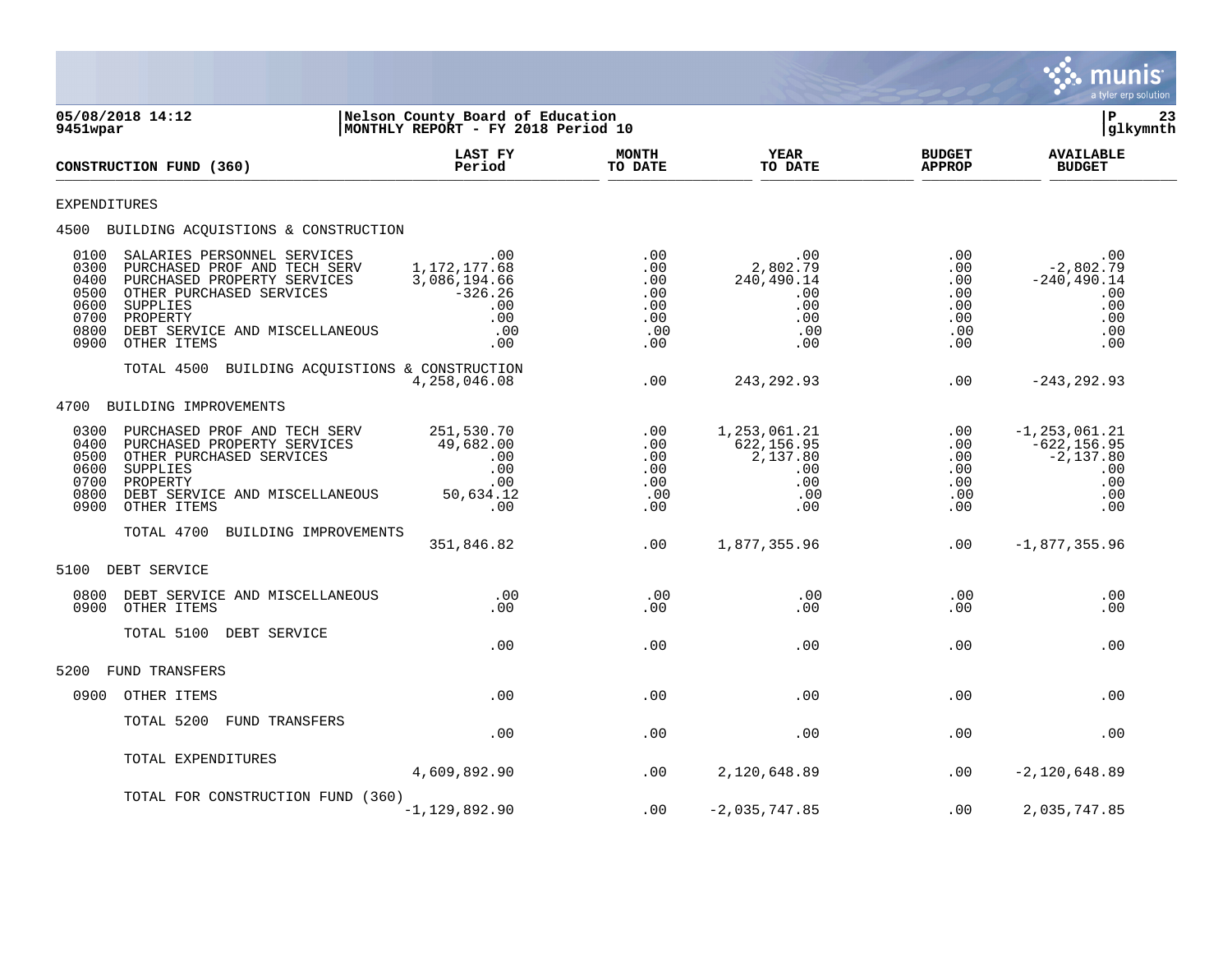

| 05/08/2018 14:12<br>9451wpar                                                         |                                                                                                                                                                         | Nelson County Board of Education<br>MONTHLY REPORT - FY 2018 Period 10              |                                                      |                                                                            |                                                           | ΙP<br>23<br>glkymnth                                                           |
|--------------------------------------------------------------------------------------|-------------------------------------------------------------------------------------------------------------------------------------------------------------------------|-------------------------------------------------------------------------------------|------------------------------------------------------|----------------------------------------------------------------------------|-----------------------------------------------------------|--------------------------------------------------------------------------------|
| CONSTRUCTION FUND (360)                                                              |                                                                                                                                                                         | LAST FY<br>Period                                                                   | <b>MONTH</b><br>TO DATE                              | <b>YEAR</b><br>TO DATE                                                     | <b>BUDGET</b><br><b>APPROP</b>                            | <b>AVAILABLE</b><br><b>BUDGET</b>                                              |
| EXPENDITURES                                                                         |                                                                                                                                                                         |                                                                                     |                                                      |                                                                            |                                                           |                                                                                |
|                                                                                      | 4500 BUILDING ACQUISTIONS & CONSTRUCTION                                                                                                                                |                                                                                     |                                                      |                                                                            |                                                           |                                                                                |
| 0100<br>0300<br>0400<br>0500<br>0600<br>SUPPLIES<br>0700<br>PROPERTY<br>0800<br>0900 | SALARIES PERSONNEL SERVICES<br>PURCHASED PROF AND TECH SERV<br>PURCHASED PROPERTY SERVICES<br>OTHER PURCHASED SERVICES<br>DEBT SERVICE AND MISCELLANEOUS<br>OTHER ITEMS | $.00 \,$<br>1, 172, 177.68<br>3,086,194.66<br>$-326.26$<br>.00<br>.00<br>.00<br>.00 | .00<br>.00<br>.00<br>.00<br>.00<br>.00<br>.00<br>.00 | $.00 \,$<br>2,802.79<br>240,490.14<br>$.00 \,$<br>.00<br>.00<br>.00<br>.00 | $.00 \,$<br>.00<br>.00<br>.00<br>.00<br>.00<br>.00<br>.00 | .00<br>$-2,802.79$<br>$-240, 490.14$<br>.00<br>.00<br>.00<br>.00<br>.00        |
|                                                                                      | TOTAL 4500 BUILDING ACQUISTIONS & CONSTRUCTION                                                                                                                          | 4,258,046.08                                                                        | .00                                                  | 243, 292.93                                                                | .00                                                       | $-243, 292.93$                                                                 |
| 4700                                                                                 | BUILDING IMPROVEMENTS                                                                                                                                                   |                                                                                     |                                                      |                                                                            |                                                           |                                                                                |
| 0300<br>0400<br>0500<br>0600<br>SUPPLIES<br>0700<br>PROPERTY<br>0800<br>0900         | PURCHASED PROF AND TECH SERV<br>PURCHASED PROPERTY SERVICES<br>OTHER PURCHASED SERVICES<br>DEBT SERVICE AND MISCELLANEOUS<br>OTHER ITEMS                                | 251,530.70<br>49,682.00<br>.00<br>.00<br>.00<br>50,634.12<br>.00                    | .00<br>.00<br>.00<br>.00<br>.00<br>.00<br>.00        | 1, 253, 061.21<br>622,156.95<br>2,137.80<br>$.00 \,$<br>.00<br>.00<br>.00  | .00<br>.00<br>.00<br>.00<br>.00<br>.00<br>.00             | $-1, 253, 061.21$<br>$-622, 156.95$<br>$-2,137.80$<br>.00<br>.00<br>.00<br>.00 |
|                                                                                      | TOTAL 4700<br>BUILDING IMPROVEMENTS                                                                                                                                     | 351,846.82                                                                          | .00                                                  | 1,877,355.96                                                               | .00                                                       | $-1,877,355.96$                                                                |
| 5100<br>DEBT SERVICE                                                                 |                                                                                                                                                                         |                                                                                     |                                                      |                                                                            |                                                           |                                                                                |
| 0800<br>0900                                                                         | DEBT SERVICE AND MISCELLANEOUS<br>OTHER ITEMS                                                                                                                           | .00<br>.00                                                                          | .00<br>.00                                           | .00<br>.00                                                                 | .00<br>.00                                                | .00<br>.00                                                                     |
|                                                                                      | TOTAL 5100<br>DEBT SERVICE                                                                                                                                              | .00                                                                                 | .00                                                  | .00                                                                        | $.00 \,$                                                  | .00                                                                            |
| 5200                                                                                 | <b>FUND TRANSFERS</b>                                                                                                                                                   |                                                                                     |                                                      |                                                                            |                                                           |                                                                                |
| 0900                                                                                 | OTHER ITEMS                                                                                                                                                             | .00                                                                                 | .00                                                  | .00                                                                        | .00                                                       | .00                                                                            |
|                                                                                      | TOTAL 5200<br>FUND TRANSFERS                                                                                                                                            | .00                                                                                 | .00                                                  | .00                                                                        | .00                                                       | .00                                                                            |
|                                                                                      | TOTAL EXPENDITURES                                                                                                                                                      | 4,609,892.90                                                                        | .00                                                  | 2,120,648.89                                                               | .00                                                       | $-2,120,648.89$                                                                |
|                                                                                      | TOTAL FOR CONSTRUCTION FUND (360)                                                                                                                                       | $-1, 129, 892.90$                                                                   | .00                                                  | $-2,035,747.85$                                                            | .00                                                       | 2,035,747.85                                                                   |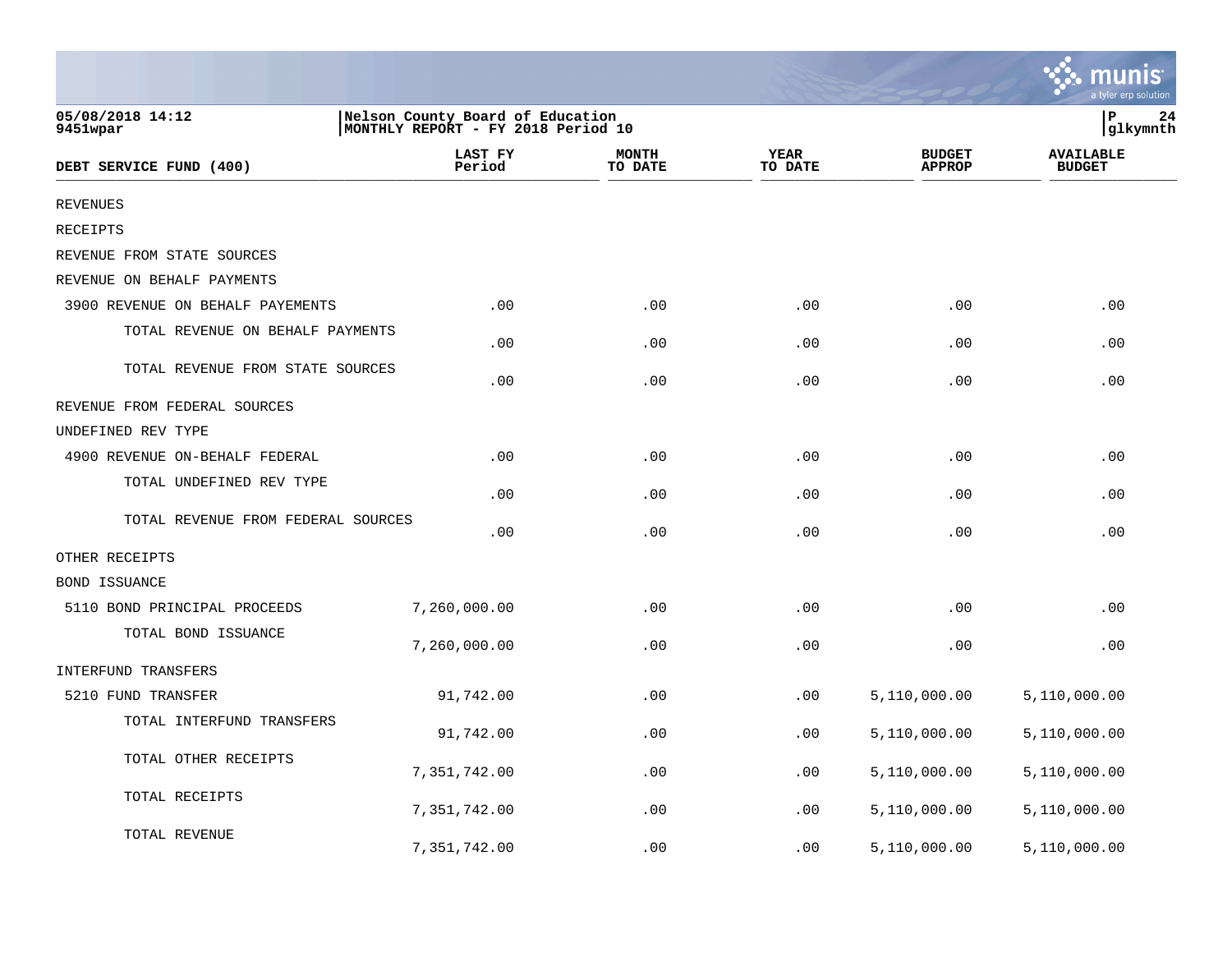|                                    |                                                                        |                         |                        |                                | a tyler erp solution              |
|------------------------------------|------------------------------------------------------------------------|-------------------------|------------------------|--------------------------------|-----------------------------------|
| 05/08/2018 14:12<br>9451wpar       | Nelson County Board of Education<br>MONTHLY REPORT - FY 2018 Period 10 |                         |                        |                                | 24<br>P<br>glkymnth               |
| DEBT SERVICE FUND (400)            | LAST FY<br>Period                                                      | <b>MONTH</b><br>TO DATE | <b>YEAR</b><br>TO DATE | <b>BUDGET</b><br><b>APPROP</b> | <b>AVAILABLE</b><br><b>BUDGET</b> |
| <b>REVENUES</b>                    |                                                                        |                         |                        |                                |                                   |
| RECEIPTS                           |                                                                        |                         |                        |                                |                                   |
| REVENUE FROM STATE SOURCES         |                                                                        |                         |                        |                                |                                   |
| REVENUE ON BEHALF PAYMENTS         |                                                                        |                         |                        |                                |                                   |
| 3900 REVENUE ON BEHALF PAYEMENTS   | .00                                                                    | .00                     | .00                    | .00                            | .00                               |
| TOTAL REVENUE ON BEHALF PAYMENTS   | .00                                                                    | .00                     | .00                    | .00                            | .00                               |
| TOTAL REVENUE FROM STATE SOURCES   | .00                                                                    | .00                     | .00                    | .00                            | .00                               |
| REVENUE FROM FEDERAL SOURCES       |                                                                        |                         |                        |                                |                                   |
| UNDEFINED REV TYPE                 |                                                                        |                         |                        |                                |                                   |
| 4900 REVENUE ON-BEHALF FEDERAL     | .00                                                                    | .00                     | .00                    | .00                            | .00                               |
| TOTAL UNDEFINED REV TYPE           | .00                                                                    | .00                     | .00                    | .00                            | .00                               |
| TOTAL REVENUE FROM FEDERAL SOURCES | .00                                                                    | .00                     | .00                    | .00                            | .00                               |
| OTHER RECEIPTS                     |                                                                        |                         |                        |                                |                                   |
| <b>BOND ISSUANCE</b>               |                                                                        |                         |                        |                                |                                   |
| 5110 BOND PRINCIPAL PROCEEDS       | 7,260,000.00                                                           | .00                     | .00                    | .00                            | .00                               |
| TOTAL BOND ISSUANCE                | 7,260,000.00                                                           | .00                     | .00                    | .00                            | .00                               |
| INTERFUND TRANSFERS                |                                                                        |                         |                        |                                |                                   |
| 5210 FUND TRANSFER                 | 91,742.00                                                              | .00                     | .00                    | 5,110,000.00                   | 5,110,000.00                      |
| TOTAL INTERFUND TRANSFERS          | 91,742.00                                                              | .00                     | .00                    | 5,110,000.00                   | 5,110,000.00                      |
| TOTAL OTHER RECEIPTS               | 7,351,742.00                                                           | .00                     | .00                    | 5,110,000.00                   | 5,110,000.00                      |
| TOTAL RECEIPTS                     | 7,351,742.00                                                           | .00                     | .00                    | 5,110,000.00                   | 5,110,000.00                      |
| TOTAL REVENUE                      | 7,351,742.00                                                           | .00                     | .00                    | 5,110,000.00                   | 5,110,000.00                      |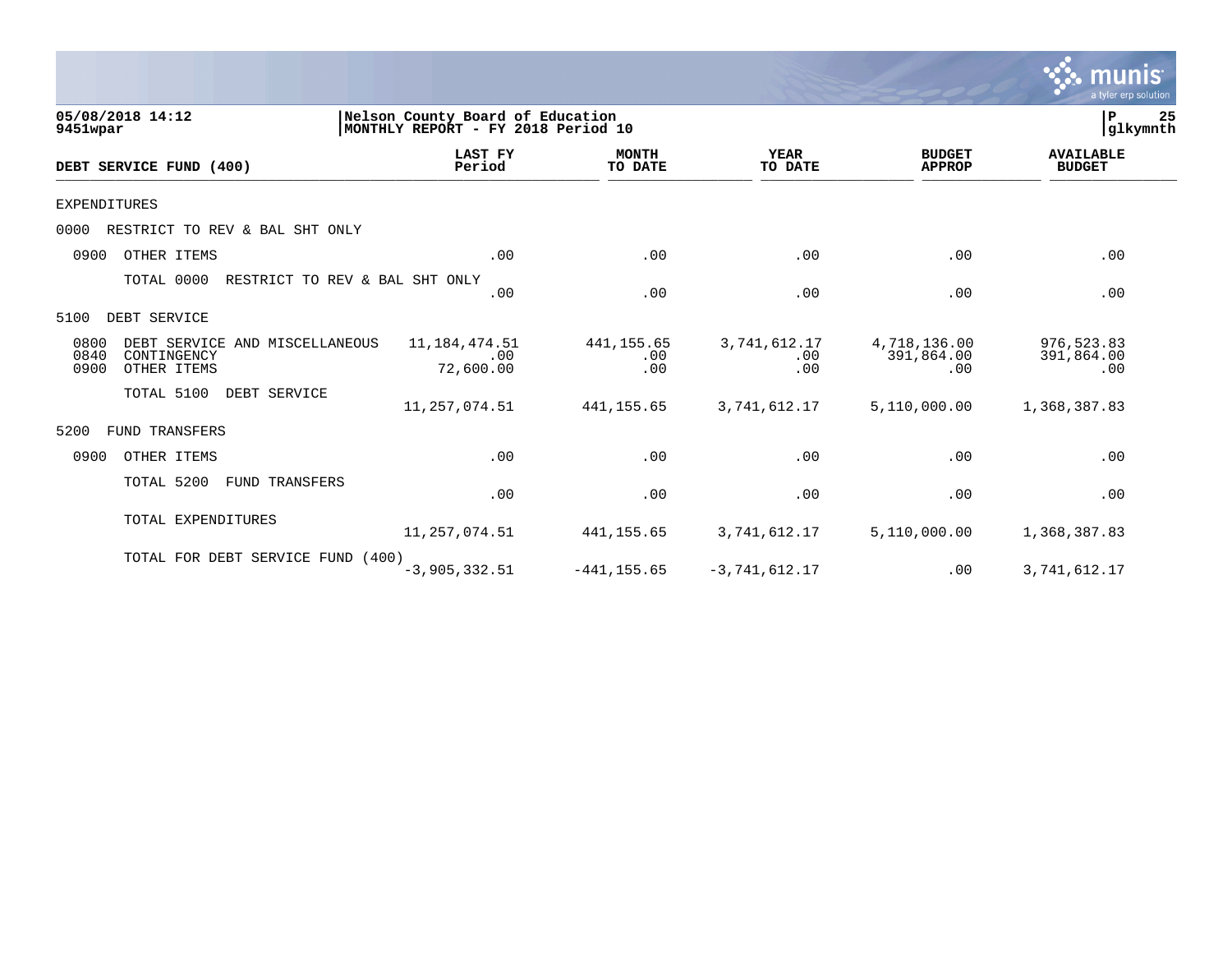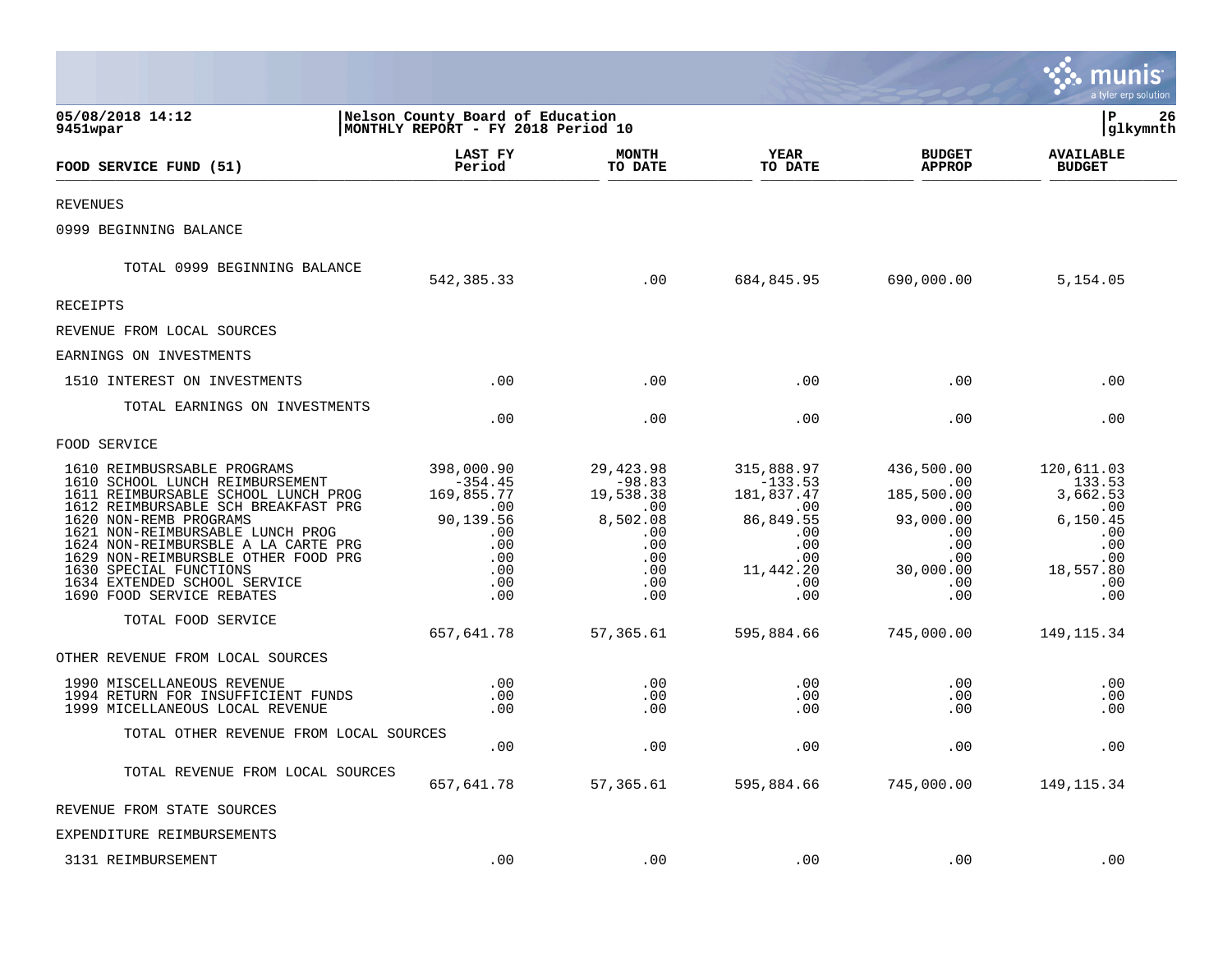|                                                                                                                                                                                                                                                                                                                                                                                 |                                                                                                                  |                                                                                                  |                                                                                                                |                                                                                                                         | mu<br>a tyler erp solution                                                                                   |
|---------------------------------------------------------------------------------------------------------------------------------------------------------------------------------------------------------------------------------------------------------------------------------------------------------------------------------------------------------------------------------|------------------------------------------------------------------------------------------------------------------|--------------------------------------------------------------------------------------------------|----------------------------------------------------------------------------------------------------------------|-------------------------------------------------------------------------------------------------------------------------|--------------------------------------------------------------------------------------------------------------|
| 05/08/2018 14:12<br>9451wpar                                                                                                                                                                                                                                                                                                                                                    | Nelson County Board of Education<br>MONTHLY REPORT - FY 2018 Period 10                                           |                                                                                                  |                                                                                                                |                                                                                                                         | ΙP<br>26<br> glkymnth                                                                                        |
| FOOD SERVICE FUND (51)                                                                                                                                                                                                                                                                                                                                                          | LAST FY<br>Period                                                                                                | <b>MONTH</b><br>TO DATE                                                                          | YEAR<br>TO DATE                                                                                                | <b>BUDGET</b><br><b>APPROP</b>                                                                                          | <b>AVAILABLE</b><br><b>BUDGET</b>                                                                            |
| <b>REVENUES</b>                                                                                                                                                                                                                                                                                                                                                                 |                                                                                                                  |                                                                                                  |                                                                                                                |                                                                                                                         |                                                                                                              |
| 0999 BEGINNING BALANCE                                                                                                                                                                                                                                                                                                                                                          |                                                                                                                  |                                                                                                  |                                                                                                                |                                                                                                                         |                                                                                                              |
| TOTAL 0999 BEGINNING BALANCE                                                                                                                                                                                                                                                                                                                                                    | 542,385.33                                                                                                       | .00                                                                                              | 684,845.95                                                                                                     | 690,000.00                                                                                                              | 5,154.05                                                                                                     |
| RECEIPTS                                                                                                                                                                                                                                                                                                                                                                        |                                                                                                                  |                                                                                                  |                                                                                                                |                                                                                                                         |                                                                                                              |
| REVENUE FROM LOCAL SOURCES                                                                                                                                                                                                                                                                                                                                                      |                                                                                                                  |                                                                                                  |                                                                                                                |                                                                                                                         |                                                                                                              |
| EARNINGS ON INVESTMENTS                                                                                                                                                                                                                                                                                                                                                         |                                                                                                                  |                                                                                                  |                                                                                                                |                                                                                                                         |                                                                                                              |
| 1510 INTEREST ON INVESTMENTS                                                                                                                                                                                                                                                                                                                                                    | .00                                                                                                              | .00                                                                                              | .00                                                                                                            | .00                                                                                                                     | .00                                                                                                          |
| TOTAL EARNINGS ON INVESTMENTS                                                                                                                                                                                                                                                                                                                                                   | .00                                                                                                              | .00                                                                                              | .00                                                                                                            | .00                                                                                                                     | .00                                                                                                          |
| FOOD SERVICE                                                                                                                                                                                                                                                                                                                                                                    |                                                                                                                  |                                                                                                  |                                                                                                                |                                                                                                                         |                                                                                                              |
| 1610 REIMBUSRSABLE PROGRAMS<br>1610 SCHOOL LUNCH REIMBURSEMENT<br>1611 REIMBURSABLE SCHOOL LUNCH PROG<br>1612 REIMBURSABLE SCH BREAKFAST PRG<br>1620 NON-REMB PROGRAMS<br>1621 NON-REIMBURSABLE LUNCH PROG<br>1624 NON-REIMBURSBLE A LA CARTE PRG<br>1629 NON-REIMBURSBLE OTHER FOOD PRG<br>1630 SPECIAL FUNCTIONS<br>1634 EXTENDED SCHOOL SERVICE<br>1690 FOOD SERVICE REBATES | 398,000.90<br>$-354.45$<br>169,855.77<br>.00<br>90,139.56<br>$\sim 00$<br>.00<br>.00<br>.00<br>$.00 \ \,$<br>.00 | 29, 423.98<br>$-98.83$<br>19,538.38<br>.00<br>8,502.08<br>.00<br>.00<br>.00<br>.00<br>.00<br>.00 | 315,888.97<br>$-133.53$<br>181,837.47<br>.00<br>86,849.55<br>.00<br>.00<br>.00<br>11,442.20<br>$.00 \,$<br>.00 | 436,500.00<br>.00<br>185,500.00<br>.00<br>93,000.00<br>.00<br>$.00 \,$<br>$.00 \,$<br>30,000.00<br>$.00 \,$<br>$.00 \,$ | 120,611.03<br>133.53<br>3,662.53<br>$\ldots$ 00<br>6, 150.45<br>.00<br>.00<br>.00<br>18,557.80<br>.00<br>.00 |
| TOTAL FOOD SERVICE                                                                                                                                                                                                                                                                                                                                                              | 657,641.78                                                                                                       | 57,365.61                                                                                        | 595,884.66                                                                                                     | 745,000.00                                                                                                              | 149, 115.34                                                                                                  |
| OTHER REVENUE FROM LOCAL SOURCES                                                                                                                                                                                                                                                                                                                                                |                                                                                                                  |                                                                                                  |                                                                                                                |                                                                                                                         |                                                                                                              |
| 1990 MISCELLANEOUS REVENUE<br>1994 RETURN FOR INSUFFICIENT FUNDS<br>1999 MICELLANEOUS LOCAL REVENUE                                                                                                                                                                                                                                                                             | $.00 \ \,$<br>$.00 \,$<br>$.00 \,$                                                                               | $.00 \,$<br>.00<br>.00                                                                           | $.00 \,$<br>.00<br>.00                                                                                         | $.00 \,$<br>$.00 \,$<br>$.00 \,$                                                                                        | .00<br>.00<br>.00                                                                                            |
| TOTAL OTHER REVENUE FROM LOCAL SOURCES                                                                                                                                                                                                                                                                                                                                          | $.00 \,$                                                                                                         | .00                                                                                              | .00                                                                                                            | .00                                                                                                                     | .00                                                                                                          |
| TOTAL REVENUE FROM LOCAL SOURCES                                                                                                                                                                                                                                                                                                                                                | 657,641.78                                                                                                       | 57,365.61                                                                                        | 595,884.66                                                                                                     | 745,000.00                                                                                                              | 149, 115.34                                                                                                  |
| REVENUE FROM STATE SOURCES                                                                                                                                                                                                                                                                                                                                                      |                                                                                                                  |                                                                                                  |                                                                                                                |                                                                                                                         |                                                                                                              |
| EXPENDITURE REIMBURSEMENTS                                                                                                                                                                                                                                                                                                                                                      |                                                                                                                  |                                                                                                  |                                                                                                                |                                                                                                                         |                                                                                                              |
| 3131 REIMBURSEMENT                                                                                                                                                                                                                                                                                                                                                              | .00                                                                                                              | .00                                                                                              | .00                                                                                                            | .00                                                                                                                     | .00                                                                                                          |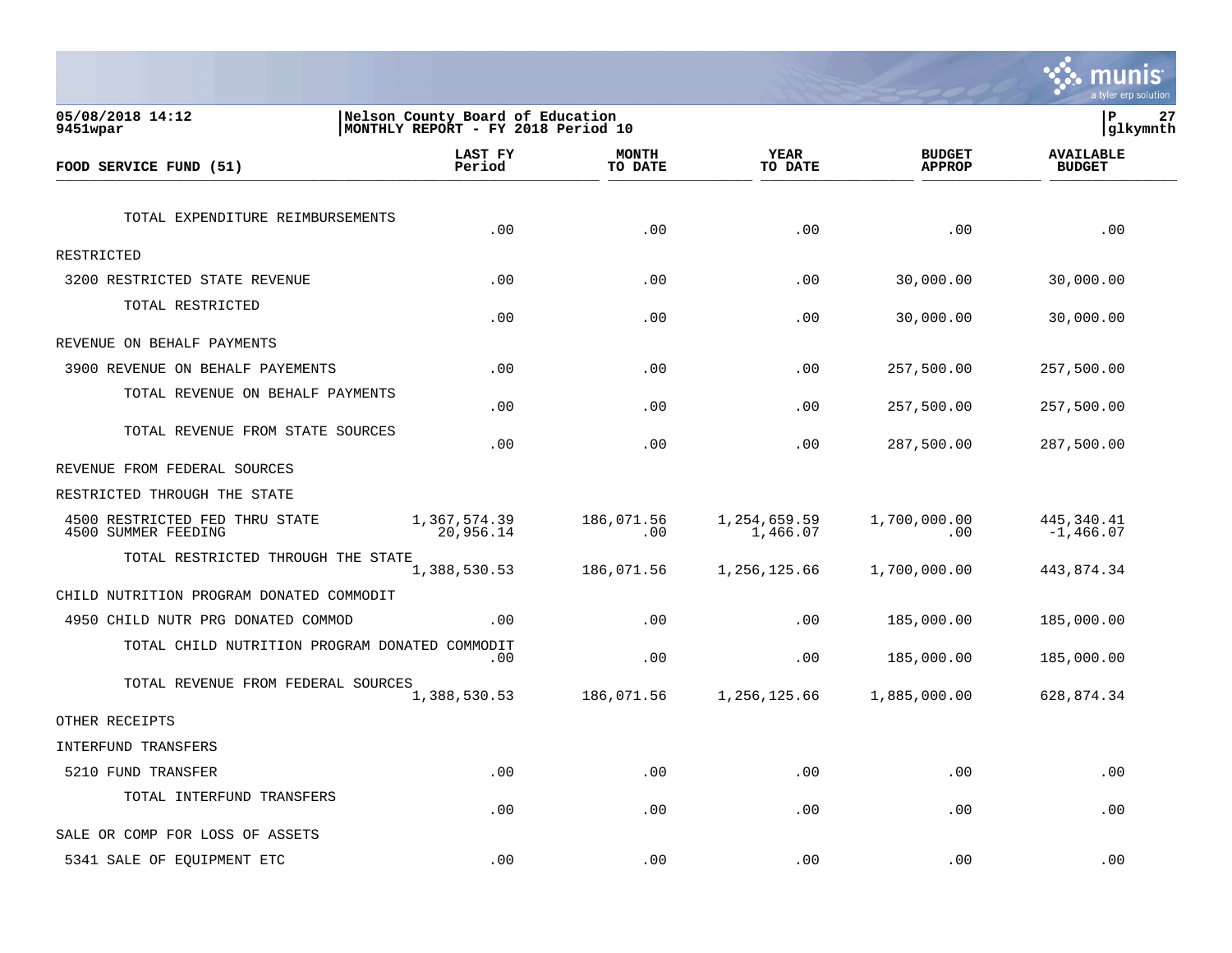

| 05/08/2018 14:12<br>9451wpar                          | Nelson County Board of Education<br>MONTHLY REPORT - FY 2018 Period 10 |                         |                          |                                | P<br> glkymnth                    | 27 |
|-------------------------------------------------------|------------------------------------------------------------------------|-------------------------|--------------------------|--------------------------------|-----------------------------------|----|
| FOOD SERVICE FUND (51)                                | LAST FY<br>Period                                                      | <b>MONTH</b><br>TO DATE | <b>YEAR</b><br>TO DATE   | <b>BUDGET</b><br><b>APPROP</b> | <b>AVAILABLE</b><br><b>BUDGET</b> |    |
| TOTAL EXPENDITURE REIMBURSEMENTS                      | .00                                                                    | .00                     | .00                      | .00                            | .00                               |    |
| RESTRICTED                                            |                                                                        |                         |                          |                                |                                   |    |
| 3200 RESTRICTED STATE REVENUE                         | .00                                                                    | .00                     | .00                      | 30,000.00                      | 30,000.00                         |    |
| TOTAL RESTRICTED                                      | .00                                                                    | .00                     | .00                      | 30,000.00                      | 30,000.00                         |    |
| REVENUE ON BEHALF PAYMENTS                            |                                                                        |                         |                          |                                |                                   |    |
| 3900 REVENUE ON BEHALF PAYEMENTS                      | .00                                                                    | .00                     | .00                      | 257,500.00                     | 257,500.00                        |    |
| TOTAL REVENUE ON BEHALF PAYMENTS                      | .00                                                                    | .00                     | .00                      | 257,500.00                     | 257,500.00                        |    |
| TOTAL REVENUE FROM STATE SOURCES                      | .00                                                                    | .00                     | .00                      | 287,500.00                     | 287,500.00                        |    |
| REVENUE FROM FEDERAL SOURCES                          |                                                                        |                         |                          |                                |                                   |    |
| RESTRICTED THROUGH THE STATE                          |                                                                        |                         |                          |                                |                                   |    |
| 4500 RESTRICTED FED THRU STATE<br>4500 SUMMER FEEDING | 1,367,574.39<br>20,956.14                                              | 186,071.56<br>.00       | 1,254,659.59<br>1,466.07 | 1,700,000.00<br>.00            | 445,340.41<br>$-1,466.07$         |    |
| TOTAL RESTRICTED THROUGH THE STATE                    | 1,388,530.53                                                           | 186,071.56              | 1,256,125.66             | 1,700,000.00                   | 443,874.34                        |    |
| CHILD NUTRITION PROGRAM DONATED COMMODIT              |                                                                        |                         |                          |                                |                                   |    |
| 4950 CHILD NUTR PRG DONATED COMMOD                    | .00                                                                    | .00                     | .00                      | 185,000.00                     | 185,000.00                        |    |
| TOTAL CHILD NUTRITION PROGRAM DONATED COMMODIT        | .00                                                                    | .00                     | .00                      | 185,000.00                     | 185,000.00                        |    |
| TOTAL REVENUE FROM FEDERAL SOURCES                    | 1,388,530.53                                                           | 186,071.56              | 1,256,125.66             | 1,885,000.00                   | 628,874.34                        |    |
| OTHER RECEIPTS                                        |                                                                        |                         |                          |                                |                                   |    |
| INTERFUND TRANSFERS                                   |                                                                        |                         |                          |                                |                                   |    |
| 5210 FUND TRANSFER                                    | .00                                                                    | .00                     | .00                      | .00                            | .00                               |    |
| TOTAL INTERFUND TRANSFERS                             | .00                                                                    | .00                     | .00                      | .00                            | .00                               |    |
| SALE OR COMP FOR LOSS OF ASSETS                       |                                                                        |                         |                          |                                |                                   |    |
| 5341 SALE OF EQUIPMENT ETC                            | .00                                                                    | .00                     | .00                      | .00                            | .00                               |    |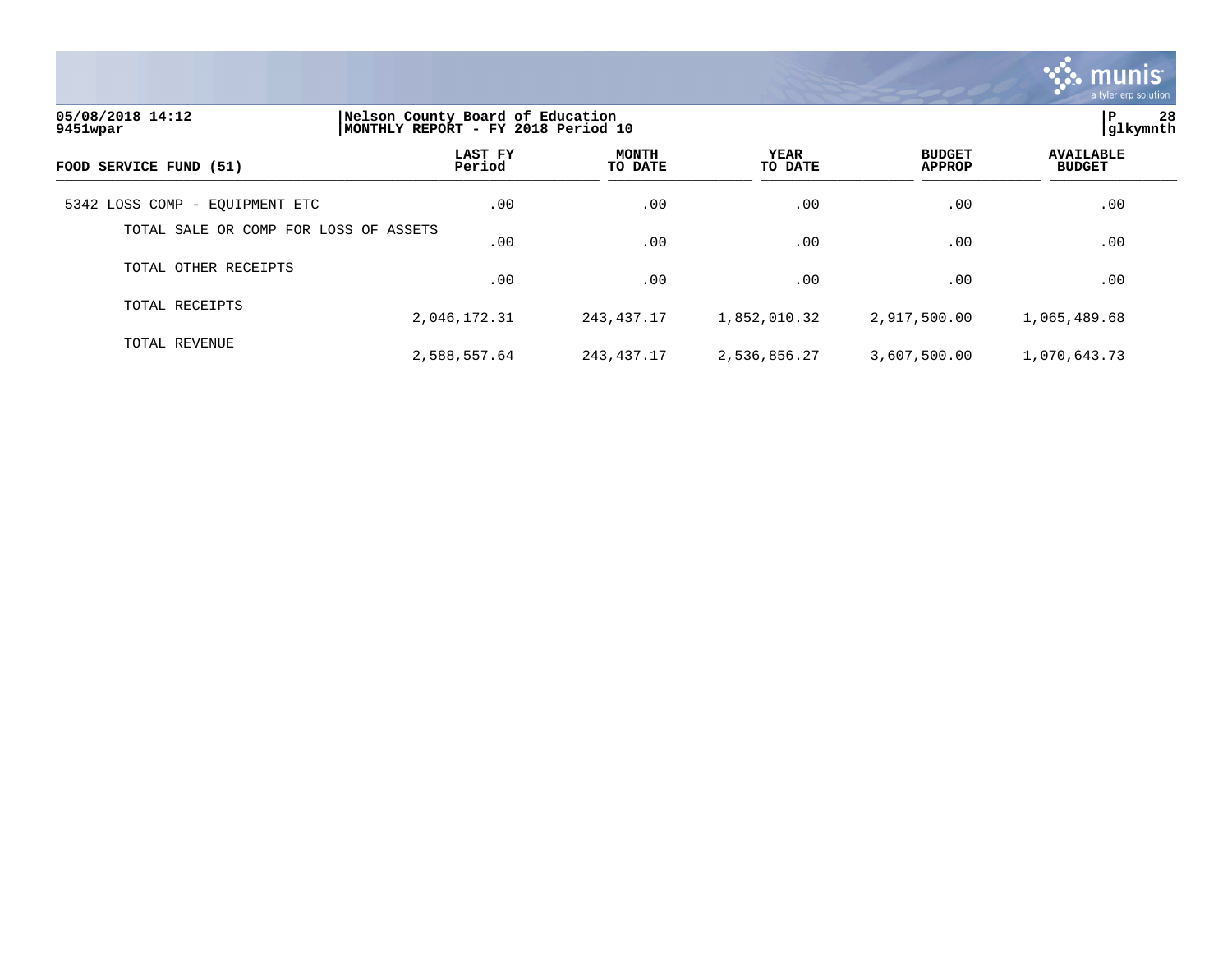

| 05/08/2018 14:12<br>9451wpar          |                   | Nelson County Board of Education<br>MONTHLY REPORT - FY 2018 Period 10 |                        |                                |                                   |  |  |
|---------------------------------------|-------------------|------------------------------------------------------------------------|------------------------|--------------------------------|-----------------------------------|--|--|
| FOOD SERVICE FUND (51)                | LAST FY<br>Period | <b>MONTH</b><br>TO DATE                                                | <b>YEAR</b><br>TO DATE | <b>BUDGET</b><br><b>APPROP</b> | <b>AVAILABLE</b><br><b>BUDGET</b> |  |  |
| 5342 LOSS COMP - EQUIPMENT ETC        | .00               | .00                                                                    | .00                    | .00                            | .00                               |  |  |
| TOTAL SALE OR COMP FOR LOSS OF ASSETS | .00.              | .00                                                                    | .00                    | .00                            | .00                               |  |  |
| TOTAL OTHER RECEIPTS                  | .00               | .00                                                                    | .00                    | .00                            | .00                               |  |  |
| TOTAL RECEIPTS                        | 2,046,172.31      | 243,437.17                                                             | 1,852,010.32           | 2,917,500.00                   | 1,065,489.68                      |  |  |
| TOTAL REVENUE                         | 2,588,557.64      | 243,437.17                                                             | 2,536,856.27           | 3,607,500.00                   | 1,070,643.73                      |  |  |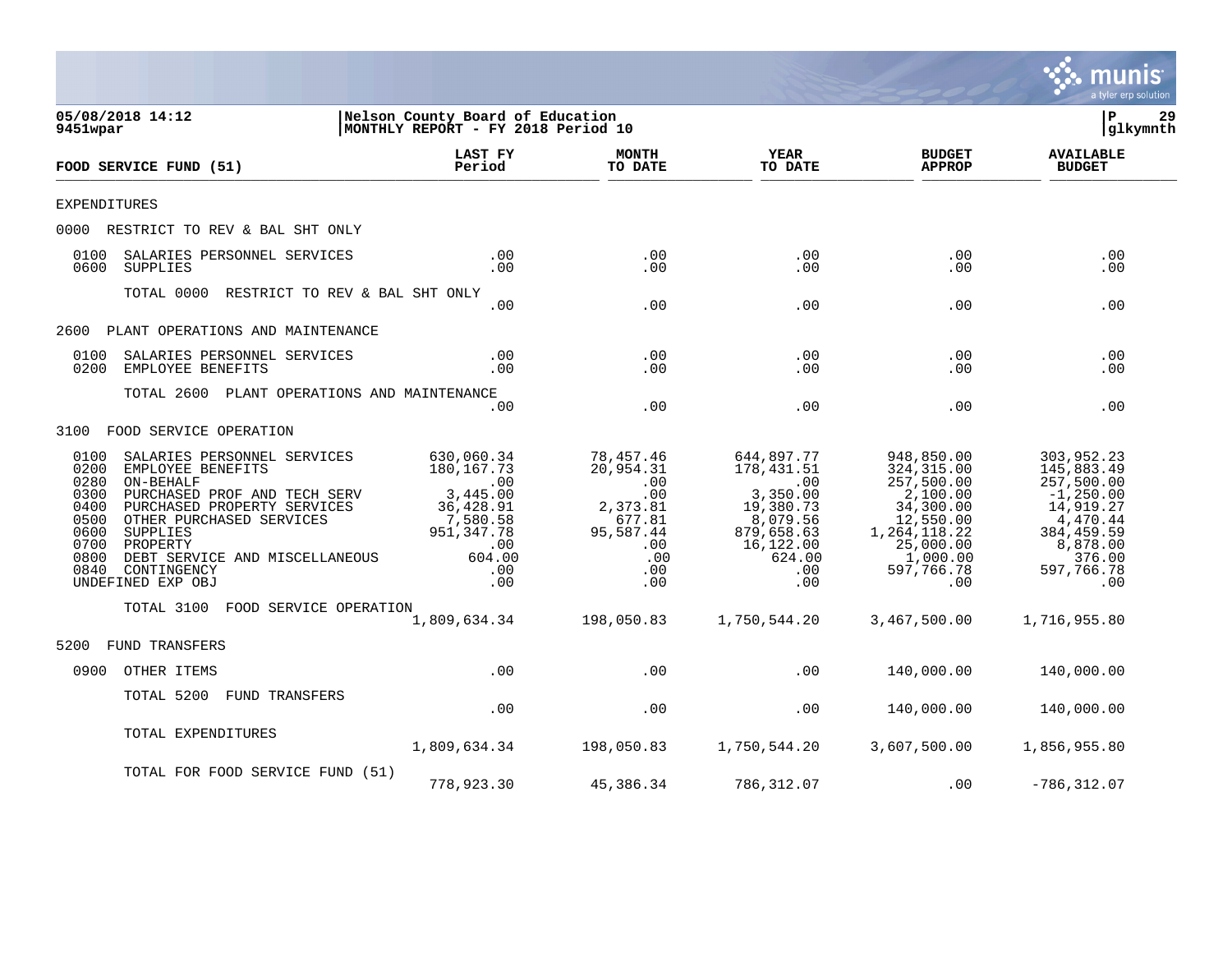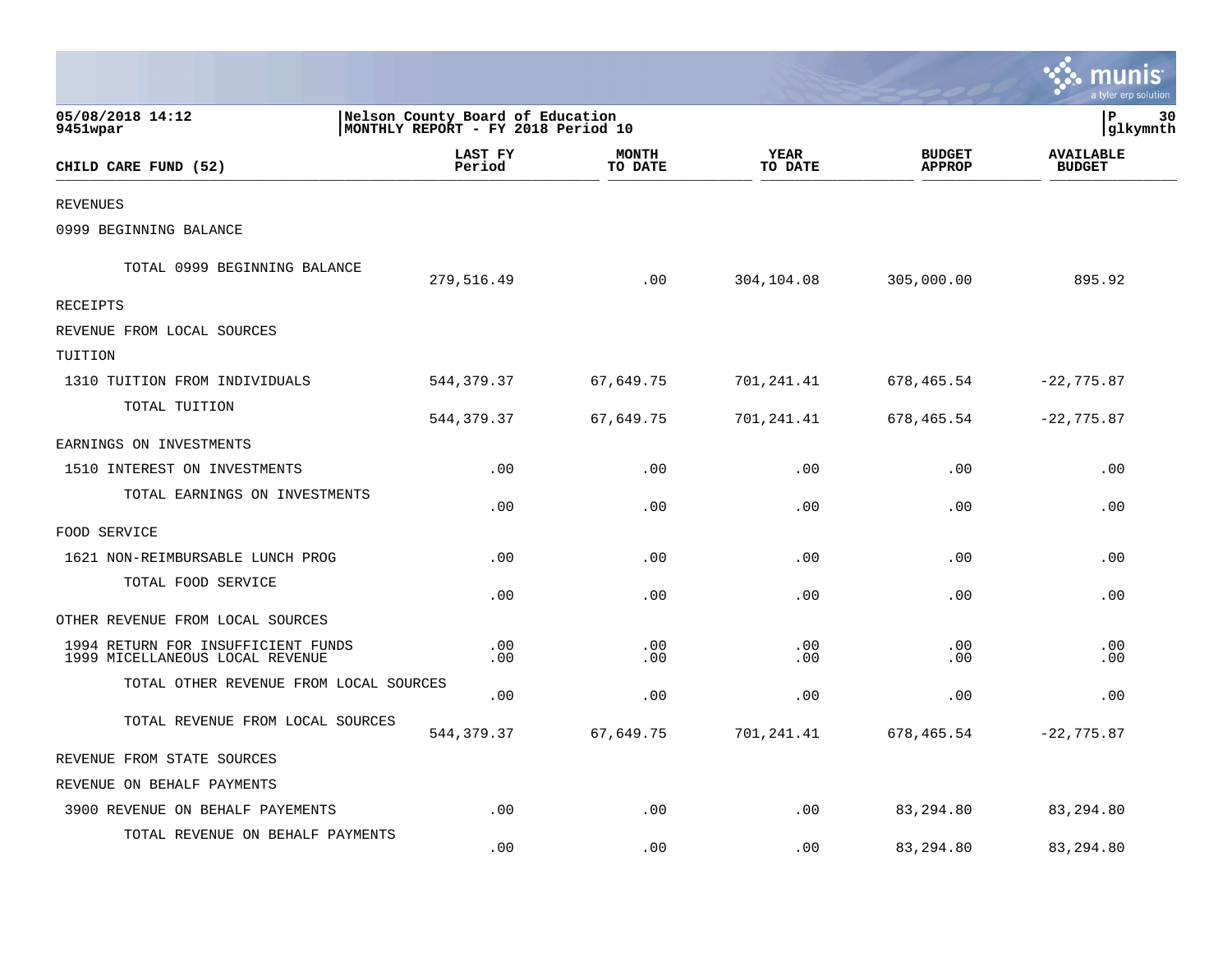|                                                                       |                                                                        |                         |                 |                                | <b>INUNIS</b><br>a tyler erp solution |
|-----------------------------------------------------------------------|------------------------------------------------------------------------|-------------------------|-----------------|--------------------------------|---------------------------------------|
| 05/08/2018 14:12<br>9451wpar                                          | Nelson County Board of Education<br>MONTHLY REPORT - FY 2018 Period 10 |                         |                 |                                | ΙP<br>30<br>glkymnth                  |
| CHILD CARE FUND (52)                                                  | LAST FY<br>Period                                                      | <b>MONTH</b><br>TO DATE | YEAR<br>TO DATE | <b>BUDGET</b><br><b>APPROP</b> | <b>AVAILABLE</b><br><b>BUDGET</b>     |
| <b>REVENUES</b>                                                       |                                                                        |                         |                 |                                |                                       |
| 0999 BEGINNING BALANCE                                                |                                                                        |                         |                 |                                |                                       |
| TOTAL 0999 BEGINNING BALANCE                                          | 279,516.49                                                             | .00                     | 304,104.08      | 305,000.00                     | 895.92                                |
| RECEIPTS                                                              |                                                                        |                         |                 |                                |                                       |
| REVENUE FROM LOCAL SOURCES                                            |                                                                        |                         |                 |                                |                                       |
| TUITION                                                               |                                                                        |                         |                 |                                |                                       |
| 1310 TUITION FROM INDIVIDUALS                                         | 544, 379.37                                                            | 67,649.75               | 701,241.41      | 678,465.54                     | $-22,775.87$                          |
| TOTAL TUITION                                                         | 544,379.37                                                             | 67,649.75               | 701,241.41      | 678,465.54                     | $-22,775.87$                          |
| EARNINGS ON INVESTMENTS                                               |                                                                        |                         |                 |                                |                                       |
| 1510 INTEREST ON INVESTMENTS                                          | .00                                                                    | .00                     | .00             | .00                            | .00                                   |
| TOTAL EARNINGS ON INVESTMENTS                                         | .00                                                                    | .00                     | .00             | .00                            | .00                                   |
| FOOD SERVICE                                                          |                                                                        |                         |                 |                                |                                       |
| 1621 NON-REIMBURSABLE LUNCH PROG                                      | .00                                                                    | .00                     | .00             | .00                            | .00                                   |
| TOTAL FOOD SERVICE                                                    | .00                                                                    | .00                     | .00             | .00                            | .00                                   |
| OTHER REVENUE FROM LOCAL SOURCES                                      |                                                                        |                         |                 |                                |                                       |
| 1994 RETURN FOR INSUFFICIENT FUNDS<br>1999 MICELLANEOUS LOCAL REVENUE | .00<br>.00                                                             | .00<br>.00              | .00<br>.00      | .00<br>.00                     | .00<br>.00                            |
| TOTAL OTHER REVENUE FROM LOCAL SOURCES                                | .00                                                                    | .00                     | .00             | .00                            | .00                                   |
| TOTAL REVENUE FROM LOCAL SOURCES                                      | 544, 379.37                                                            | 67,649.75               | 701,241.41      | 678,465.54                     | $-22, 775.87$                         |
| REVENUE FROM STATE SOURCES                                            |                                                                        |                         |                 |                                |                                       |
| REVENUE ON BEHALF PAYMENTS                                            |                                                                        |                         |                 |                                |                                       |
| 3900 REVENUE ON BEHALF PAYEMENTS                                      | .00                                                                    | .00                     | .00             | 83,294.80                      | 83,294.80                             |
| TOTAL REVENUE ON BEHALF PAYMENTS                                      | .00                                                                    | .00                     | .00             | 83,294.80                      | 83,294.80                             |

 $\mathbf{r}$ 

 $\mathbf{L}$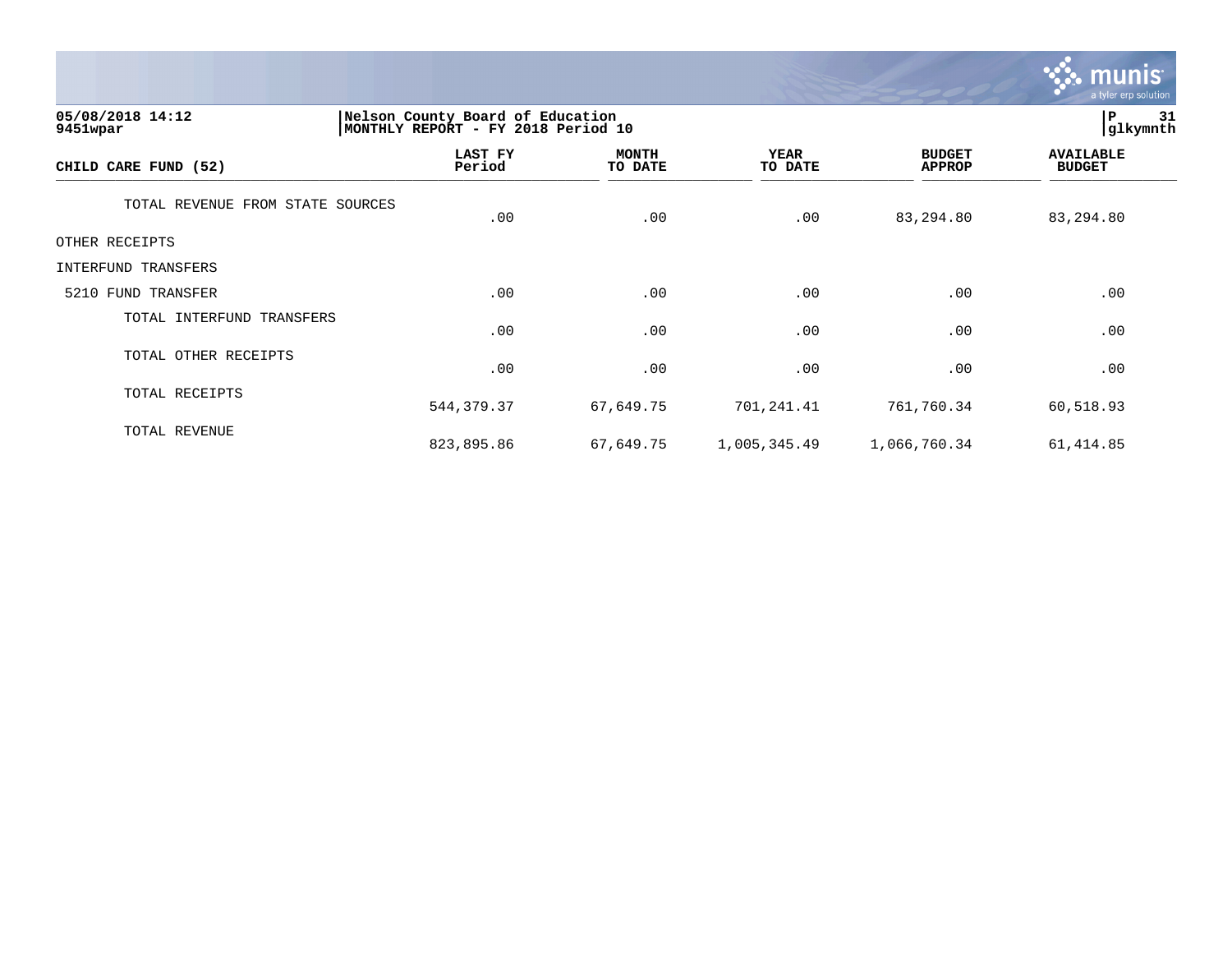

| 05/08/2018 14:12<br>9451wpar     | Nelson County Board of Education<br>MONTHLY REPORT - FY 2018 Period 10 | 31<br> P<br>glkymnth    |                 |                                |                                   |
|----------------------------------|------------------------------------------------------------------------|-------------------------|-----------------|--------------------------------|-----------------------------------|
| CHILD CARE FUND (52)             | LAST FY<br>Period                                                      | <b>MONTH</b><br>TO DATE | YEAR<br>TO DATE | <b>BUDGET</b><br><b>APPROP</b> | <b>AVAILABLE</b><br><b>BUDGET</b> |
| TOTAL REVENUE FROM STATE SOURCES | .00                                                                    | .00                     | .00             | 83,294.80                      | 83,294.80                         |
| OTHER RECEIPTS                   |                                                                        |                         |                 |                                |                                   |
| INTERFUND TRANSFERS              |                                                                        |                         |                 |                                |                                   |
| 5210 FUND TRANSFER               | .00                                                                    | .00                     | .00             | .00                            | .00                               |
| TOTAL INTERFUND TRANSFERS        | .00                                                                    | .00                     | .00             | .00                            | .00                               |
| TOTAL OTHER RECEIPTS             | .00                                                                    | .00                     | .00             | .00                            | .00                               |
| TOTAL RECEIPTS                   | 544, 379.37                                                            | 67,649.75               | 701,241.41      | 761,760.34                     | 60,518.93                         |
| TOTAL REVENUE                    | 823,895.86                                                             | 67,649.75               | 1,005,345.49    | 1,066,760.34                   | 61, 414.85                        |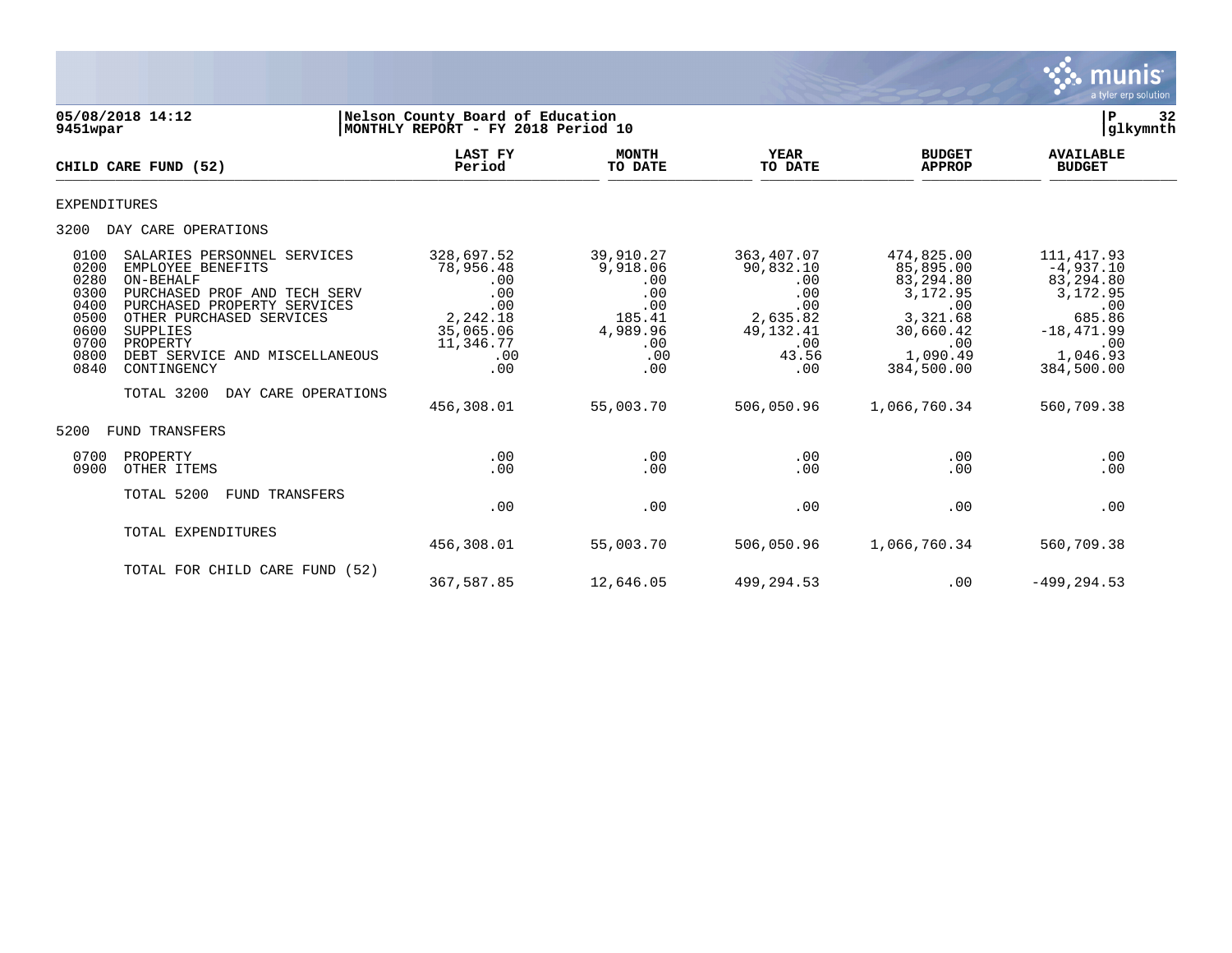

| 9451wpar                                                                     | 05/08/2018 14:12                                                                                                                                                                                                                                                       | Nelson County Board of Education<br>MONTHLY REPORT - FY 2018 Period 10                                         |                                                                                                    |                                                                                                              |                                                                                                                                   | 32<br>${\bf P}$<br> glkymnth                                                                                                        |
|------------------------------------------------------------------------------|------------------------------------------------------------------------------------------------------------------------------------------------------------------------------------------------------------------------------------------------------------------------|----------------------------------------------------------------------------------------------------------------|----------------------------------------------------------------------------------------------------|--------------------------------------------------------------------------------------------------------------|-----------------------------------------------------------------------------------------------------------------------------------|-------------------------------------------------------------------------------------------------------------------------------------|
|                                                                              | CHILD CARE FUND (52)                                                                                                                                                                                                                                                   | <b>LAST FY</b><br>Period                                                                                       | <b>MONTH</b><br>TO DATE                                                                            | <b>YEAR</b><br>TO DATE                                                                                       | <b>BUDGET</b><br><b>APPROP</b>                                                                                                    | <b>AVAILABLE</b><br><b>BUDGET</b>                                                                                                   |
| <b>EXPENDITURES</b>                                                          |                                                                                                                                                                                                                                                                        |                                                                                                                |                                                                                                    |                                                                                                              |                                                                                                                                   |                                                                                                                                     |
| 3200                                                                         | DAY CARE OPERATIONS                                                                                                                                                                                                                                                    |                                                                                                                |                                                                                                    |                                                                                                              |                                                                                                                                   |                                                                                                                                     |
| 0100<br>0200<br>0280<br>0300<br>0400<br>0500<br>0600<br>0700<br>0800<br>0840 | SALARIES PERSONNEL SERVICES<br>EMPLOYEE BENEFITS<br>ON-BEHALF<br>PURCHASED PROF AND TECH SERV<br>PURCHASED PROPERTY SERVICES<br>OTHER PURCHASED SERVICES<br>SUPPLIES<br>PROPERTY<br>DEBT SERVICE AND MISCELLANEOUS<br>CONTINGENCY<br>TOTAL 3200<br>DAY CARE OPERATIONS | 328,697.52<br>78,956.48<br>.00<br>.00<br>.00<br>2,242.18<br>35,065.06<br>11,346.77<br>.00<br>.00<br>456,308.01 | 39,910.27<br>9,918.06<br>.00<br>.00<br>.00<br>185.41<br>4,989.96<br>.00<br>.00<br>.00<br>55,003.70 | 363,407.07<br>90,832.10<br>.00<br>.00<br>.00<br>2,635.82<br>49, 132. 41<br>.00<br>43.56<br>.00<br>506,050.96 | 474,825.00<br>85,895.00<br>83,294.80<br>3,172.95<br>.00<br>3,321.68<br>30,660.42<br>.00<br>1,090.49<br>384,500.00<br>1,066,760.34 | 111, 417.93<br>$-4,937.10$<br>83,294.80<br>3,172.95<br>.00<br>685.86<br>$-18,471.99$<br>.00<br>1,046.93<br>384,500.00<br>560,709.38 |
| 5200                                                                         | <b>FUND TRANSFERS</b>                                                                                                                                                                                                                                                  |                                                                                                                |                                                                                                    |                                                                                                              |                                                                                                                                   |                                                                                                                                     |
| 0700<br>0900                                                                 | PROPERTY<br>OTHER ITEMS                                                                                                                                                                                                                                                | .00<br>.00                                                                                                     | .00<br>.00                                                                                         | .00<br>.00                                                                                                   | .00<br>.00                                                                                                                        | .00<br>.00                                                                                                                          |
|                                                                              | TOTAL 5200<br>FUND TRANSFERS                                                                                                                                                                                                                                           | .00                                                                                                            | .00                                                                                                | .00                                                                                                          | .00                                                                                                                               | .00                                                                                                                                 |
|                                                                              | TOTAL EXPENDITURES                                                                                                                                                                                                                                                     | 456,308.01                                                                                                     | 55,003.70                                                                                          | 506,050.96                                                                                                   | 1,066,760.34                                                                                                                      | 560,709.38                                                                                                                          |
|                                                                              | TOTAL FOR CHILD CARE FUND (52)                                                                                                                                                                                                                                         | 367,587.85                                                                                                     | 12,646.05                                                                                          | 499,294.53                                                                                                   | .00                                                                                                                               | $-499, 294.53$                                                                                                                      |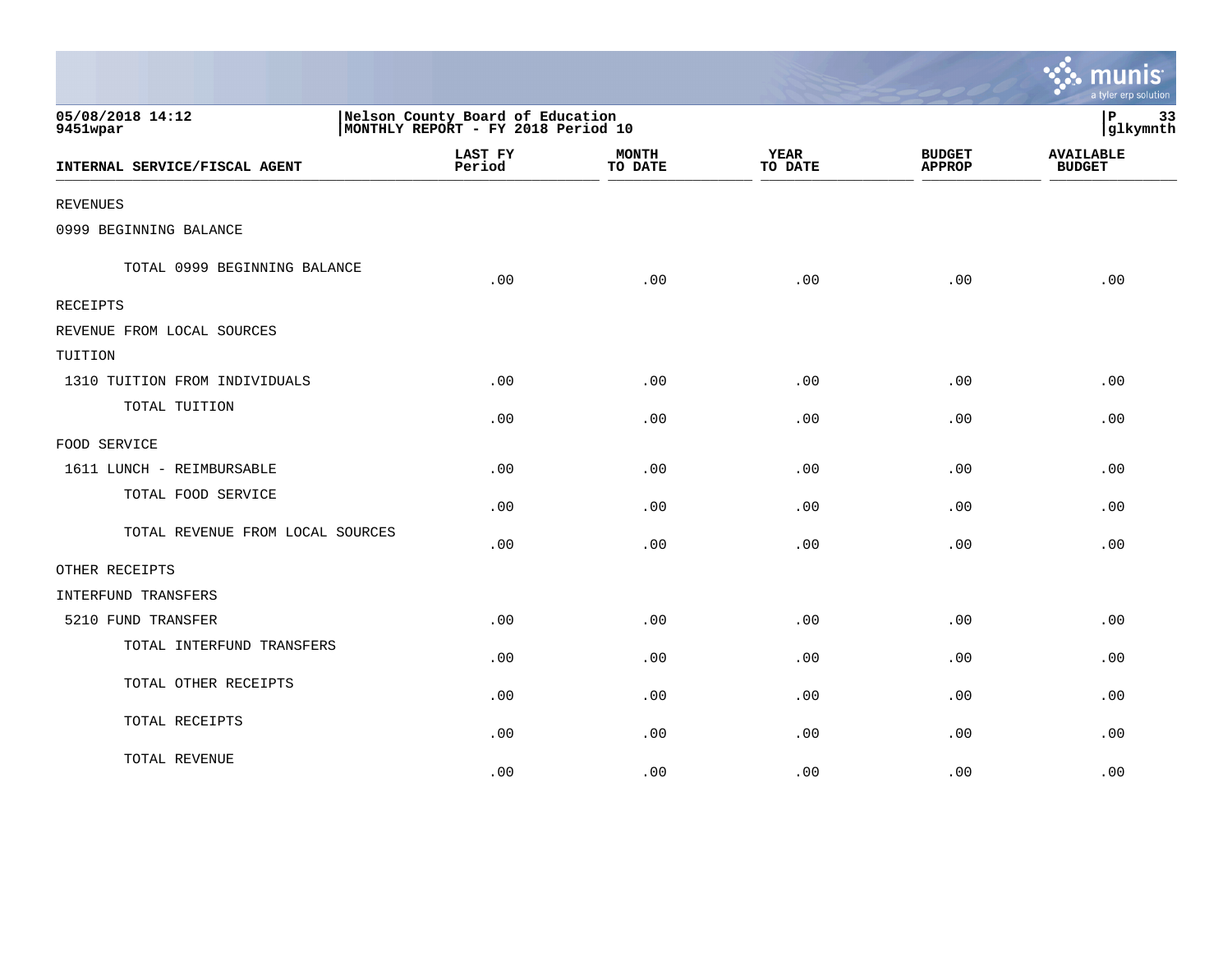|                                  |                   |                                                                         |                        |                                | a tyler erp solution              |  |  |
|----------------------------------|-------------------|-------------------------------------------------------------------------|------------------------|--------------------------------|-----------------------------------|--|--|
| 05/08/2018 14:12<br>9451wpar     |                   | Nelson County Board of Education<br> MONTHLY REPORT - FY 2018 Period 10 |                        |                                |                                   |  |  |
| INTERNAL SERVICE/FISCAL AGENT    | LAST FY<br>Period | <b>MONTH</b><br>TO DATE                                                 | <b>YEAR</b><br>TO DATE | <b>BUDGET</b><br><b>APPROP</b> | <b>AVAILABLE</b><br><b>BUDGET</b> |  |  |
| <b>REVENUES</b>                  |                   |                                                                         |                        |                                |                                   |  |  |
| 0999 BEGINNING BALANCE           |                   |                                                                         |                        |                                |                                   |  |  |
| TOTAL 0999 BEGINNING BALANCE     | .00               | .00                                                                     | .00                    | .00                            | .00                               |  |  |
| <b>RECEIPTS</b>                  |                   |                                                                         |                        |                                |                                   |  |  |
| REVENUE FROM LOCAL SOURCES       |                   |                                                                         |                        |                                |                                   |  |  |
| TUITION                          |                   |                                                                         |                        |                                |                                   |  |  |
| 1310 TUITION FROM INDIVIDUALS    | .00               | .00                                                                     | .00                    | .00                            | .00                               |  |  |
| TOTAL TUITION                    | .00               | .00                                                                     | .00                    | .00                            | .00                               |  |  |
| FOOD SERVICE                     |                   |                                                                         |                        |                                |                                   |  |  |
| 1611 LUNCH - REIMBURSABLE        | .00               | .00                                                                     | .00                    | .00                            | .00                               |  |  |
| TOTAL FOOD SERVICE               | .00               | .00                                                                     | .00                    | .00                            | .00                               |  |  |
| TOTAL REVENUE FROM LOCAL SOURCES | .00               | .00                                                                     | .00                    | .00                            | .00                               |  |  |
| OTHER RECEIPTS                   |                   |                                                                         |                        |                                |                                   |  |  |
| INTERFUND TRANSFERS              |                   |                                                                         |                        |                                |                                   |  |  |
| 5210 FUND TRANSFER               | .00               | .00                                                                     | .00                    | .00                            | .00                               |  |  |
| TOTAL INTERFUND TRANSFERS        | .00               | .00                                                                     | .00                    | .00                            | .00                               |  |  |
| TOTAL OTHER RECEIPTS             | .00               | .00                                                                     | .00                    | .00                            | .00                               |  |  |
| TOTAL RECEIPTS                   | .00               | .00                                                                     | .00                    | .00                            | .00                               |  |  |
| TOTAL REVENUE                    | .00               | .00                                                                     | .00                    | .00                            | .00                               |  |  |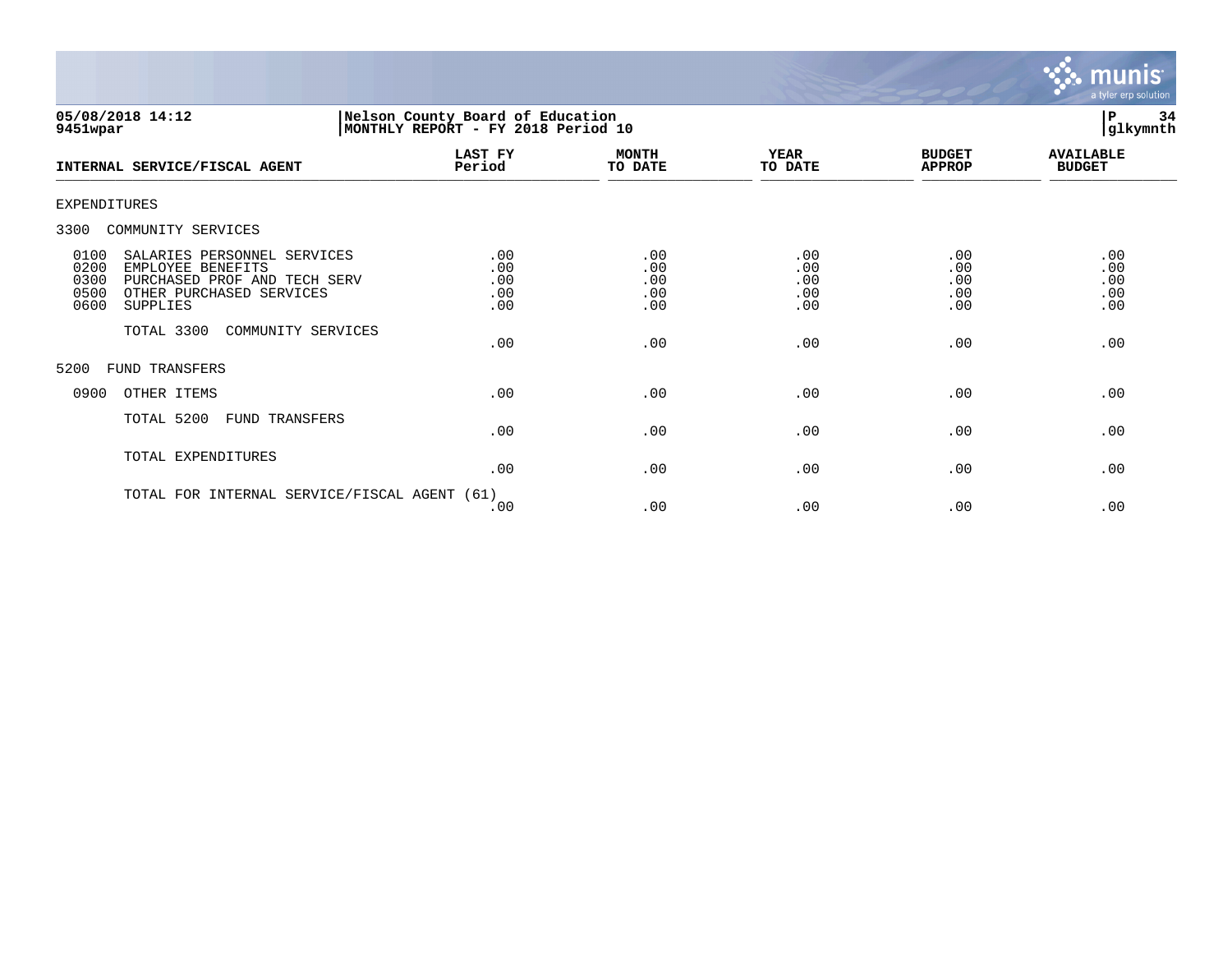

| 05/08/2018 14:12<br>9451wpar                                                                                                                                     | Nelson County Board of Education<br>MONTHLY REPORT - FY 2018 Period 10 |                                 |                                 |                                 | 34<br>P<br>glkymnth               |
|------------------------------------------------------------------------------------------------------------------------------------------------------------------|------------------------------------------------------------------------|---------------------------------|---------------------------------|---------------------------------|-----------------------------------|
| INTERNAL SERVICE/FISCAL AGENT                                                                                                                                    | LAST FY<br>Period                                                      | <b>MONTH</b><br>TO DATE         | <b>YEAR</b><br>TO DATE          | <b>BUDGET</b><br><b>APPROP</b>  | <b>AVAILABLE</b><br><b>BUDGET</b> |
| <b>EXPENDITURES</b>                                                                                                                                              |                                                                        |                                 |                                 |                                 |                                   |
| 3300<br>COMMUNITY SERVICES                                                                                                                                       |                                                                        |                                 |                                 |                                 |                                   |
| SALARIES PERSONNEL SERVICES<br>0100<br>0200<br>EMPLOYEE BENEFITS<br>0300<br>PURCHASED PROF AND TECH SERV<br>0500<br>OTHER PURCHASED SERVICES<br>0600<br>SUPPLIES | .00<br>.00<br>.00<br>.00<br>.00                                        | .00<br>.00<br>.00<br>.00<br>.00 | .00<br>.00<br>.00<br>.00<br>.00 | .00<br>.00<br>.00<br>.00<br>.00 | .00<br>.00<br>.00<br>.00<br>.00   |
| TOTAL 3300<br>COMMUNITY SERVICES                                                                                                                                 | .00                                                                    | .00                             | .00                             | .00                             | .00                               |
| FUND TRANSFERS<br>5200                                                                                                                                           |                                                                        |                                 |                                 |                                 |                                   |
| OTHER ITEMS<br>0900                                                                                                                                              | .00                                                                    | .00                             | .00                             | .00                             | .00                               |
| TOTAL 5200<br>FUND TRANSFERS                                                                                                                                     | .00                                                                    | .00                             | .00                             | .00                             | .00                               |
| TOTAL EXPENDITURES                                                                                                                                               | .00                                                                    | .00                             | .00                             | .00                             | .00                               |
| TOTAL FOR INTERNAL SERVICE/FISCAL AGENT (61)                                                                                                                     |                                                                        |                                 |                                 |                                 |                                   |

 $.00$  .  $.00$  .  $.00$  .  $.00$  .  $.00$  .  $.00$  .  $.00$  .  $.00$  .  $.00$  .  $.00$  .  $.00$  .  $.00$  .  $.00$  .  $.00$  .  $.00$  .  $.00$  .  $.00$  .  $.00$  .  $.00$  .  $.00$  .  $.00$  .  $.00$  .  $.00$  .  $.00$  .  $.00$  .  $.00$  .  $.00$  .  $.00$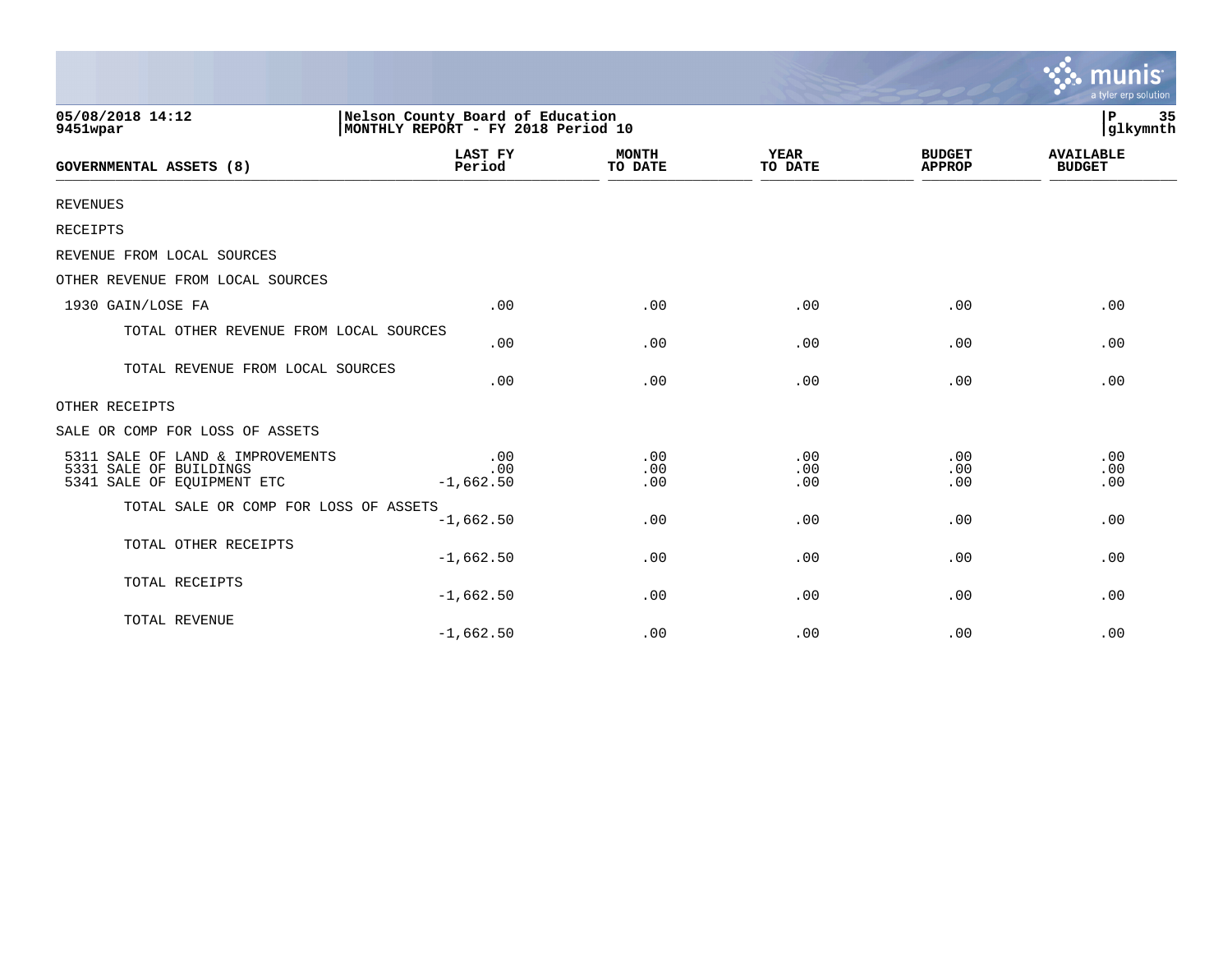|                                                                                          |                                                                        |                         |                        |                                | munis<br>a tyler erp solution     |
|------------------------------------------------------------------------------------------|------------------------------------------------------------------------|-------------------------|------------------------|--------------------------------|-----------------------------------|
| 05/08/2018 14:12<br>9451wpar                                                             | Nelson County Board of Education<br>MONTHLY REPORT - FY 2018 Period 10 |                         |                        |                                | 35<br>ΙP<br>glkymnth              |
| <b>GOVERNMENTAL ASSETS (8)</b>                                                           | <b>LAST FY</b><br>Period                                               | <b>MONTH</b><br>TO DATE | <b>YEAR</b><br>TO DATE | <b>BUDGET</b><br><b>APPROP</b> | <b>AVAILABLE</b><br><b>BUDGET</b> |
| <b>REVENUES</b>                                                                          |                                                                        |                         |                        |                                |                                   |
| RECEIPTS                                                                                 |                                                                        |                         |                        |                                |                                   |
| REVENUE FROM LOCAL SOURCES                                                               |                                                                        |                         |                        |                                |                                   |
| OTHER REVENUE FROM LOCAL SOURCES                                                         |                                                                        |                         |                        |                                |                                   |
| 1930 GAIN/LOSE FA                                                                        | .00                                                                    | .00                     | .00                    | .00                            | .00                               |
| TOTAL OTHER REVENUE FROM LOCAL SOURCES                                                   | .00                                                                    | .00                     | .00                    | .00                            | .00                               |
| TOTAL REVENUE FROM LOCAL SOURCES                                                         | .00                                                                    | .00                     | .00                    | .00                            | .00                               |
| OTHER RECEIPTS                                                                           |                                                                        |                         |                        |                                |                                   |
| SALE OR COMP FOR LOSS OF ASSETS                                                          |                                                                        |                         |                        |                                |                                   |
| 5311 SALE OF LAND & IMPROVEMENTS<br>5331 SALE OF BUILDINGS<br>5341 SALE OF EQUIPMENT ETC | .00<br>.00<br>$-1,662.50$                                              | .00<br>.00<br>.00       | .00<br>.00<br>.00      | .00<br>.00<br>.00              | .00<br>.00<br>.00                 |
| TOTAL SALE OR COMP FOR LOSS OF ASSETS                                                    | $-1,662.50$                                                            | .00                     | .00                    | .00                            | .00                               |
| TOTAL OTHER RECEIPTS                                                                     | $-1,662.50$                                                            | .00                     | .00                    | .00                            | .00                               |
| TOTAL RECEIPTS                                                                           | $-1,662.50$                                                            | .00                     | .00                    | .00                            | .00                               |
| TOTAL REVENUE                                                                            | $-1,662.50$                                                            | .00                     | .00                    | .00                            | .00                               |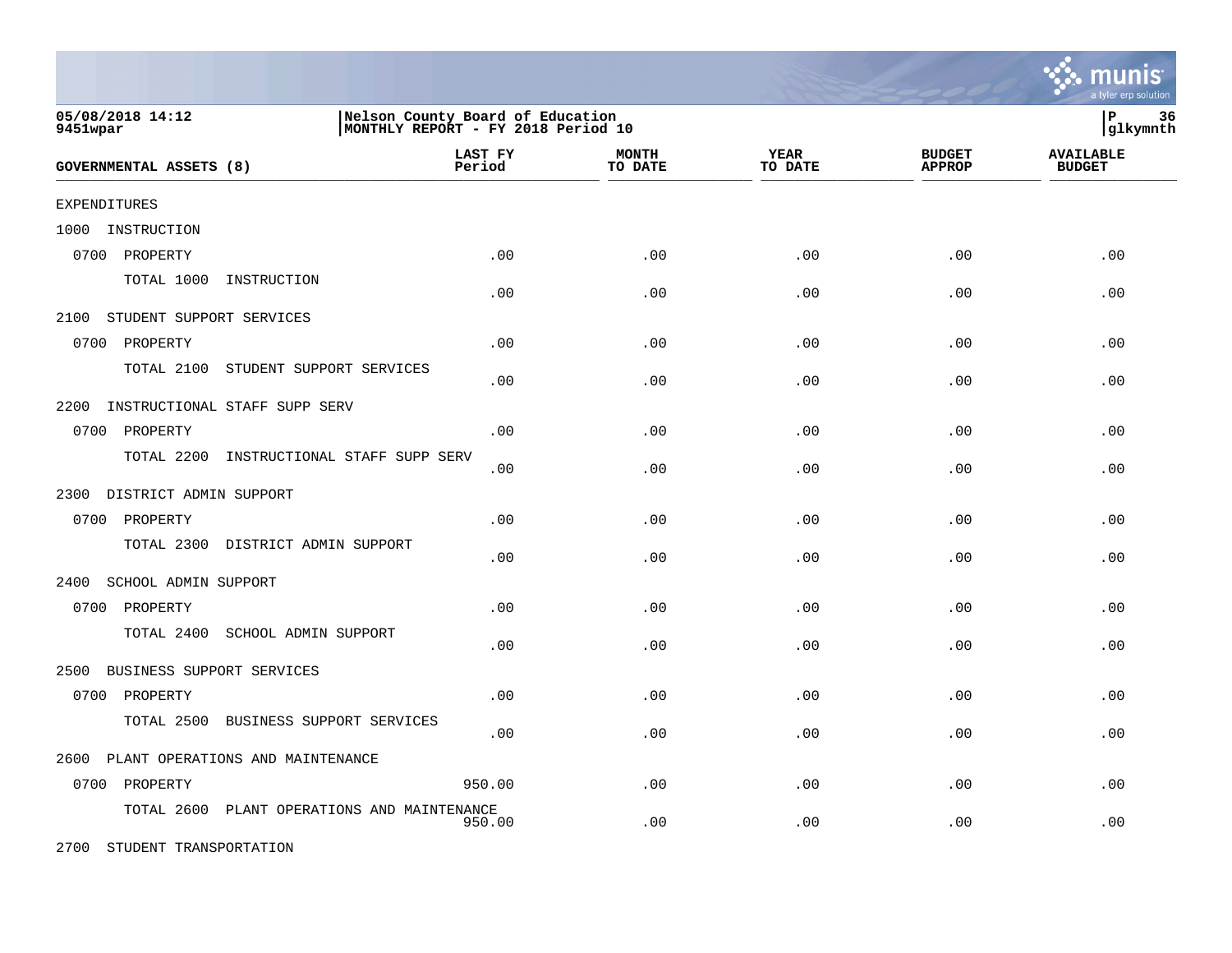|                                                |                                                                        |                         |                        |                                | munis<br>a tyler erp solution     |
|------------------------------------------------|------------------------------------------------------------------------|-------------------------|------------------------|--------------------------------|-----------------------------------|
| 05/08/2018 14:12<br>9451wpar                   | Nelson County Board of Education<br>MONTHLY REPORT - FY 2018 Period 10 |                         |                        |                                | l P<br>36<br> glkymnth            |
| <b>GOVERNMENTAL ASSETS (8)</b>                 | LAST FY<br>Period                                                      | <b>MONTH</b><br>TO DATE | <b>YEAR</b><br>TO DATE | <b>BUDGET</b><br><b>APPROP</b> | <b>AVAILABLE</b><br><b>BUDGET</b> |
| <b>EXPENDITURES</b>                            |                                                                        |                         |                        |                                |                                   |
| 1000<br>INSTRUCTION                            |                                                                        |                         |                        |                                |                                   |
| 0700 PROPERTY                                  | .00                                                                    | .00                     | .00                    | .00                            | .00                               |
| TOTAL 1000<br>INSTRUCTION                      | .00                                                                    | .00                     | .00                    | .00                            | .00                               |
| STUDENT SUPPORT SERVICES<br>2100               |                                                                        |                         |                        |                                |                                   |
| 0700<br>PROPERTY                               | .00                                                                    | .00                     | .00                    | .00                            | .00                               |
| TOTAL 2100<br>STUDENT SUPPORT SERVICES         | .00                                                                    | .00                     | .00                    | .00                            | .00                               |
| 2200<br>INSTRUCTIONAL STAFF SUPP SERV          |                                                                        |                         |                        |                                |                                   |
| 0700<br>PROPERTY                               | .00                                                                    | .00                     | .00                    | .00                            | .00                               |
| TOTAL 2200<br>INSTRUCTIONAL STAFF SUPP SERV    | .00                                                                    | .00                     | .00                    | .00                            | .00                               |
| 2300 DISTRICT ADMIN SUPPORT                    |                                                                        |                         |                        |                                |                                   |
| 0700 PROPERTY                                  | .00.                                                                   | .00                     | .00                    | .00                            | .00                               |
| TOTAL 2300 DISTRICT ADMIN SUPPORT              | .00                                                                    | .00                     | .00                    | .00                            | .00                               |
| 2400<br><b>SCHOOL ADMIN SUPPORT</b>            |                                                                        |                         |                        |                                |                                   |
| 0700 PROPERTY                                  | .00                                                                    | .00                     | .00                    | .00                            | .00                               |
| TOTAL 2400<br>SCHOOL ADMIN SUPPORT             | .00                                                                    | .00                     | .00                    | .00                            | .00                               |
| BUSINESS SUPPORT SERVICES<br>2500              |                                                                        |                         |                        |                                |                                   |
| 0700 PROPERTY                                  | .00                                                                    | .00                     | .00                    | .00                            | .00                               |
| TOTAL 2500<br>BUSINESS SUPPORT SERVICES        | .00                                                                    | .00                     | .00                    | .00                            | .00                               |
| PLANT OPERATIONS AND MAINTENANCE<br>2600       |                                                                        |                         |                        |                                |                                   |
| 0700 PROPERTY                                  | 950.00                                                                 | .00                     | .00                    | .00                            | .00                               |
| TOTAL 2600<br>PLANT OPERATIONS AND MAINTENANCE | 950.00                                                                 | .00                     | .00                    | .00                            | .00                               |
| 2700 STUDENT TRANSPORTATION                    |                                                                        |                         |                        |                                |                                   |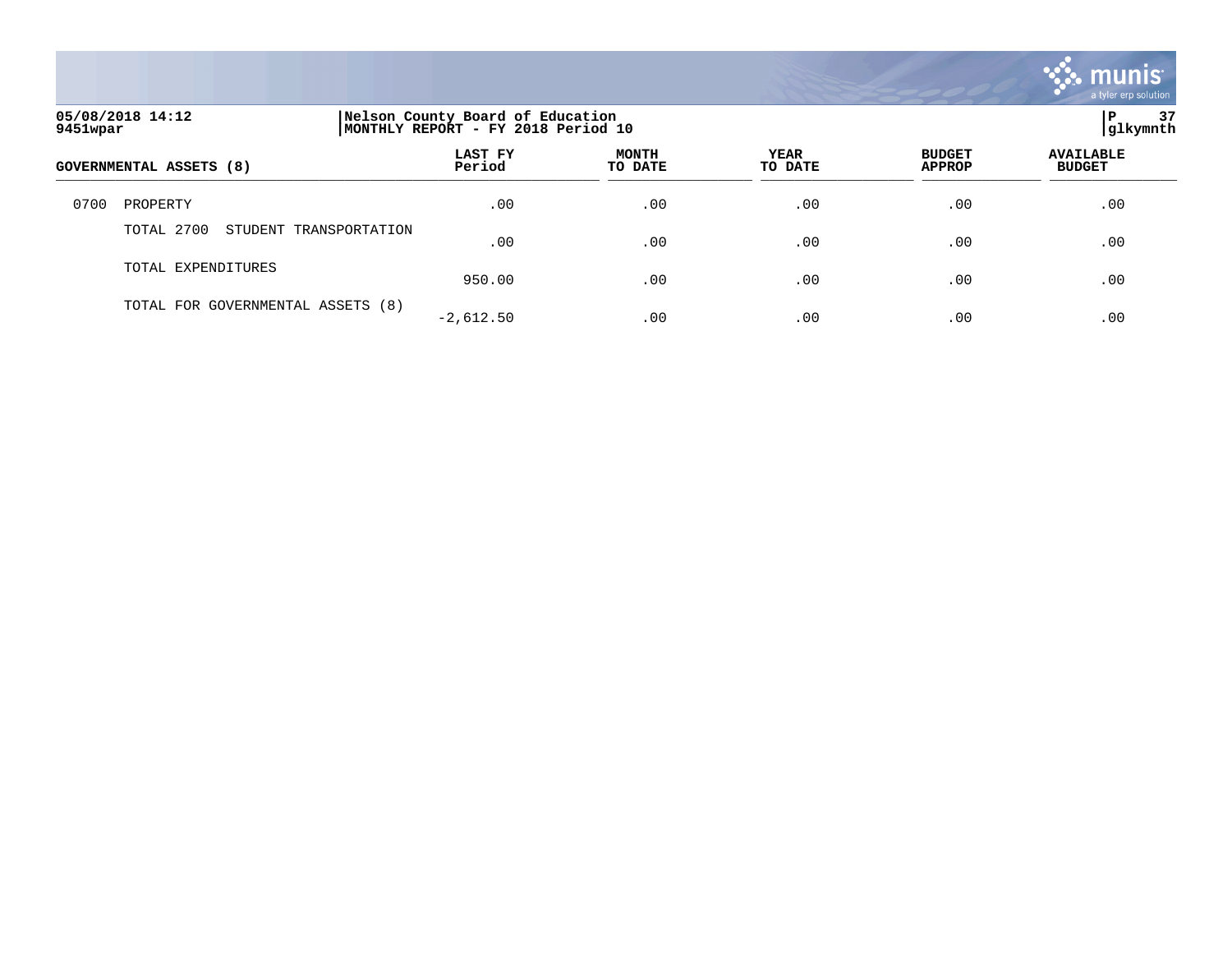

| 05/08/2018 14:12<br>9451wpar |                                      | Nelson County Board of Education<br>MONTHLY REPORT - FY 2018 Period 10 | 37<br>P<br> glkymnth    |                        |                                |                                   |
|------------------------------|--------------------------------------|------------------------------------------------------------------------|-------------------------|------------------------|--------------------------------|-----------------------------------|
|                              | <b>GOVERNMENTAL ASSETS (8)</b>       | <b>LAST FY</b><br>Period                                               | <b>MONTH</b><br>TO DATE | <b>YEAR</b><br>TO DATE | <b>BUDGET</b><br><b>APPROP</b> | <b>AVAILABLE</b><br><b>BUDGET</b> |
| 0700                         | PROPERTY                             | .00                                                                    | .00                     | .00                    | .00                            | .00                               |
|                              | TOTAL 2700<br>STUDENT TRANSPORTATION | .00                                                                    | .00                     | .00                    | .00                            | .00                               |
|                              | TOTAL EXPENDITURES                   | 950.00                                                                 | .00                     | .00                    | .00                            | .00                               |
|                              | TOTAL FOR GOVERNMENTAL ASSETS (8)    | $-2,612.50$                                                            | .00                     | .00                    | .00                            | .00                               |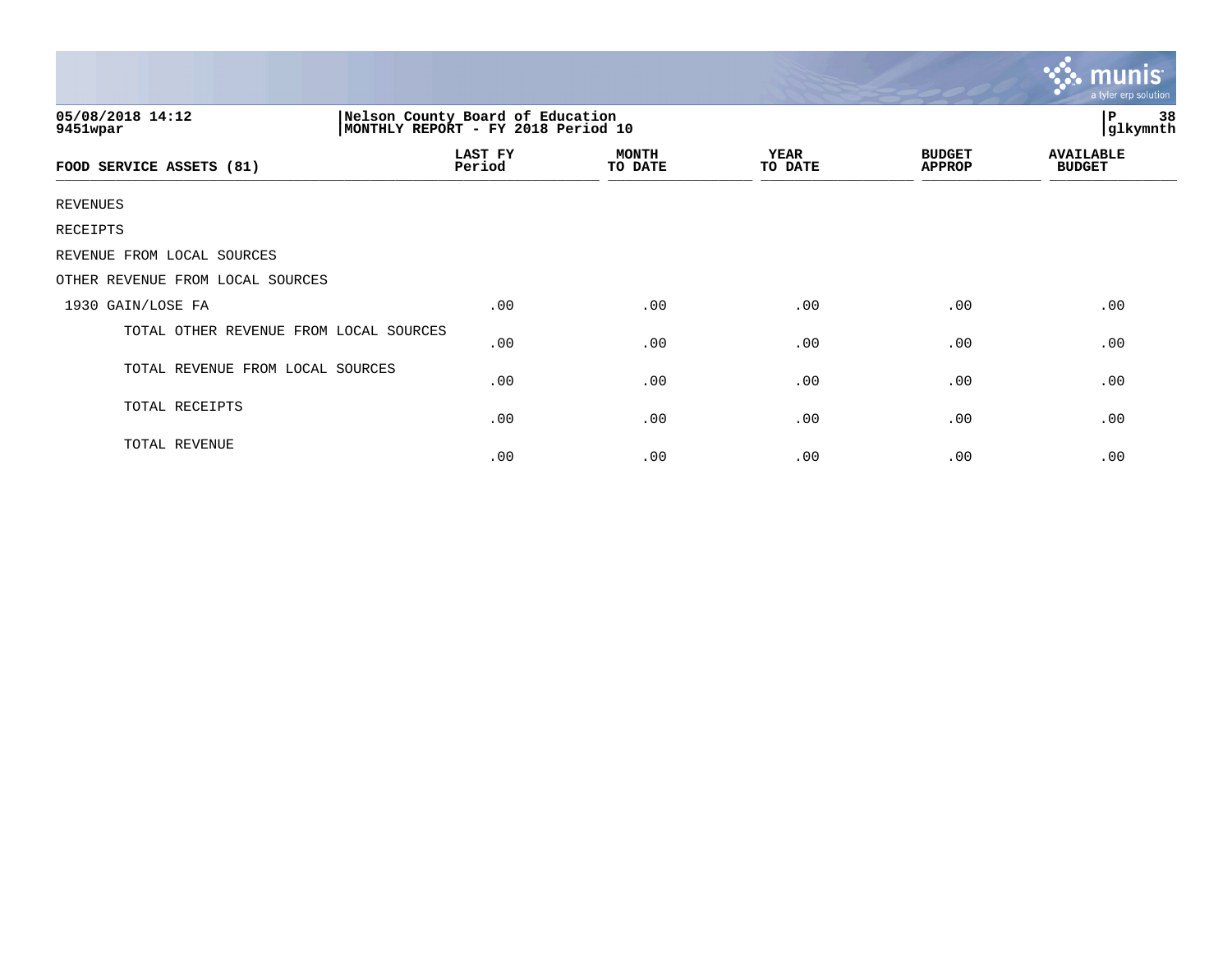|                                        |                                                                        |                         |                 |                                | <b>munis</b><br>a tyler erp solution |
|----------------------------------------|------------------------------------------------------------------------|-------------------------|-----------------|--------------------------------|--------------------------------------|
| 05/08/2018 14:12<br>9451wpar           | Nelson County Board of Education<br>MONTHLY REPORT - FY 2018 Period 10 |                         |                 |                                | P<br>38<br>glkymnth                  |
| FOOD SERVICE ASSETS (81)               | LAST FY<br>Period                                                      | <b>MONTH</b><br>TO DATE | YEAR<br>TO DATE | <b>BUDGET</b><br><b>APPROP</b> | <b>AVAILABLE</b><br><b>BUDGET</b>    |
| <b>REVENUES</b>                        |                                                                        |                         |                 |                                |                                      |
| RECEIPTS                               |                                                                        |                         |                 |                                |                                      |
| REVENUE FROM LOCAL SOURCES             |                                                                        |                         |                 |                                |                                      |
| OTHER REVENUE FROM LOCAL SOURCES       |                                                                        |                         |                 |                                |                                      |
| 1930 GAIN/LOSE FA                      | .00                                                                    | .00                     | .00             | .00                            | .00                                  |
| TOTAL OTHER REVENUE FROM LOCAL SOURCES | .00                                                                    | .00                     | .00             | .00                            | .00                                  |
| TOTAL REVENUE FROM LOCAL SOURCES       | .00                                                                    | .00                     | .00             | .00                            | .00                                  |
| TOTAL RECEIPTS                         | .00                                                                    | .00                     | .00             | .00                            | .00                                  |
| TOTAL REVENUE                          | .00                                                                    | .00                     | .00             | .00                            | .00                                  |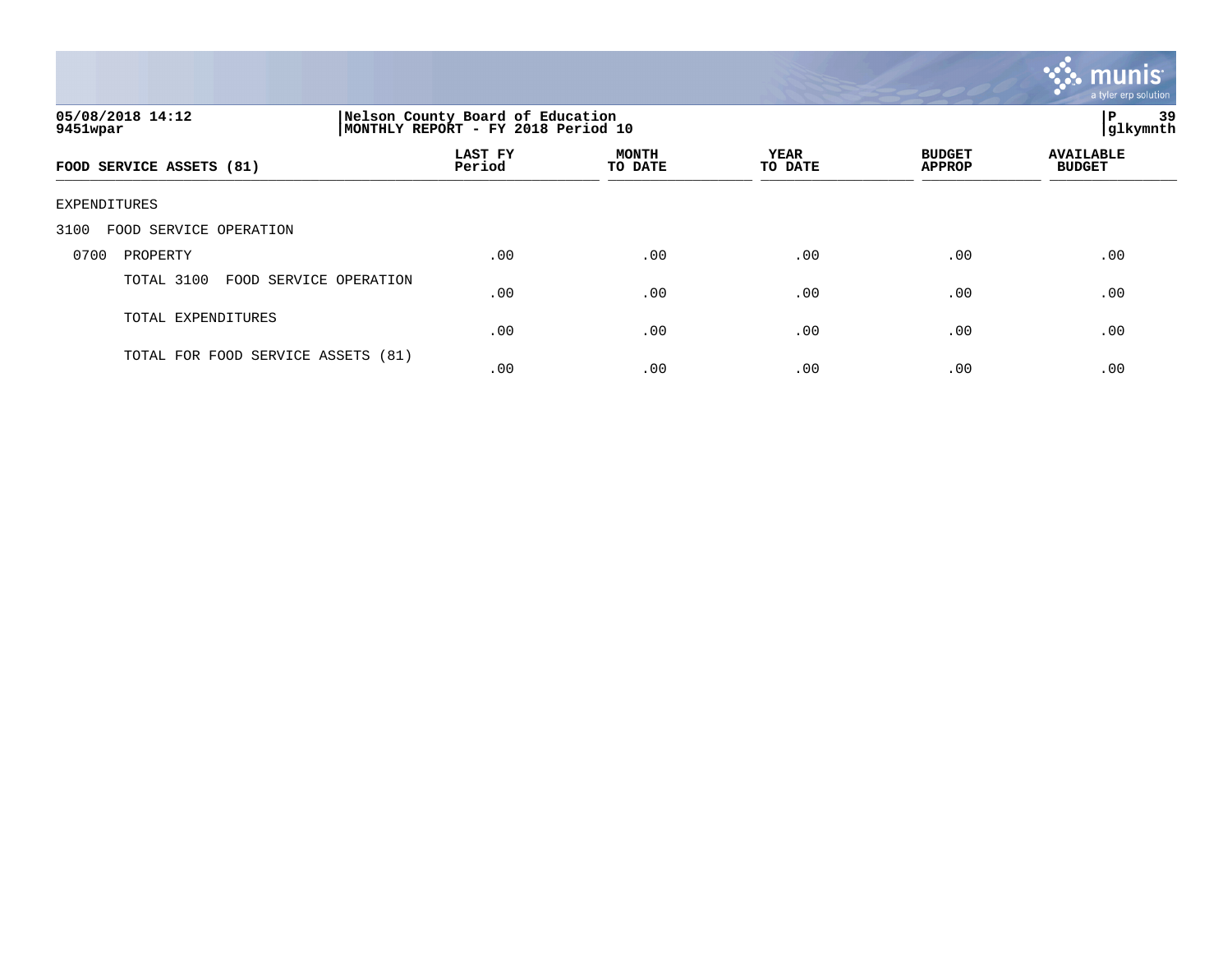

| 05/08/2018 14:12<br>9451wpar       | Nelson County Board of Education<br>MONTHLY REPORT - FY 2018 Period 10 | 39<br>l P<br> glkymnth  |                        |                                |                                   |
|------------------------------------|------------------------------------------------------------------------|-------------------------|------------------------|--------------------------------|-----------------------------------|
| FOOD SERVICE ASSETS (81)           | LAST FY<br>Period                                                      | <b>MONTH</b><br>TO DATE | <b>YEAR</b><br>TO DATE | <b>BUDGET</b><br><b>APPROP</b> | <b>AVAILABLE</b><br><b>BUDGET</b> |
| EXPENDITURES                       |                                                                        |                         |                        |                                |                                   |
| FOOD SERVICE OPERATION<br>3100     |                                                                        |                         |                        |                                |                                   |
| 0700<br>PROPERTY                   | .00                                                                    | .00                     | .00                    | .00                            | .00                               |
| TOTAL 3100<br>FOOD SERVICE         | OPERATION<br>.00                                                       | .00                     | .00                    | .00                            | .00                               |
| TOTAL EXPENDITURES                 | .00                                                                    | .00                     | .00                    | .00                            | .00                               |
| TOTAL FOR FOOD SERVICE ASSETS (81) | .00                                                                    | .00                     | .00                    | .00                            | .00                               |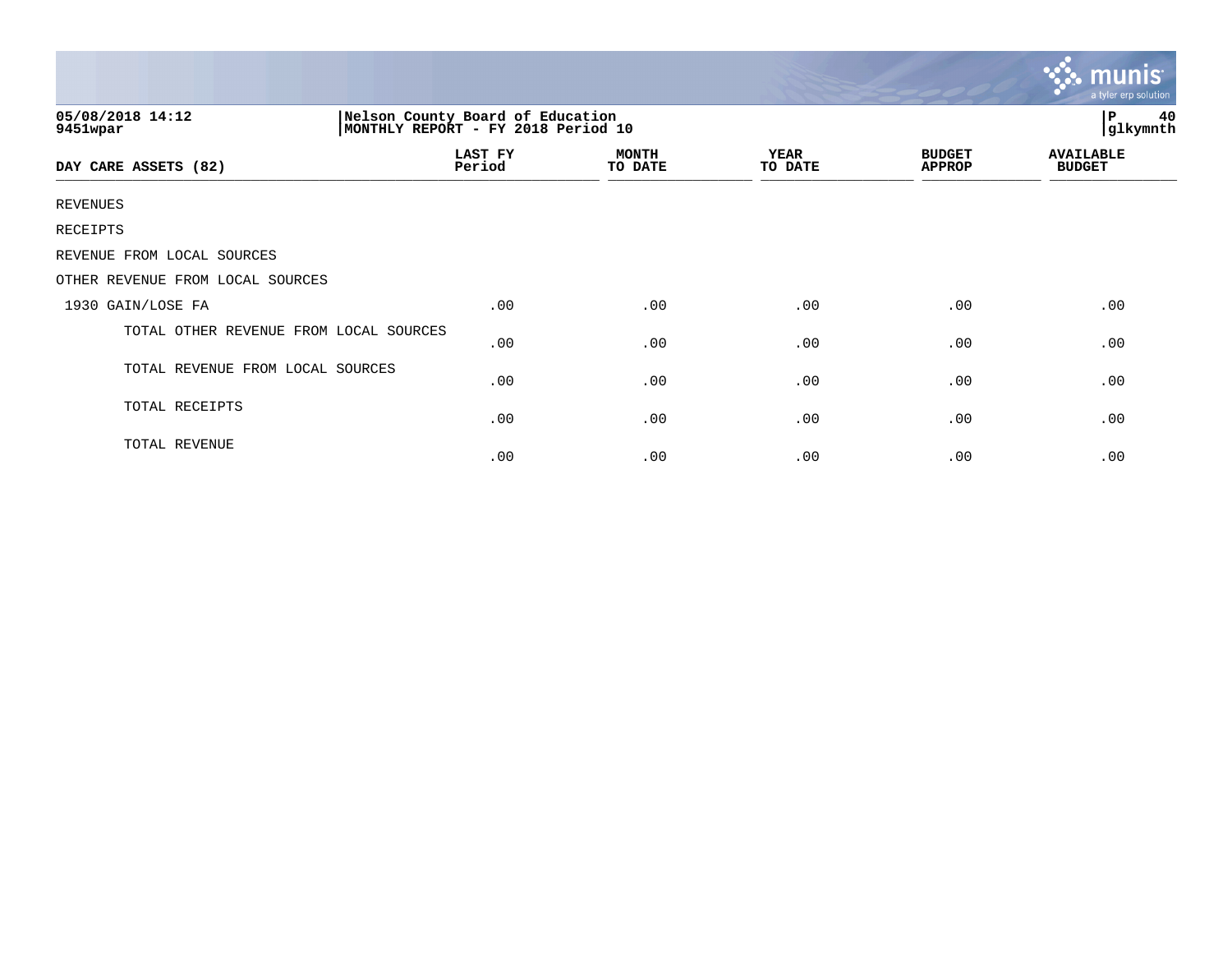|                                        |                                                                        |                         |                 |                                | $m$ unis<br>a tyler erp solution  |
|----------------------------------------|------------------------------------------------------------------------|-------------------------|-----------------|--------------------------------|-----------------------------------|
| 05/08/2018 14:12<br>9451wpar           | Nelson County Board of Education<br>MONTHLY REPORT - FY 2018 Period 10 |                         |                 |                                | 40<br>$\, {\bf P}$<br>glkymnth    |
| DAY CARE ASSETS (82)                   | <b>LAST FY</b><br>Period                                               | <b>MONTH</b><br>TO DATE | YEAR<br>TO DATE | <b>BUDGET</b><br><b>APPROP</b> | <b>AVAILABLE</b><br><b>BUDGET</b> |
| <b>REVENUES</b>                        |                                                                        |                         |                 |                                |                                   |
| RECEIPTS                               |                                                                        |                         |                 |                                |                                   |
| REVENUE FROM LOCAL SOURCES             |                                                                        |                         |                 |                                |                                   |
| OTHER REVENUE FROM LOCAL SOURCES       |                                                                        |                         |                 |                                |                                   |
| 1930 GAIN/LOSE FA                      | .00                                                                    | .00                     | .00             | .00                            | .00                               |
| TOTAL OTHER REVENUE FROM LOCAL SOURCES | .00                                                                    | .00                     | .00             | .00                            | .00                               |
| TOTAL REVENUE FROM LOCAL SOURCES       | .00                                                                    | .00                     | .00             | .00                            | .00                               |
| TOTAL RECEIPTS                         | .00                                                                    | .00                     | .00             | .00                            | .00                               |
| TOTAL REVENUE                          | .00                                                                    | .00                     | .00             | .00                            | .00                               |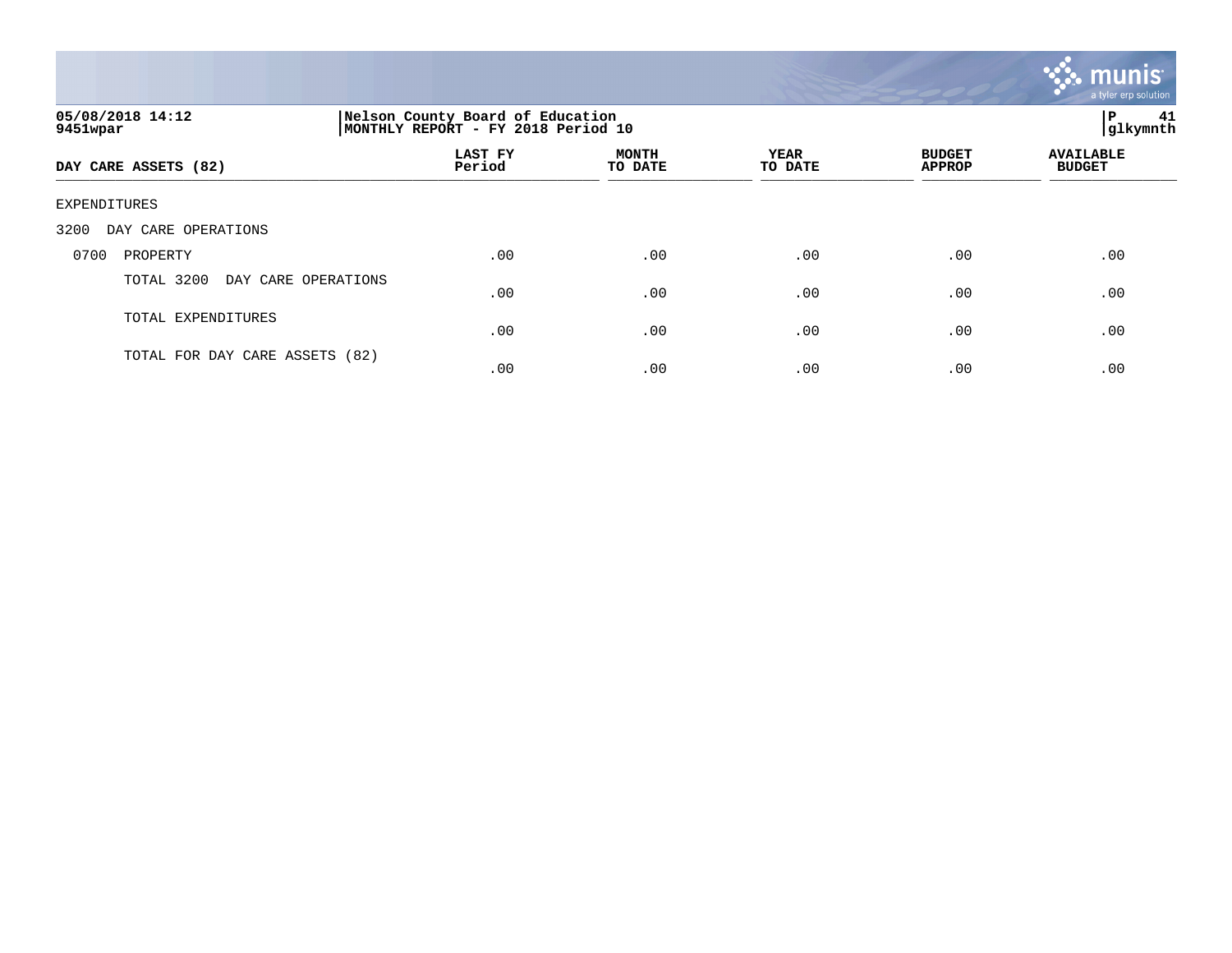

| 05/08/2018 14:12<br>9451wpar      |                   | Nelson County Board of Education<br>MONTHLY REPORT - FY 2018 Period 10 |                        |                                |                                   |  |
|-----------------------------------|-------------------|------------------------------------------------------------------------|------------------------|--------------------------------|-----------------------------------|--|
| DAY CARE ASSETS (82)              | LAST FY<br>Period | <b>MONTH</b><br>TO DATE                                                | <b>YEAR</b><br>TO DATE | <b>BUDGET</b><br><b>APPROP</b> | <b>AVAILABLE</b><br><b>BUDGET</b> |  |
| EXPENDITURES                      |                   |                                                                        |                        |                                |                                   |  |
| 3200<br>DAY CARE OPERATIONS       |                   |                                                                        |                        |                                |                                   |  |
| 0700<br>PROPERTY                  | .00               | .00                                                                    | .00                    | .00                            | .00                               |  |
| TOTAL 3200<br>DAY CARE OPERATIONS | .00               | .00                                                                    | .00                    | .00                            | .00                               |  |
| TOTAL EXPENDITURES                | .00               | .00                                                                    | .00                    | .00                            | .00                               |  |
| TOTAL FOR DAY CARE ASSETS (82)    | .00               | .00                                                                    | .00                    | .00                            | .00                               |  |